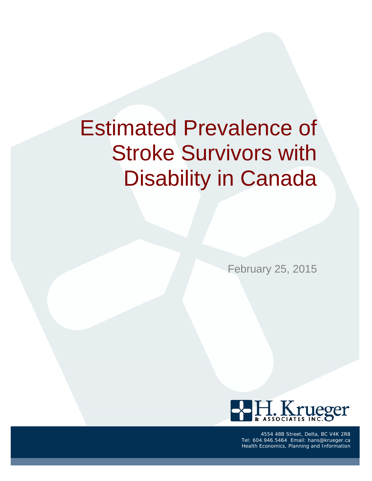# Estimated Prevalence of Stroke Survivors with Disability in Canada

February 25, 2015



4554 48B Street, Delta, BC V4K 2R8 Tel: 604.946.5464 Email: hans@krueger.ca Health Economics, Planning and Information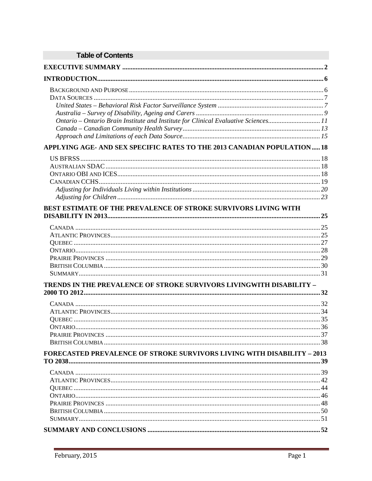| <b>Table of Contents</b>                                                           |  |
|------------------------------------------------------------------------------------|--|
|                                                                                    |  |
|                                                                                    |  |
|                                                                                    |  |
|                                                                                    |  |
|                                                                                    |  |
|                                                                                    |  |
| Ontario - Ontario Brain Institute and Institute for Clinical Evaluative Sciences11 |  |
|                                                                                    |  |
| APPLYING AGE- AND SEX SPECIFIC RATES TO THE 2013 CANADIAN POPULATION 18            |  |
|                                                                                    |  |
|                                                                                    |  |
|                                                                                    |  |
|                                                                                    |  |
|                                                                                    |  |
|                                                                                    |  |
| BEST ESTIMATE OF THE PREVALENCE OF STROKE SURVIVORS LIVING WITH                    |  |
|                                                                                    |  |
|                                                                                    |  |
|                                                                                    |  |
|                                                                                    |  |
|                                                                                    |  |
|                                                                                    |  |
|                                                                                    |  |
| <b>TRENDS IN THE PREVALENCE OF STROKE SURVIVORS LIVINGWITH DISABILITY -</b>        |  |
|                                                                                    |  |
|                                                                                    |  |
|                                                                                    |  |
|                                                                                    |  |
|                                                                                    |  |
|                                                                                    |  |
|                                                                                    |  |
| <b>FORECASTED PREVALENCE OF STROKE SURVIVORS LIVING WITH DISABILITY - 2013</b>     |  |
|                                                                                    |  |
|                                                                                    |  |
|                                                                                    |  |
|                                                                                    |  |
|                                                                                    |  |
|                                                                                    |  |
|                                                                                    |  |
|                                                                                    |  |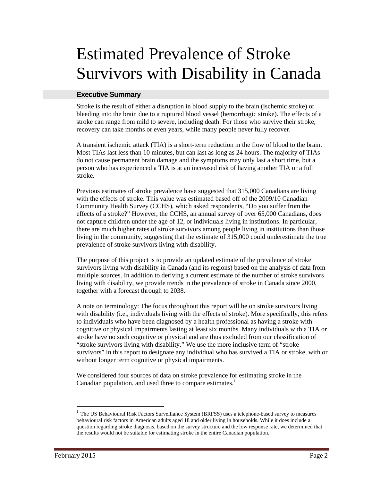# Estimated Prevalence of Stroke Survivors with Disability in Canada

#### **Executive Summary**

Stroke is the result of either a disruption in blood supply to the brain (ischemic stroke) or bleeding into the brain due to a ruptured blood vessel (hemorrhagic stroke). The effects of a stroke can range from mild to severe, including death. For those who survive their stroke, recovery can take months or even years, while many people never fully recover.

A transient ischemic attack (TIA) is a short-term reduction in the flow of blood to the brain. Most TIAs last less than 10 minutes, but can last as long as 24 hours. The majority of TIAs do not cause permanent brain damage and the symptoms may only last a short time, but a person who has experienced a TIA is at an increased risk of having another TIA or a full stroke.

Previous estimates of stroke prevalence have suggested that 315,000 Canadians are living with the effects of stroke. This value was estimated based off of the 2009/10 Canadian Community Health Survey (CCHS), which asked respondents, "Do you suffer from the effects of a stroke?" However, the CCHS, an annual survey of over 65,000 Canadians, does not capture children under the age of 12, or individuals living in institutions. In particular, there are much higher rates of stroke survivors among people living in institutions than those living in the community, suggesting that the estimate of 315,000 could underestimate the true prevalence of stroke survivors living with disability.

The purpose of this project is to provide an updated estimate of the prevalence of stroke survivors living with disability in Canada (and its regions) based on the analysis of data from multiple sources. In addition to deriving a current estimate of the number of stroke survivors living with disability, we provide trends in the prevalence of stroke in Canada since 2000, together with a forecast through to 2038.

A note on terminology: The focus throughout this report will be on stroke survivors living with disability (i.e., individuals living with the effects of stroke). More specifically, this refers to individuals who have been diagnosed by a health professional as having a stroke with cognitive or physical impairments lasting at least six months. Many individuals with a TIA or stroke have no such cognitive or physical and are thus excluded from our classification of "stroke survivors living with disability." We use the more inclusive term of "stroke survivors" in this report to designate any individual who has survived a TIA or stroke, with or without longer term cognitive or physical impairments.

We considered four sources of data on stroke prevalence for estimating stroke in the Canadian population, and used three to compare estimates. $<sup>1</sup>$ </sup>

 $\overline{a}$ 

<sup>&</sup>lt;sup>1</sup> The US Behavioural Risk Factors Surveillance System (BRFSS) uses a telephone-based survey to measures behavioural risk factors in American adults aged 18 and older living in households. While it does include a question regarding stroke diagnosis, based on the survey structure and the low response rate, we determined that the results would not be suitable for estimating stroke in the entire Canadian population.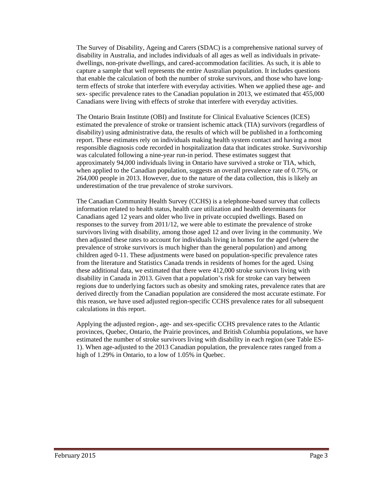The Survey of Disability, Ageing and Carers (SDAC) is a comprehensive national survey of disability in Australia, and includes individuals of all ages as well as individuals in privatedwellings, non-private dwellings, and cared-accommodation facilities. As such, it is able to capture a sample that well represents the entire Australian population. It includes questions that enable the calculation of both the number of stroke survivors, and those who have longterm effects of stroke that interfere with everyday activities. When we applied these age- and sex- specific prevalence rates to the Canadian population in 2013, we estimated that 455,000 Canadians were living with effects of stroke that interfere with everyday activities.

The Ontario Brain Institute (OBI) and Institute for Clinical Evaluative Sciences (ICES) estimated the prevalence of stroke or transient ischemic attack (TIA) survivors (regardless of disability) using administrative data, the results of which will be published in a forthcoming report. These estimates rely on individuals making health system contact and having a most responsible diagnosis code recorded in hospitalization data that indicates stroke. Survivorship was calculated following a nine-year run-in period. These estimates suggest that approximately 94,000 individuals living in Ontario have survived a stroke or TIA, which, when applied to the Canadian population, suggests an overall prevalence rate of 0.75%, or 264,000 people in 2013. However, due to the nature of the data collection, this is likely an underestimation of the true prevalence of stroke survivors.

The Canadian Community Health Survey (CCHS) is a telephone-based survey that collects information related to health status, health care utilization and health determinants for Canadians aged 12 years and older who live in private occupied dwellings. Based on responses to the survey from 2011/12, we were able to estimate the prevalence of stroke survivors living with disability, among those aged 12 and over living in the community. We then adjusted these rates to account for individuals living in homes for the aged (where the prevalence of stroke survivors is much higher than the general population) and among children aged 0-11. These adjustments were based on population-specific prevalence rates from the literature and Statistics Canada trends in residents of homes for the aged. Using these additional data, we estimated that there were 412,000 stroke survivors living with disability in Canada in 2013. Given that a population's risk for stroke can vary between regions due to underlying factors such as obesity and smoking rates, prevalence rates that are derived directly from the Canadian population are considered the most accurate estimate. For this reason, we have used adjusted region-specific CCHS prevalence rates for all subsequent calculations in this report.

Applying the adjusted region-, age- and sex-specific CCHS prevalence rates to the Atlantic provinces, Quebec, Ontario, the Prairie provinces, and British Columbia populations, we have estimated the number of stroke survivors living with disability in each region (see Table ES-1). When age-adjusted to the 2013 Canadian population, the prevalence rates ranged from a high of 1.29% in Ontario, to a low of 1.05% in Quebec.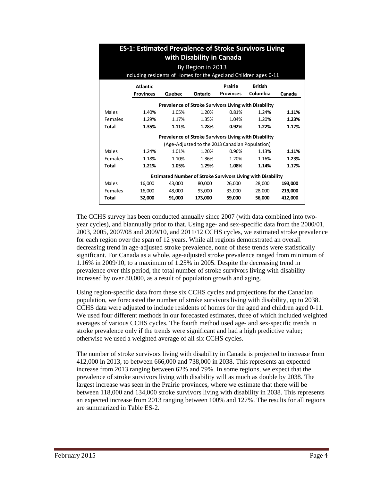|              | <b>ES-1: Estimated Prevalence of Stroke Survivors Living</b><br>with Disability in Canada |                                                       |         |                                                |                                                                    |         |  |  |  |  |  |  |  |
|--------------|-------------------------------------------------------------------------------------------|-------------------------------------------------------|---------|------------------------------------------------|--------------------------------------------------------------------|---------|--|--|--|--|--|--|--|
|              |                                                                                           |                                                       |         |                                                |                                                                    |         |  |  |  |  |  |  |  |
|              | By Region in 2013                                                                         |                                                       |         |                                                |                                                                    |         |  |  |  |  |  |  |  |
|              | Including residents of Homes for the Aged and Children ages 0-11                          |                                                       |         |                                                |                                                                    |         |  |  |  |  |  |  |  |
|              | <b>Atlantic</b>                                                                           |                                                       |         | Prairie                                        | <b>British</b>                                                     |         |  |  |  |  |  |  |  |
|              | <b>Provinces</b>                                                                          | Quebec                                                | Ontario | <b>Provinces</b>                               | Columbia                                                           | Canada  |  |  |  |  |  |  |  |
|              |                                                                                           | Prevalence of Stroke Survivors Living with Disability |         |                                                |                                                                    |         |  |  |  |  |  |  |  |
|              |                                                                                           |                                                       |         |                                                |                                                                    |         |  |  |  |  |  |  |  |
| Males        | 1.40%                                                                                     | 1.05%                                                 | 1.20%   | 0.81%                                          | 1.24%                                                              | 1.11%   |  |  |  |  |  |  |  |
| Females      | 1.29%                                                                                     | 1.17%                                                 | 1.35%   | 1.04%                                          | 1.20%                                                              | 1.23%   |  |  |  |  |  |  |  |
| <b>Total</b> | 1.35%                                                                                     | 1.11%                                                 | 1.28%   | 0.92%                                          | 1.22%                                                              | 1.17%   |  |  |  |  |  |  |  |
|              |                                                                                           | Prevalence of Stroke Survivors Living with Disability |         |                                                |                                                                    |         |  |  |  |  |  |  |  |
|              |                                                                                           |                                                       |         | (Age-Adjusted to the 2013 Canadian Population) |                                                                    |         |  |  |  |  |  |  |  |
| Males        | 1.24%                                                                                     | 1.01%                                                 | 1.20%   | 0.96%                                          | 1.13%                                                              | 1.11%   |  |  |  |  |  |  |  |
| Females      | 1.18%                                                                                     | 1.10%                                                 | 1.36%   | 1.20%                                          | 1.16%                                                              | 1.23%   |  |  |  |  |  |  |  |
| <b>Total</b> | 1.21%                                                                                     | 1.05%                                                 | 1.29%   | 1.08%                                          | 1.14%                                                              | 1.17%   |  |  |  |  |  |  |  |
|              |                                                                                           |                                                       |         |                                                | <b>Estimated Number of Stroke Survivors Living with Disability</b> |         |  |  |  |  |  |  |  |
| <b>Males</b> | 16,000                                                                                    | 43,000                                                | 80,000  | 26,000                                         | 28,000                                                             | 193,000 |  |  |  |  |  |  |  |
| Females      | 16,000                                                                                    | 48,000                                                | 93,000  | 33,000                                         | 28,000                                                             | 219,000 |  |  |  |  |  |  |  |
| <b>Total</b> | 32,000                                                                                    | 91,000                                                | 173,000 | 59,000                                         | 56,000                                                             | 412,000 |  |  |  |  |  |  |  |

The CCHS survey has been conducted annually since 2007 (with data combined into twoyear cycles), and biannually prior to that. Using age- and sex-specific data from the 2000/01, 2003, 2005, 2007/08 and 2009/10, and 2011/12 CCHS cycles, we estimated stroke prevalence for each region over the span of 12 years. While all regions demonstrated an overall decreasing trend in age-adjusted stroke prevalence, none of these trends were statistically significant. For Canada as a whole, age-adjusted stroke prevalence ranged from minimum of 1.16% in 2009/10, to a maximum of 1.25% in 2005. Despite the decreasing trend in prevalence over this period, the total number of stroke survivors living with disability increased by over 80,000, as a result of population growth and aging.

Using region-specific data from these six CCHS cycles and projections for the Canadian population, we forecasted the number of stroke survivors living with disability, up to 2038. CCHS data were adjusted to include residents of homes for the aged and children aged 0-11. We used four different methods in our forecasted estimates, three of which included weighted averages of various CCHS cycles. The fourth method used age- and sex-specific trends in stroke prevalence only if the trends were significant and had a high predictive value; otherwise we used a weighted average of all six CCHS cycles.

The number of stroke survivors living with disability in Canada is projected to increase from 412,000 in 2013, to between 666,000 and 738,000 in 2038. This represents an expected increase from 2013 ranging between 62% and 79%. In some regions, we expect that the prevalence of stroke survivors living with disability will as much as double by 2038. The largest increase was seen in the Prairie provinces, where we estimate that there will be between 118,000 and 134,000 stroke survivors living with disability in 2038. This represents an expected increase from 2013 ranging between 100% and 127%. The results for all regions are summarized in Table ES-2.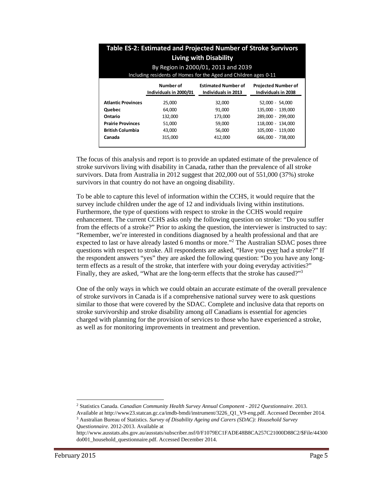|                           |                                                                  | Table ES-2: Estimated and Projected Number of Stroke Survivors |                                                   |  |  |  |  |  |  |  |  |  |
|---------------------------|------------------------------------------------------------------|----------------------------------------------------------------|---------------------------------------------------|--|--|--|--|--|--|--|--|--|
|                           | <b>Living with Disability</b>                                    |                                                                |                                                   |  |  |  |  |  |  |  |  |  |
|                           | By Region in 2000/01, 2013 and 2039                              |                                                                |                                                   |  |  |  |  |  |  |  |  |  |
|                           | Including residents of Homes for the Aged and Children ages 0-11 |                                                                |                                                   |  |  |  |  |  |  |  |  |  |
|                           | Number of<br>Individuals in 2000/01                              | <b>Estimated Number of</b><br>Individuals in 2013              | <b>Projected Number of</b><br>Individuals in 2038 |  |  |  |  |  |  |  |  |  |
| <b>Atlantic Provinces</b> | 25.000                                                           | 32.000                                                         | 52,000 - 54,000                                   |  |  |  |  |  |  |  |  |  |
| Quebec                    | 64.000                                                           | 91.000                                                         | 135.000 - 139.000                                 |  |  |  |  |  |  |  |  |  |
| Ontario                   | 132,000                                                          | 173,000                                                        | 289.000 - 299.000                                 |  |  |  |  |  |  |  |  |  |
| <b>Prairie Provinces</b>  | 51,000                                                           | 59,000                                                         | 118.000 - 134.000                                 |  |  |  |  |  |  |  |  |  |
| <b>British Columbia</b>   | 43,000                                                           | 56,000                                                         | 105.000 - 119.000                                 |  |  |  |  |  |  |  |  |  |
| Canada                    | 315.000                                                          | 412.000                                                        | 666.000 - 738.000                                 |  |  |  |  |  |  |  |  |  |

The focus of this analysis and report is to provide an updated estimate of the prevalence of stroke survivors living with disability in Canada, rather than the prevalence of all stroke survivors. Data from Australia in 2012 suggest that 202,000 out of 551,000 (37%) stroke survivors in that country do not have an ongoing disability.

To be able to capture this level of information within the CCHS, it would require that the survey include children under the age of 12 and individuals living within institutions. Furthermore, the type of questions with respect to stroke in the CCHS would require enhancement. The current CCHS asks only the following question on stroke: "Do you suffer from the effects of a stroke?" Prior to asking the question, the interviewer is instructed to say: "Remember, we're interested in conditions diagnosed by a health professional and that are expected to last or have already lasted 6 months or more."<sup>2</sup> The Australian SDAC poses three questions with respect to stroke. All respondents are asked, "Have you ever had a stroke?" If the respondent answers "yes" they are asked the following question: "Do you have any longterm effects as a result of the stroke, that interfere with your doing everyday activities?" Finally, they are asked, "What are the long-term effects that the stroke has caused?"<sup>3</sup>

One of the only ways in which we could obtain an accurate estimate of the overall prevalence of stroke survivors in Canada is if a comprehensive national survey were to ask questions similar to those that were covered by the SDAC. Complete and inclusive data that reports on stroke survivorship and stroke disability among *all* Canadians is essential for agencies charged with planning for the provision of services to those who have experienced a stroke, as well as for monitoring improvements in treatment and prevention.

 $\overline{a}$ 

<sup>2</sup> Statistics Canada. *Canadian Community Health Survey Annual Component - 2012 Questionnaire*. 2013.

Available at http://www23.statcan.gc.ca/imdb-bmdi/instrument/3226\_Q1\_V9-eng.pdf. Accessed December 2014. 3 Australian Bureau of Statistics. *Survey of Disability Ageing and Carers (SDAC): Household Survey Questionnaire*. 2012-2013. Available at

http://www.ausstats.abs.gov.au/ausstats/subscriber.nsf/0/F1079EC1FADE48B8CA257C21000D88C2/\$File/44300 do001\_household\_questionnaire.pdf. Accessed December 2014.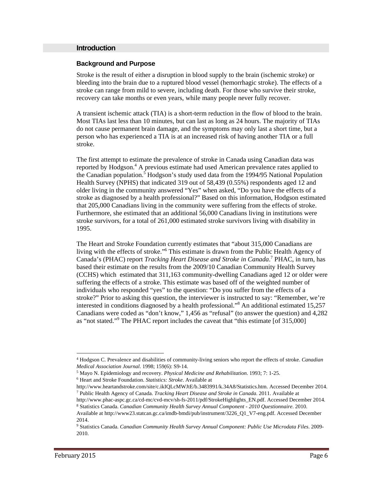#### **Introduction**

#### **Background and Purpose**

Stroke is the result of either a disruption in blood supply to the brain (ischemic stroke) or bleeding into the brain due to a ruptured blood vessel (hemorrhagic stroke). The effects of a stroke can range from mild to severe, including death. For those who survive their stroke, recovery can take months or even years, while many people never fully recover.

A transient ischemic attack (TIA) is a short-term reduction in the flow of blood to the brain. Most TIAs last less than 10 minutes, but can last as long as 24 hours. The majority of TIAs do not cause permanent brain damage, and the symptoms may only last a short time, but a person who has experienced a TIA is at an increased risk of having another TIA or a full stroke.

The first attempt to estimate the prevalence of stroke in Canada using Canadian data was reported by Hodgson.<sup>4</sup> A previous estimate had used American prevalence rates applied to the Canadian population.<sup>5</sup> Hodgson's study used data from the 1994/95 National Population Health Survey (NPHS) that indicated 319 out of 58,439 (0.55%) respondents aged 12 and older living in the community answered "Yes" when asked, "Do you have the effects of a stroke as diagnosed by a health professional?" Based on this information, Hodgson estimated that 205,000 Canadians living in the community were suffering from the effects of stroke. Furthermore, she estimated that an additional 56,000 Canadians living in institutions were stroke survivors, for a total of 261,000 estimated stroke survivors living with disability in 1995.

The Heart and Stroke Foundation currently estimates that "about 315,000 Canadians are living with the effects of stroke."6 This estimate is drawn from the Public Health Agency of Canada's (PHAC) report *Tracking Heart Disease and Stroke in Canada*.<sup>7</sup> PHAC, in turn, has based their estimate on the results from the 2009/10 Canadian Community Health Survey (CCHS) which estimated that 311,163 community-dwelling Canadians aged 12 or older were suffering the effects of a stroke. This estimate was based off of the weighted number of individuals who responded "yes" to the question: "Do you suffer from the effects of a stroke?" Prior to asking this question, the interviewer is instructed to say: "Remember, we're interested in conditions diagnosed by a health professional."8 An additional estimated 15,257 Canadians were coded as "don't know," 1,456 as "refusal" (to answer the question) and 4,282 as "not stated."<sup>9</sup> The PHAC report includes the caveat that "this estimate [of 315,000]

1

<sup>4</sup> Hodgson C. Prevalence and disabilities of community-living seniors who report the effects of stroke. *Canadian* 

*Medical Association Journal.* 1998; 159(6): S9-14.<br><sup>5</sup> Mayo N. Epidemiology and recovery. *Physical Medicine and Rehabilitation*. 1993; 7: 1-25. <sup>6</sup> Heart and Stroke Foundation. *Statistics: Stroke*. Available at

http://www.heartandstroke.com/site/c.ikIQLcMWJtE/b.3483991/k.34A8/Statistics.htm. Accessed December 2014. 7 Public Health Agency of Canada. *Tracking Heart Disease and Stroke in Canada*. 2011. Available at

http://www.phac-aspc.gc.ca/cd-mc/cvd-mcv/sh-fs-2011/pdf/StrokeHighlights\_EN.pdf. Accessed December 2014. 8 Statistics Canada. *Canadian Community Health Survey Annual Component - 2010 Questionnaire*. 2010.

Available at http://www23.statcan.gc.ca/imdb-bmdi/pub/instrument/3226\_Q1\_V7-eng.pdf. Accessed December 2014.

<sup>9</sup> Statistics Canada. *Canadian Community Health Survey Annual Component: Public Use Microdata Files*. 2009- 2010.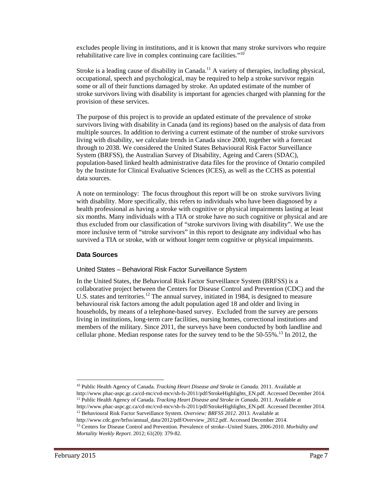excludes people living in institutions, and it is known that many stroke survivors who require rehabilitative care live in complex continuing care facilities. $10^{10}$ 

Stroke is a leading cause of disability in Canada.<sup>11</sup> A variety of therapies, including physical, occupational, speech and psychological, may be required to help a stroke survivor regain some or all of their functions damaged by stroke. An updated estimate of the number of stroke survivors living with disability is important for agencies charged with planning for the provision of these services.

The purpose of this project is to provide an updated estimate of the prevalence of stroke survivors living with disability in Canada (and its regions) based on the analysis of data from multiple sources. In addition to deriving a current estimate of the number of stroke survivors living with disability, we calculate trends in Canada since 2000, together with a forecast through to 2038. We considered the United States Behavioural Risk Factor Surveillance System (BRFSS), the Australian Survey of Disability, Ageing and Carers (SDAC), population-based linked health administrative data files for the province of Ontario compiled by the Institute for Clinical Evaluative Sciences (ICES), as well as the CCHS as potential data sources.

A note on terminology: The focus throughout this report will be on stroke survivors living with disability. More specifically, this refers to individuals who have been diagnosed by a health professional as having a stroke with cognitive or physical impairments lasting at least six months. Many individuals with a TIA or stroke have no such cognitive or physical and are thus excluded from our classification of "stroke survivors living with disability". We use the more inclusive term of "stroke survivors" in this report to designate any individual who has survived a TIA or stroke, with or without longer term cognitive or physical impairments.

#### **Data Sources**

#### United States – Behavioral Risk Factor Surveillance System

In the United States, the Behavioral Risk Factor Surveillance System (BRFSS) is a collaborative project between the Centers for Disease Control and Prevention (CDC) and the U.S. states and territories.<sup>12</sup> The annual survey, initiated in 1984, is designed to measure behavioural risk factors among the adult population aged 18 and older and living in households, by means of a telephone-based survey. Excluded from the survey are persons living in institutions, long-term care facilities, nursing homes, correctional institutions and members of the military. Since 2011, the surveys have been conducted by both landline and cellular phone. Median response rates for the survey tend to be the  $50-55\%$ .<sup>13</sup> In 2012, the

10 Public Health Agency of Canada. *Tracking Heart Disease and Stroke in Canada*. 2011. Available at http://www.phac-aspc.gc.ca/cd-mc/cvd-mcv/sh-fs-2011/pdf/StrokeHighlights\_EN.pdf. Accessed December 2014. 11 Public Health Agency of Canada. *Tracking Heart Disease and Stroke in Canada*. 2011. Available at

http://www.phac-aspc.gc.ca/cd-mc/cvd-mcv/sh-fs-2011/pdf/StrokeHighlights\_EN.pdf. Accessed December 2014. 12 Behavioural Risk Factor Surveillance System. *Overview: BRFSS 2012*. 2013. Available at

l

http://www.cdc.gov/brfss/annual\_data/2012/pdf/Overview\_2012.pdf. Accessed December 2014. 13 Centers for Disease Control and Prevention. Prevalence of stroke--United States, 2006-2010. *Morbidity and Mortality Weekly Report*. 2012; 61(20): 379-82.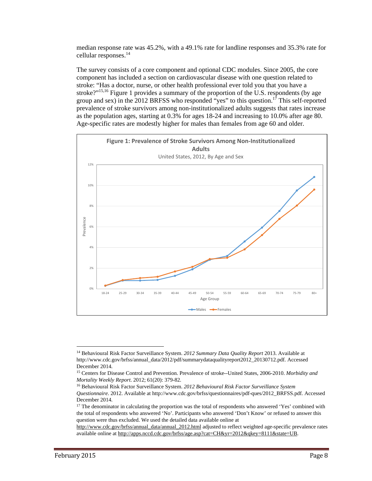median response rate was 45.2%, with a 49.1% rate for landline responses and 35.3% rate for cellular responses.<sup>14</sup>

The survey consists of a core component and optional CDC modules. Since 2005, the core component has included a section on cardiovascular disease with one question related to stroke: "Has a doctor, nurse, or other health professional ever told you that you have a stroke?"<sup>15,16</sup> Figure 1 provides a summary of the proportion of the U.S. respondents (by age group and sex) in the 2012 BRFSS who responded "yes" to this question.<sup>17</sup> This self-reported prevalence of stroke survivors among non-institutionalized adults suggests that rates increase as the population ages, starting at 0.3% for ages 18-24 and increasing to 10.0% after age 80. Age-specific rates are modestly higher for males than females from age 60 and older.



 $\overline{a}$ 

<sup>14</sup> Behavioural Risk Factor Surveillance System. *2012 Summary Data Quality Report* 2013. Available at http://www.cdc.gov/brfss/annual\_data/2012/pdf/summarydataqualityreport2012\_20130712.pdf. Accessed December 2014.

<sup>15</sup> Centers for Disease Control and Prevention. Prevalence of stroke--United States, 2006-2010. *Morbidity and* 

*Mortality Weekly Report.* 2012; 61(20): 379-82.<br><sup>16</sup> Behavioural Risk Factor Surveillance System. 2012 Behavioural Risk Factor Surveillance System *Questionnaire*. 2012. Available at http://www.cdc.gov/brfss/questionnaires/pdf-ques/2012\_BRFSS.pdf. Accessed December 2014.

<sup>&</sup>lt;sup>17</sup> The denominator in calculating the proportion was the total of respondents who answered 'Yes' combined with the total of respondents who answered 'No'. Participants who answered 'Don't Know' or refused to answer this question were thus excluded. We used the detailed data available online at

http://www.cdc.gov/brfss/annual\_data/annual\_2012.html adjusted to reflect weighted age-specific prevalence rates available online at http://apps.nccd.cdc.gov/brfss/age.asp?cat=CH&yr=2012&qkey=8111&state=UB.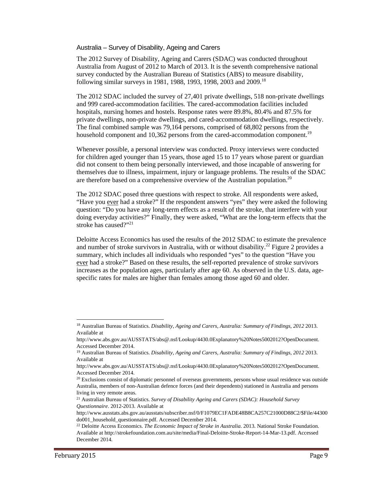#### Australia – Survey of Disability, Ageing and Carers

The 2012 Survey of Disability, Ageing and Carers (SDAC) was conducted throughout Australia from August of 2012 to March of 2013. It is the seventh comprehensive national survey conducted by the Australian Bureau of Statistics (ABS) to measure disability, following similar surveys in 1981, 1988, 1993, 1998, 2003 and 2009.<sup>18</sup>

The 2012 SDAC included the survey of 27,401 private dwellings, 518 non-private dwellings and 999 cared-accommodation facilities. The cared-accommodation facilities included hospitals, nursing homes and hostels. Response rates were 89.8%, 80.4% and 87.5% for private dwellings, non-private dwellings, and cared-accommodation dwellings, respectively. The final combined sample was 79,164 persons, comprised of 68,802 persons from the household component and 10,362 persons from the cared-accommodation component.<sup>19</sup>

Whenever possible, a personal interview was conducted. Proxy interviews were conducted for children aged younger than 15 years, those aged 15 to 17 years whose parent or guardian did not consent to them being personally interviewed, and those incapable of answering for themselves due to illness, impairment, injury or language problems. The results of the SDAC are therefore based on a comprehensive overview of the Australian population.<sup>20</sup>

The 2012 SDAC posed three questions with respect to stroke. All respondents were asked, "Have you ever had a stroke?" If the respondent answers "yes" they were asked the following question: "Do you have any long-term effects as a result of the stroke, that interfere with your doing everyday activities?" Finally, they were asked, "What are the long-term effects that the stroke has caused?"<sup>21</sup>

Deloitte Access Economics has used the results of the 2012 SDAC to estimate the prevalence and number of stroke survivors in Australia, with or without disability.<sup>22</sup> Figure 2 provides a summary, which includes all individuals who responded "yes" to the question "Have you ever had a stroke?" Based on these results, the self-reported prevalence of stroke survivors increases as the population ages, particularly after age 60. As observed in the U.S. data, agespecific rates for males are higher than females among those aged 60 and older.

 $\overline{a}$ 

<sup>18</sup> Australian Bureau of Statistics. *Disability, Ageing and Carers, Australia: Summary of Findings, 2012* 2013. Available at

http://www.abs.gov.au/AUSSTATS/abs@.nsf/Lookup/4430.0Explanatory%20Notes5002012?OpenDocument. Accessed December 2014.

<sup>19</sup> Australian Bureau of Statistics. *Disability, Ageing and Carers, Australia: Summary of Findings, 2012* 2013. Available at

http://www.abs.gov.au/AUSSTATS/abs@.nsf/Lookup/4430.0Explanatory%20Notes5002012?OpenDocument. Accessed December 2014.

<sup>&</sup>lt;sup>20</sup> Exclusions consist of diplomatic personnel of overseas governments, persons whose usual residence was outside Australia, members of non-Australian defence forces (and their dependents) stationed in Australia and persons living in very remote areas.

<sup>21</sup> Australian Bureau of Statistics. *Survey of Disability Ageing and Carers (SDAC): Household Survey Questionnaire*. 2012-2013. Available at

http://www.ausstats.abs.gov.au/ausstats/subscriber.nsf/0/F1079EC1FADE48B8CA257C21000D88C2/\$File/44300 do001\_household\_questionnaire.pdf. Accessed December 2014.

<sup>&</sup>lt;sup>22</sup> Deloitte Access Economics. *The Economic Impact of Stroke in Australia*. 2013. National Stroke Foundation. Available at http://strokefoundation.com.au/site/media/Final-Deloitte-Stroke-Report-14-Mar-13.pdf. Accessed December 2014.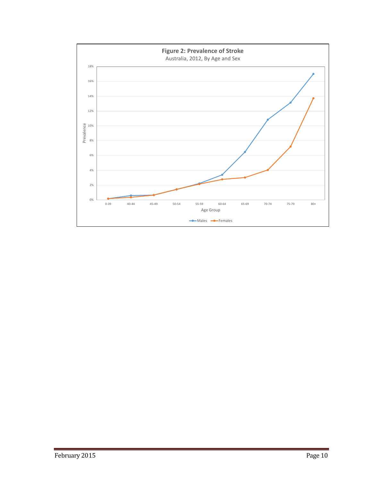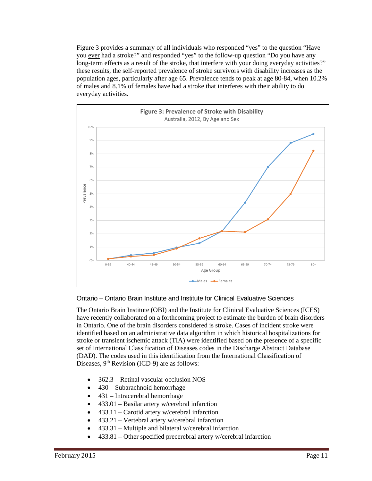Figure 3 provides a summary of all individuals who responded "yes" to the question "Have you ever had a stroke?" and responded "yes" to the follow-up question "Do you have any long-term effects as a result of the stroke, that interfere with your doing everyday activities?" these results, the self-reported prevalence of stroke survivors with disability increases as the population ages, particularly after age 65. Prevalence tends to peak at age 80-84, when 10.2% of males and 8.1% of females have had a stroke that interferes with their ability to do everyday activities.



# Ontario – Ontario Brain Institute and Institute for Clinical Evaluative Sciences

The Ontario Brain Institute (OBI) and the Institute for Clinical Evaluative Sciences (ICES) have recently collaborated on a forthcoming project to estimate the burden of brain disorders in Ontario. One of the brain disorders considered is stroke. Cases of incident stroke were identified based on an administrative data algorithm in which historical hospitalizations for stroke or transient ischemic attack (TIA) were identified based on the presence of a specific set of International Classification of Diseases codes in the Discharge Abstract Database (DAD). The codes used in this identification from the International Classification of Diseases,  $9<sup>th</sup>$  Revision (ICD-9) are as follows:

- 362.3 Retinal vascular occlusion NOS
- 430 Subarachnoid hemorrhage
- 431 Intracerebral hemorrhage
- 433.01 Basilar artery w/cerebral infarction
- 433.11 Carotid artery w/cerebral infarction
- 433.21 Vertebral artery w/cerebral infarction
- 433.31 Multiple and bilateral w/cerebral infarction
- 433.81 Other specified precerebral artery w/cerebral infarction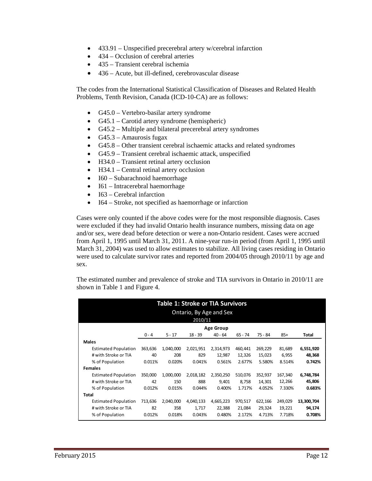- 433.91 Unspecified precerebral artery w/cerebral infarction
- 434 Occlusion of cerebral arteries
- 435 Transient cerebral ischemia
- 436 Acute, but ill-defined, cerebrovascular disease

The codes from the International Statistical Classification of Diseases and Related Health Problems, Tenth Revision, Canada (ICD-10-CA) are as follows:

- G45.0 Vertebro-basilar artery syndrome
- G45.1 Carotid artery syndrome (hemispheric)
- G45.2 Multiple and bilateral precerebral artery syndromes
- $\bullet$  G45.3 Amaurosis fugax
- G45.8 Other transient cerebral ischaemic attacks and related syndromes
- G45.9 Transient cerebral ischaemic attack, unspecified
- H34.0 Transient retinal artery occlusion
- H34.1 Central retinal artery occlusion
- I60 Subarachnoid haemorrhage
- I61 Intracerebral haemorrhage
- $\bullet$  I63 Cerebral infarction
- I64 Stroke, not specified as haemorrhage or infarction

Cases were only counted if the above codes were for the most responsible diagnosis. Cases were excluded if they had invalid Ontario health insurance numbers, missing data on age and/or sex, were dead before detection or were a non-Ontario resident. Cases were accrued from April 1, 1995 until March 31, 2011. A nine-year run-in period (from April 1, 1995 until March 31, 2004) was used to allow estimates to stabilize. All living cases residing in Ontario were used to calculate survivor rates and reported from 2004/05 through 2010/11 by age and sex.

The estimated number and prevalence of stroke and TIA survivors in Ontario in 2010/11 are shown in Table 1 and Figure 4.

|                             | <b>Table 1: Stroke or TIA Survivors</b><br>Ontario, By Age and Sex<br>2010/11 |           |           |           |           |         |         |              |  |  |  |  |  |
|-----------------------------|-------------------------------------------------------------------------------|-----------|-----------|-----------|-----------|---------|---------|--------------|--|--|--|--|--|
| <b>Age Group</b>            |                                                                               |           |           |           |           |         |         |              |  |  |  |  |  |
|                             | $0 - 4$                                                                       | $5 - 17$  | $18 - 39$ | $40 - 64$ | $65 - 74$ | 75 - 84 | $85+$   | <b>Total</b> |  |  |  |  |  |
| <b>Males</b>                |                                                                               |           |           |           |           |         |         |              |  |  |  |  |  |
| <b>Estimated Population</b> | 363,636                                                                       | 1,040,000 | 2,021,951 | 2,314,973 | 460,441   | 269,229 | 81,689  | 6,551,920    |  |  |  |  |  |
| # with Stroke or TIA        | 40                                                                            | 208       | 829       | 12,987    | 12,326    | 15,023  | 6,955   | 48,368       |  |  |  |  |  |
| % of Population             | 0.011%                                                                        | 0.020%    | 0.041%    | 0.561%    | 2.677%    | 5.580%  | 8.514%  | 0.742%       |  |  |  |  |  |
| <b>Females</b>              |                                                                               |           |           |           |           |         |         |              |  |  |  |  |  |
| <b>Estimated Population</b> | 350,000                                                                       | 1,000,000 | 2,018,182 | 2,350,250 | 510,076   | 352,937 | 167,340 | 6,748,784    |  |  |  |  |  |
| # with Stroke or TIA        | 42                                                                            | 150       | 888       | 9,401     | 8,758     | 14,301  | 12,266  | 45,806       |  |  |  |  |  |
| % of Population             | 0.012%                                                                        | 0.015%    | 0.044%    | 0.400%    | 1.717%    | 4.052%  | 7.330%  | 0.683%       |  |  |  |  |  |
| <b>Total</b>                |                                                                               |           |           |           |           |         |         |              |  |  |  |  |  |
| <b>Estimated Population</b> | 713,636                                                                       | 2,040,000 | 4,040,133 | 4,665,223 | 970,517   | 622,166 | 249,029 | 13,300,704   |  |  |  |  |  |
| # with Stroke or TIA        | 82                                                                            | 358       | 1,717     | 22,388    | 21,084    | 29,324  | 19,221  | 94,174       |  |  |  |  |  |
| % of Population             | 0.012%                                                                        | 0.018%    | 0.043%    | 0.480%    | 2.172%    | 4.713%  | 7.718%  | 0.708%       |  |  |  |  |  |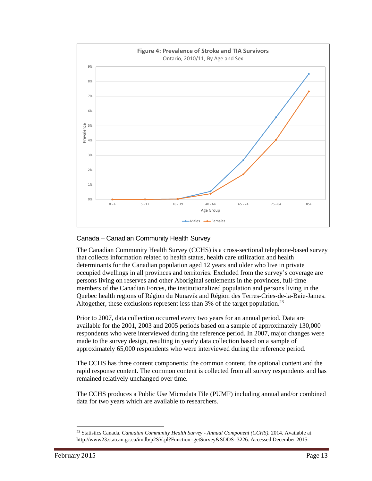

# Canada – Canadian Community Health Survey

The Canadian Community Health Survey (CCHS) is a cross-sectional telephone-based survey that collects information related to health status, health care utilization and health determinants for the Canadian population aged 12 years and older who live in private occupied dwellings in all provinces and territories. Excluded from the survey's coverage are persons living on reserves and other Aboriginal settlements in the provinces, full-time members of the Canadian Forces, the institutionalized population and persons living in the Quebec health regions of Région du Nunavik and Région des Terres-Cries-de-la-Baie-James. Altogether, these exclusions represent less than 3% of the target population.<sup>23</sup>

Prior to 2007, data collection occurred every two years for an annual period. Data are available for the 2001, 2003 and 2005 periods based on a sample of approximately 130,000 respondents who were interviewed during the reference period. In 2007, major changes were made to the survey design, resulting in yearly data collection based on a sample of approximately 65,000 respondents who were interviewed during the reference period.

The CCHS has three content components: the common content, the optional content and the rapid response content. The common content is collected from all survey respondents and has remained relatively unchanged over time.

The CCHS produces a Public Use Microdata File (PUMF) including annual and/or combined data for two years which are available to researchers.

l

<sup>23</sup> Statistics Canada. *Canadian Community Health Survey - Annual Component (CCHS)*. 2014. Available at http://www23.statcan.gc.ca/imdb/p2SV.pl?Function=getSurvey&SDDS=3226. Accessed December 2015.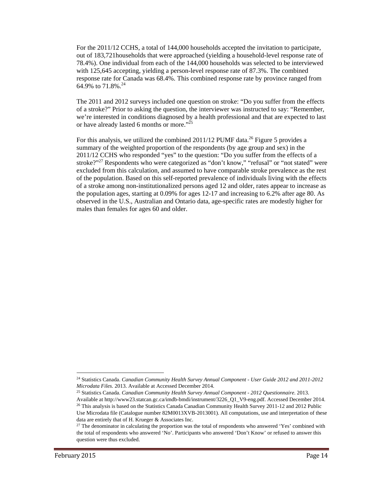For the 2011/12 CCHS, a total of 144,000 households accepted the invitation to participate, out of 183,721households that were approached (yielding a household-level response rate of 78.4%). One individual from each of the 144,000 households was selected to be interviewed with 125,645 accepting, yielding a person-level response rate of 87.3%. The combined response rate for Canada was 68.4%. This combined response rate by province ranged from 64.9% to 71.8%.<sup>24</sup>

The 2011 and 2012 surveys included one question on stroke: "Do you suffer from the effects of a stroke?" Prior to asking the question, the interviewer was instructed to say: "Remember, we're interested in conditions diagnosed by a health professional and that are expected to last or have already lasted 6 months or more."<sup>25</sup>

For this analysis, we utilized the combined 2011/12 PUMF data.<sup>26</sup> Figure 5 provides a summary of the weighted proportion of the respondents (by age group and sex) in the 2011/12 CCHS who responded "yes" to the question: "Do you suffer from the effects of a stroke?"<sup>27</sup> Respondents who were categorized as "don't know," "refusal" or "not stated" were excluded from this calculation, and assumed to have comparable stroke prevalence as the rest of the population. Based on this self-reported prevalence of individuals living with the effects of a stroke among non-institutionalized persons aged 12 and older, rates appear to increase as the population ages, starting at 0.09% for ages 12-17 and increasing to 6.2% after age 80. As observed in the U.S., Australian and Ontario data, age-specific rates are modestly higher for males than females for ages 60 and older.

l

<sup>24</sup> Statistics Canada. *Canadian Community Health Survey Annual Component - User Guide 2012 and 2011-2012 Microdata Files*. 2013. Available at Accessed December 2014. 25 Statistics Canada. *Canadian Community Health Survey Annual Component - 2012 Questionnaire*. 2013.

Available at http://www23.statcan.gc.ca/imdb-bmdi/instrument/3226\_Q1\_V9-eng.pdf. Accessed December 2014. 26 This analysis is based on the Statistics Canada Canadian Community Health Survey 2011-12 and 2012 Public Use Microdata file (Catalogue number 82M0013XVB-2013001). All computations, use and interpretation of these data are entirely that of H. Krueger & Associates Inc.

<sup>&</sup>lt;sup>27</sup> The denominator in calculating the proportion was the total of respondents who answered 'Yes' combined with the total of respondents who answered 'No'. Participants who answered 'Don't Know' or refused to answer this question were thus excluded.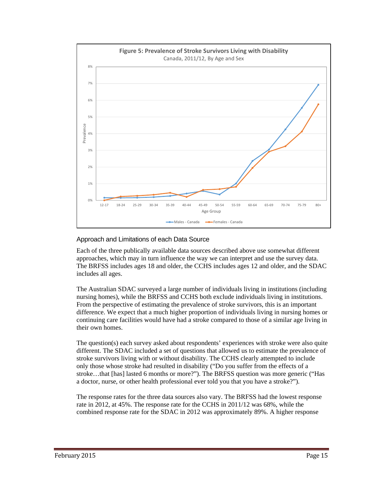

#### Approach and Limitations of each Data Source

Each of the three publically available data sources described above use somewhat different approaches, which may in turn influence the way we can interpret and use the survey data. The BRFSS includes ages 18 and older, the CCHS includes ages 12 and older, and the SDAC includes all ages.

The Australian SDAC surveyed a large number of individuals living in institutions (including nursing homes), while the BRFSS and CCHS both exclude individuals living in institutions. From the perspective of estimating the prevalence of stroke survivors, this is an important difference. We expect that a much higher proportion of individuals living in nursing homes or continuing care facilities would have had a stroke compared to those of a similar age living in their own homes.

The question(s) each survey asked about respondents' experiences with stroke were also quite different. The SDAC included a set of questions that allowed us to estimate the prevalence of stroke survivors living with or without disability. The CCHS clearly attempted to include only those whose stroke had resulted in disability ("Do you suffer from the effects of a stroke…that [has] lasted 6 months or more?"). The BRFSS question was more generic ("Has a doctor, nurse, or other health professional ever told you that you have a stroke?").

The response rates for the three data sources also vary. The BRFSS had the lowest response rate in 2012, at 45%. The response rate for the CCHS in 2011/12 was 68%, while the combined response rate for the SDAC in 2012 was approximately 89%. A higher response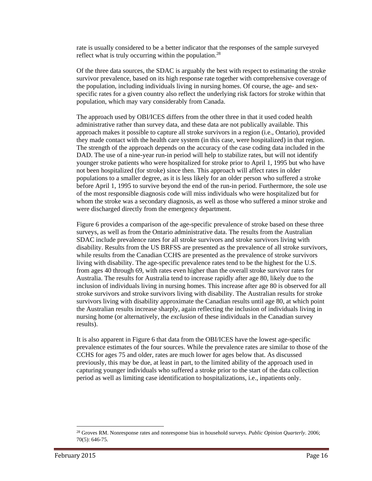rate is usually considered to be a better indicator that the responses of the sample surveyed reflect what is truly occurring within the population.<sup>28</sup>

Of the three data sources, the SDAC is arguably the best with respect to estimating the stroke survivor prevalence, based on its high response rate together with comprehensive coverage of the population, including individuals living in nursing homes. Of course, the age- and sexspecific rates for a given country also reflect the underlying risk factors for stroke within that population, which may vary considerably from Canada.

The approach used by OBI/ICES differs from the other three in that it used coded health administrative rather than survey data, and these data are not publically available. This approach makes it possible to capture all stroke survivors in a region (i.e., Ontario), provided they made contact with the health care system (in this case, were hospitalized) in that region. The strength of the approach depends on the accuracy of the case coding data included in the DAD. The use of a nine-year run-in period will help to stabilize rates, but will not identify younger stroke patients who were hospitalized for stroke prior to April 1, 1995 but who have not been hospitalized (for stroke) since then. This approach will affect rates in older populations to a smaller degree, as it is less likely for an older person who suffered a stroke before April 1, 1995 to survive beyond the end of the run-in period. Furthermore, the sole use of the most responsible diagnosis code will miss individuals who were hospitalized but for whom the stroke was a secondary diagnosis, as well as those who suffered a minor stroke and were discharged directly from the emergency department.

Figure 6 provides a comparison of the age-specific prevalence of stroke based on these three surveys, as well as from the Ontario administrative data. The results from the Australian SDAC include prevalence rates for all stroke survivors and stroke survivors living with disability. Results from the US BRFSS are presented as the prevalence of all stroke survivors, while results from the Canadian CCHS are presented as the prevalence of stroke survivors living with disability. The age-specific prevalence rates tend to be the highest for the U.S. from ages 40 through 69, with rates even higher than the overall stroke survivor rates for Australia. The results for Australia tend to increase rapidly after age 80, likely due to the inclusion of individuals living in nursing homes. This increase after age 80 is observed for all stroke survivors and stroke survivors living with disability. The Australian results for stroke survivors living with disability approximate the Canadian results until age 80, at which point the Australian results increase sharply, again reflecting the inclusion of individuals living in nursing home (or alternatively, the *exclusion* of these individuals in the Canadian survey results).

It is also apparent in Figure 6 that data from the OBI/ICES have the lowest age-specific prevalence estimates of the four sources. While the prevalence rates are similar to those of the CCHS for ages 75 and older, rates are much lower for ages below that. As discussed previously, this may be due, at least in part, to the limited ability of the approach used in capturing younger individuals who suffered a stroke prior to the start of the data collection period as well as limiting case identification to hospitalizations, i.e., inpatients only.

1

<sup>28</sup> Groves RM. Nonresponse rates and nonresponse bias in household surveys. *Public Opinion Quarterly*. 2006; 70(5): 646-75.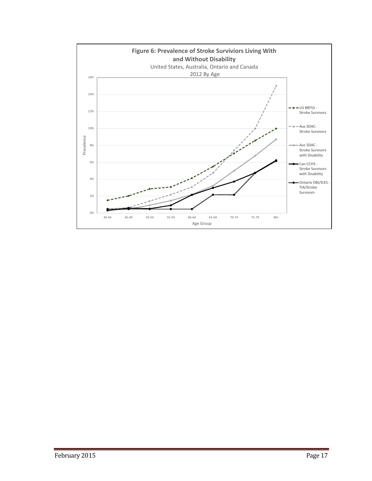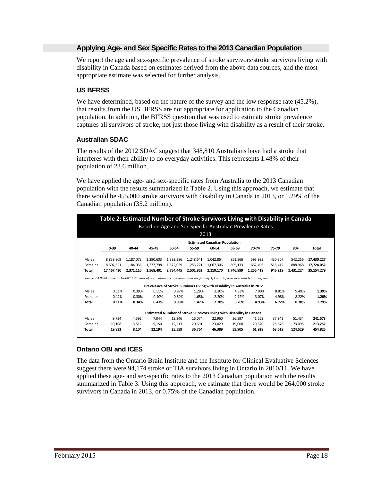# **Applying Age- and Sex Specific Rates to the 2013 Canadian Population**

We report the age and sex-specific prevalence of stroke survivors/stroke survivors living with disability in Canada based on estimates derived from the above data sources, and the most appropriate estimate was selected for further analysis.

# **US BFRSS**

We have determined, based on the nature of the survey and the low response rate  $(45.2\%)$ , that results from the US BFRSS are not appropriate for application to the Canadian population. In addition, the BFRSS question that was used to estimate stroke prevalence captures all survivors of stroke, not just those living with disability as a result of their stroke.

# **Australian SDAC**

The results of the 2012 SDAC suggest that 348,810 Australians have had a stroke that interferes with their ability to do everyday activities. This represents 1.48% of their population of 23.6 million.

We have applied the age- and sex-specific rates from Australia to the 2013 Canadian population with the results summarized in Table 2. Using this approach, we estimate that there would be 455,000 stroke survivors with disability in Canada in 2013, or 1.29% of the Canadian population (35.2 million).

|              | Table 2: Estimated Number of Stroke Survivors Living with Disability in Canada                                                    |           |           |                                                                            |           |           |           |           |         |           |            |  |  |
|--------------|-----------------------------------------------------------------------------------------------------------------------------------|-----------|-----------|----------------------------------------------------------------------------|-----------|-----------|-----------|-----------|---------|-----------|------------|--|--|
|              | Based on Age and Sex-Specific Australian Prevalence Rates                                                                         |           |           |                                                                            |           |           |           |           |         |           |            |  |  |
|              | 2013                                                                                                                              |           |           |                                                                            |           |           |           |           |         |           |            |  |  |
|              | <b>Estimated Canadian Population</b>                                                                                              |           |           |                                                                            |           |           |           |           |         |           |            |  |  |
|              | 55-59<br>$0 - 39$<br>40-44<br>45-49<br>50-54<br>60-64<br>65-69<br>70-74<br>$80+$<br>Total<br>75-79                                |           |           |                                                                            |           |           |           |           |         |           |            |  |  |
|              |                                                                                                                                   |           |           |                                                                            |           |           |           |           |         |           |            |  |  |
| Males        | 8,859,809                                                                                                                         | 1,187,072 | 1,290,603 | 1,382,386                                                                  | 1,248,641 | 1,042,864 | 851,866   | 593,923   | 430,807 | 542,256   | 17,430,227 |  |  |
| Females      | 8,607,621                                                                                                                         | 1,184,038 | 1,277,798 | 1,372,059                                                                  | 1,253,221 | 1,067,306 | 895,133   | 662,496   | 515,412 | 888.968   | 17,724,052 |  |  |
| <b>Total</b> | 17,467,430                                                                                                                        | 2,371,110 | 2,568,401 | 2,754,445                                                                  | 2,501,862 | 2,110,170 | 1,746,999 | 1,256,419 | 946,219 | 1,431,224 | 35,154,279 |  |  |
|              | Source: CANSIM Table 051-0001 Estimates of population, by age group and sex for July 1, Canada, provinces and territories, annual |           |           |                                                                            |           |           |           |           |         |           |            |  |  |
|              |                                                                                                                                   |           |           | Prevalence of Stroke Survivors Living with Disability in Australia in 2012 |           |           |           |           |         |           |            |  |  |
| Males        | 0.11%                                                                                                                             | 0.39%     | 0.55%     | 0.97%                                                                      | 1.29%     | 2.20%     | 4.33%     | 7.00%     | 8.81%   | 9.49%     | 1.39%      |  |  |
| Females      | 0.12%                                                                                                                             | 0.30%     | 0.40%     | 0.89%                                                                      | 1.65%     | 2.20%     | 2.12%     | 3.07%     | 4.98%   | 8.22%     | 1.20%      |  |  |
| <b>Total</b> | 0.11%                                                                                                                             | 0.34%     | 0.47%     | 0.93%                                                                      | 1.47%     | 2.20%     | 3.20%     | 4.93%     | 6.72%   | 8.70%     | 1.29%      |  |  |
|              |                                                                                                                                   |           |           | Estimated Number of Stroke Survivors Living with Disability in Canada      |           |           |           |           |         |           |            |  |  |
| Males        | 9,724                                                                                                                             | 4,592     | 7,044     | 13,346                                                                     | 16,074    | 22,960    | 36.897    | 41,559    | 37,943  | 51,434    | 241,573    |  |  |
| Females      | 10,108                                                                                                                            | 3,512     | 5.150     | 12,213                                                                     | 20,691    | 23,429    | 19,008    | 20,370    | 25,676  | 73.095    | 213,252    |  |  |
| <b>Total</b> | 19.833                                                                                                                            | 8.104     | 12.194    | 25,559                                                                     | 36,764    | 46,389    | 55,905    | 61,929    | 63,619  | 124.529   | 454,825    |  |  |

# **Ontario OBI and ICES**

The data from the Ontario Brain Institute and the Institute for Clinical Evaluative Sciences suggest there were 94,174 stroke or TIA survivors living in Ontario in 2010/11. We have applied these age- and sex-specific rates to the 2013 Canadian population with the results summarized in Table 3. Using this approach, we estimate that there would be 264,000 stroke survivors in Canada in 2013, or 0.75% of the Canadian population.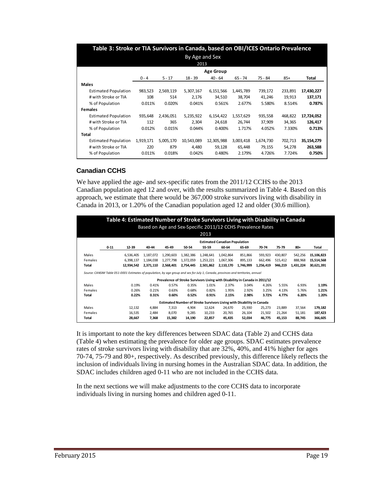| Table 3: Stroke or TIA Survivors in Canada, based on OBI/ICES Ontario Prevalence |           |           |                |                  |           |           |         |            |
|----------------------------------------------------------------------------------|-----------|-----------|----------------|------------------|-----------|-----------|---------|------------|
|                                                                                  |           |           | By Age and Sex |                  |           |           |         |            |
|                                                                                  |           |           | 2013           |                  |           |           |         |            |
|                                                                                  |           |           |                | <b>Age Group</b> |           |           |         |            |
|                                                                                  | $0 - 4$   | $5 - 17$  | $18 - 39$      | $40 - 64$        | $65 - 74$ | 75 - 84   | $85+$   | Total      |
| <b>Males</b>                                                                     |           |           |                |                  |           |           |         |            |
| <b>Estimated Population</b>                                                      | 983,523   | 2,569,119 | 5,307,167      | 6,151,566        | 1,445,789 | 739,172   | 233,891 | 17,430,227 |
| # with Stroke or TIA                                                             | 108       | 514       | 2,176          | 34,510           | 38,704    | 41,246    | 19,913  | 137,171    |
| % of Population                                                                  | 0.011%    | 0.020%    | 0.041%         | 0.561%           | 2.677%    | 5.580%    | 8.514%  | 0.787%     |
| <b>Females</b>                                                                   |           |           |                |                  |           |           |         |            |
| <b>Estimated Population</b>                                                      | 935,648   | 2,436,051 | 5,235,922      | 6,154,422        | 1,557,629 | 935,558   | 468,822 | 17,724,052 |
| # with Stroke or TIA                                                             | 112       | 365       | 2,304          | 24,618           | 26,744    | 37,909    | 34,365  | 126,417    |
| % of Population                                                                  | 0.012%    | 0.015%    | 0.044%         | 0.400%           | 1.717%    | 4.052%    | 7.330%  | 0.713%     |
| Total                                                                            |           |           |                |                  |           |           |         |            |
| <b>Estimated Population</b>                                                      | 1,919,171 | 5,005,170 | 10,543,089     | 12,305,988       | 3,003,418 | 1,674,730 | 702,713 | 35,154,279 |
| # with Stroke or TIA                                                             | 220       | 879       | 4,480          | 59,128           | 65,448    | 79,155    | 54,278  | 263,588    |
| % of Population                                                                  | 0.011%    | 0.018%    | 0.042%         | 0.480%           | 2.179%    | 4.726%    | 7.724%  | 0.750%     |

# **Canadian CCHS**

We have applied the age- and sex-specific rates from the 2011/12 CCHS to the 2013 Canadian population aged 12 and over, with the results summarized in Table 4. Based on this approach, we estimate that there would be 367,000 stroke survivors living with disability in Canada in 2013, or 1.20% of the Canadian population aged 12 and older (30.6 million).

|         | Table 4: Estimated Number of Stroke Survivors Living with Disability in Canada<br>Based on Age and Sex-Specific 2011/12 CCHS Prevalence Rates |                                                                                                                                   |           |           |           |           |           |                                                                            |           |         |           |            |  |  |
|---------|-----------------------------------------------------------------------------------------------------------------------------------------------|-----------------------------------------------------------------------------------------------------------------------------------|-----------|-----------|-----------|-----------|-----------|----------------------------------------------------------------------------|-----------|---------|-----------|------------|--|--|
|         | 2013                                                                                                                                          |                                                                                                                                   |           |           |           |           |           |                                                                            |           |         |           |            |  |  |
|         | <b>Estimated Canadian Population</b>                                                                                                          |                                                                                                                                   |           |           |           |           |           |                                                                            |           |         |           |            |  |  |
|         | $0 - 11$                                                                                                                                      | 12-39                                                                                                                             | 40-44     | 45-49     | 50-54     | 55-59     | 60-64     | 65-69                                                                      | 70-74     | 75-79   | $80+$     | Total      |  |  |
| Males   |                                                                                                                                               | 6,536,405                                                                                                                         | 1,187,072 | 1,290,603 | 1,382,386 | 1,248,641 | 1,042,864 | 851,866                                                                    | 593,923   | 430,807 | 542,256   | 15,106,823 |  |  |
| Females |                                                                                                                                               | 6.398.137                                                                                                                         | 1.184.038 | 1,277,798 | 1,372,059 | 1,253,221 | 1,067,306 | 895,133                                                                    | 662.496   | 515,412 | 888.968   | 15,514,568 |  |  |
| Total   |                                                                                                                                               | 12,934,542                                                                                                                        | 2,371,110 | 2,568,401 | 2,754,445 | 2,501,862 | 2,110,170 | 1,746,999                                                                  | 1,256,419 | 946,219 | 1,431,224 | 30,621,391 |  |  |
|         |                                                                                                                                               | Source: CANSIM Table 051-0001 Estimates of population, by age group and sex for July 1, Canada, provinces and territories, annual |           |           |           |           |           |                                                                            |           |         |           |            |  |  |
|         |                                                                                                                                               |                                                                                                                                   |           |           |           |           |           | Prevalence of Stroke Survivors Living with Disability in Canada in 2011/12 |           |         |           |            |  |  |
| Males   |                                                                                                                                               | 0.19%                                                                                                                             | 0.41%     | 0.57%     | 0.35%     | 1.01%     | 2.37%     | 3.04%                                                                      | 4.26%     | 5.55%   | 6.93%     | 1.19%      |  |  |
| Females |                                                                                                                                               | 0.26%                                                                                                                             | 0.21%     | 0.63%     | 0.68%     | 0.82%     | 1.95%     | 2.92%                                                                      | 3.25%     | 4.13%   | 5.76%     | 1.21%      |  |  |
| Total   |                                                                                                                                               | 0.22%                                                                                                                             | 0.31%     | 0.60%     | 0.52%     | 0.91%     | 2.15%     | 2.98%                                                                      | 3.72%     | 4.77%   | 6.20%     | 1.20%      |  |  |
|         |                                                                                                                                               |                                                                                                                                   |           |           |           |           |           | Estimated Number of Stroke Survivors Living with Disability in Canada      |           |         |           |            |  |  |
| Males   |                                                                                                                                               | 12.132                                                                                                                            | 4.884     | 7.313     | 4.904     | 12.624    | 24.670    | 25.930                                                                     | 25.273    | 23.889  | 37.564    | 179,182    |  |  |
| Females |                                                                                                                                               | 16,535                                                                                                                            | 2,484     | 8.070     | 9,285     | 10,233    | 20.765    | 26,104                                                                     | 21,502    | 21,264  | 51,181    | 187,423    |  |  |
| Total   |                                                                                                                                               | 28,667                                                                                                                            | 7,368     | 15,382    | 14,190    | 22,857    | 45,435    | 52,034                                                                     | 46,775    | 45,153  | 88,745    | 366,605    |  |  |

It is important to note the key differences between SDAC data (Table 2) and CCHS data (Table 4) when estimating the prevalence for older age groups. SDAC estimates prevalence rates of stroke survivors living with disability that are 32%, 40%, and 41% higher for ages 70-74, 75-79 and 80+, respectively. As described previously, this difference likely reflects the inclusion of individuals living in nursing homes in the Australian SDAC data. In addition, the SDAC includes children aged 0-11 who are not included in the CCHS data.

In the next sections we will make adjustments to the core CCHS data to incorporate individuals living in nursing homes and children aged 0-11.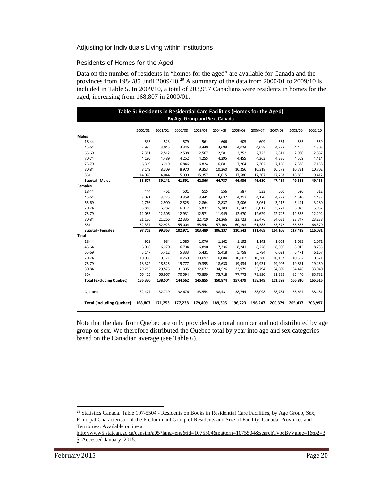#### Adjusting for Individuals Living within Institutions

#### *Residents of Homes for the Aged*

Data on the number of residents in "homes for the aged" are available for Canada and the provinces from 1984/85 until 2009/10.<sup>29</sup> A summary of the data from 2000/01 to 2009/10 is included in Table 5. In 2009/10, a total of 203,997 Canadians were residents in homes for the aged, increasing from 168,807 in 2000/01.

|                                 | Table 5: Residents in Residential Care Facilities (Homes for the Aged)<br>By Age Group and Sex, Canada |         |         |         |         |         |         |         |         |         |  |  |  |
|---------------------------------|--------------------------------------------------------------------------------------------------------|---------|---------|---------|---------|---------|---------|---------|---------|---------|--|--|--|
|                                 |                                                                                                        |         |         |         |         |         |         |         |         |         |  |  |  |
|                                 | 2000/01                                                                                                | 2001/02 | 2002/03 | 2003/04 | 2004/05 | 2005/06 | 2006/07 | 2007/08 | 2008/09 | 2009/10 |  |  |  |
| <b>Males</b>                    |                                                                                                        |         |         |         |         |         |         |         |         |         |  |  |  |
| 18-44                           | 535                                                                                                    | 523     | 579     | 561     | 606     | 605     | 609     | 563     | 563     | 559     |  |  |  |
| 45-64                           | 2,985                                                                                                  | 3,045   | 3,346   | 3,449   | 3,699   | 4,024   | 4,058   | 4,228   | 4,405   | 4,303   |  |  |  |
| 65-69                           | 2,381                                                                                                  | 2,512   | 2,508   | 2,567   | 2,581   | 2,752   | 2,723   | 2,811   | 2,980   | 2,887   |  |  |  |
| 70-74                           | 4,180                                                                                                  | 4,489   | 4,252   | 4,255   | 4,295   | 4,455   | 4,363   | 4,386   | 4,509   | 4,414   |  |  |  |
| 75-79                           | 6,319                                                                                                  | 6,219   | 6,846   | 6,824   | 6,681   | 7,264   | 7,302   | 7,160   | 7,338   | 7,158   |  |  |  |
| 80-84                           | 8,149                                                                                                  | 8,309   | 8,970   | 9,353   | 10,260  | 10,256  | 10,318  | 10,578  | 10,731  | 10,702  |  |  |  |
| $85+$                           | 14,078                                                                                                 | 14,044  | 15,090  | 15,357  | 16,615  | 17,580  | 17,307  | 17,763  | 18,855  | 19,412  |  |  |  |
| <b>Sutotal - Males</b>          | 38,627                                                                                                 | 39,141  | 41,591  | 42,366  | 44,737  | 46,936  | 46,680  | 47,489  | 49,381  | 49,435  |  |  |  |
| <b>Females</b>                  |                                                                                                        |         |         |         |         |         |         |         |         |         |  |  |  |
| 18-44                           | 444                                                                                                    | 461     | 501     | 515     | 556     | 587     | 533     | 500     | 520     | 512     |  |  |  |
| 45-64                           | 3,081                                                                                                  | 3,225   | 3,358   | 3,441   | 3,637   | 4,217   | 4,170   | 4,278   | 4,510   | 4,432   |  |  |  |
| 65-69                           | 2,766                                                                                                  | 2,900   | 2,825   | 2,864   | 2,837   | 3,006   | 3,061   | 3,212   | 3,491   | 3,280   |  |  |  |
| 70-74                           | 5,886                                                                                                  | 6,282   | 6,017   | 5,837   | 5,789   | 6,147   | 6,017   | 5,771   | 6,043   | 5,957   |  |  |  |
| 75-79                           | 12,053                                                                                                 | 12,306  | 12,931  | 12,571  | 11,949  | 12,670  | 12,629  | 12,742  | 12,533  | 12,292  |  |  |  |
| 80-84                           | 21,136                                                                                                 | 21,266  | 22,335  | 22,719  | 24,266  | 23,723  | 23,476  | 24,031  | 23,747  | 23,238  |  |  |  |
| $85+$                           | 52,337                                                                                                 | 52,923  | 55,004  | 55,542  | 57,103  | 60,193  | 61,583  | 63,572  | 66,585  | 66,370  |  |  |  |
| <b>Sutotal - Females</b>        | 97,703                                                                                                 | 99,363  | 102,971 | 103,489 | 106,137 | 110,543 | 111,469 | 114,106 | 117,429 | 116,081 |  |  |  |
| Total                           |                                                                                                        |         |         |         |         |         |         |         |         |         |  |  |  |
| 18-44                           | 979                                                                                                    | 984     | 1,080   | 1,076   | 1,162   | 1,192   | 1,142   | 1,063   | 1,083   | 1,071   |  |  |  |
| 45-64                           | 6,066                                                                                                  | 6,270   | 6,704   | 6,890   | 7,336   | 8,241   | 8,228   | 8,506   | 8,915   | 8,735   |  |  |  |
| 65-69                           | 5,147                                                                                                  | 5,412   | 5,333   | 5,431   | 5,418   | 5,758   | 5,784   | 6,023   | 6,471   | 6,167   |  |  |  |
| 70-74                           | 10,066                                                                                                 | 10,771  | 10,269  | 10,092  | 10,084  | 10,602  | 10,380  | 10,157  | 10,552  | 10,371  |  |  |  |
| 75-79                           | 18,372                                                                                                 | 18,525  | 19,777  | 19,395  | 18,630  | 19,934  | 19,931  | 19,902  | 19,871  | 19,450  |  |  |  |
| 80-84                           | 29,285                                                                                                 | 29,575  | 31,305  | 32,072  | 34,526  | 33,979  | 33,794  | 34,609  | 34,478  | 33,940  |  |  |  |
| $85+$                           | 66,415                                                                                                 | 66,967  | 70,094  | 70,899  | 73,718  | 77,773  | 78,890  | 81,335  | 85,440  | 85,782  |  |  |  |
| <b>Total (excluding Quebec)</b> | 136,330                                                                                                | 138,504 | 144,562 | 145,855 | 150,874 | 157,479 | 158,149 | 161,595 | 166,810 | 165,516 |  |  |  |
| Quebec                          | 32,477                                                                                                 | 32,749  | 32,676  | 33,554  | 38,431  | 38,744  | 38,098  | 38,784  | 38,627  |         |  |  |  |
|                                 |                                                                                                        |         |         |         |         |         |         |         |         | 38,481  |  |  |  |
| <b>Total (including Quebec)</b> | 168,807                                                                                                | 171,253 | 177,238 | 179,409 | 189,305 | 196,223 | 196.247 | 200.379 | 205.437 | 203,997 |  |  |  |

Note that the data from Quebec are only provided as a total number and not distributed by age group or sex. We therefore distributed the Quebec total by year into age and sex categories based on the Canadian average (see Table 6).

l

<sup>&</sup>lt;sup>29</sup> Statistics Canada. Table 107-5504 - Residents on Books in Residential Care Facilities, by Age Group, Sex, Principal Characteristic of the Predominant Group of Residents and Size of Facility, Canada, Provinces and Territories. Available online at

http://www5.statcan.gc.ca/cansim/a05?lang=eng&id=1075504&pattern=1075504&searchTypeByValue=1&p2=3 5. Accessed January, 2015.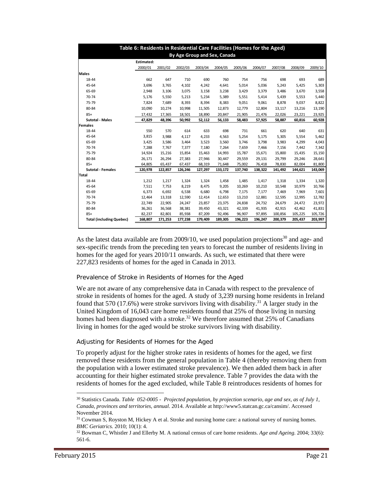|                                 | Table 6: Residents in Residential Care Facilities (Homes for the Aged)<br>By Age Group and Sex, Canada |         |         |         |         |         |         |         |         |         |  |  |  |
|---------------------------------|--------------------------------------------------------------------------------------------------------|---------|---------|---------|---------|---------|---------|---------|---------|---------|--|--|--|
|                                 | Estimated:                                                                                             |         |         |         |         |         |         |         |         |         |  |  |  |
|                                 | 2000/01                                                                                                | 2001/02 | 2002/03 | 2003/04 | 2004/05 | 2005/06 | 2006/07 | 2007/08 | 2008/09 | 2009/10 |  |  |  |
| <b>Males</b>                    |                                                                                                        |         |         |         |         |         |         |         |         |         |  |  |  |
| 18-44                           | 662                                                                                                    | 647     | 710     | 690     | 760     | 754     | 756     | 698     | 693     | 689     |  |  |  |
| 45-64                           | 3,696                                                                                                  | 3,765   | 4,102   | 4,242   | 4.641   | 5,014   | 5,036   | 5,243   | 5,425   | 5,303   |  |  |  |
| 65-69                           | 2,948                                                                                                  | 3,106   | 3,075   | 3,158   | 3,238   | 3,429   | 3,379   | 3,486   | 3,670   | 3,558   |  |  |  |
| 70-74                           | 5,176                                                                                                  | 5,550   | 5,213   | 5,234   | 5,389   | 5,551   | 5,414   | 5,439   | 5,553   | 5,440   |  |  |  |
| 75-79                           | 7,824                                                                                                  | 7,689   | 8,393   | 8,394   | 8,383   | 9,051   | 9,061   | 8,878   | 9,037   | 8,822   |  |  |  |
| 80-84                           | 10,090                                                                                                 | 10,274  | 10,998  | 11,505  | 12,873  | 12,779  | 12,804  | 13,117  | 13,216  | 13,190  |  |  |  |
| $85+$                           | 17,432                                                                                                 | 17,365  | 18,501  | 18,890  | 20,847  | 21,905  | 21,476  | 22,026  | 23,221  | 23,925  |  |  |  |
| <b>Sutotal - Males</b>          | 47,829                                                                                                 | 48,396  | 50,992  | 52,112  | 56,133  | 58,483  | 57,925  | 58,887  | 60,816  | 60,928  |  |  |  |
| <b>Females</b>                  |                                                                                                        |         |         |         |         |         |         |         |         |         |  |  |  |
| 18-44                           | 550                                                                                                    | 570     | 614     | 633     | 698     | 731     | 661     | 620     | 640     | 631     |  |  |  |
| 45-64                           | 3,815                                                                                                  | 3,988   | 4,117   | 4,233   | 4,563   | 5,254   | 5,175   | 5,305   | 5,554   | 5,462   |  |  |  |
| 65-69                           | 3,425                                                                                                  | 3,586   | 3,464   | 3,523   | 3,560   | 3,746   | 3,798   | 3,983   | 4,299   | 4,043   |  |  |  |
| 70-74                           | 7,288                                                                                                  | 7,767   | 7,377   | 7,180   | 7,264   | 7,659   | 7,466   | 7,156   | 7,442   | 7,342   |  |  |  |
| 75-79                           | 14,924                                                                                                 | 15,216  | 15,854  | 15,463  | 14,993  | 15,787  | 15,671  | 15,800  | 15,435  | 15,150  |  |  |  |
| 80-84                           | 26,171                                                                                                 | 26,294  | 27,383  | 27,946  | 30,447  | 29,559  | 29,131  | 29,799  | 29,246  | 28,641  |  |  |  |
| $85+$                           | 64,805                                                                                                 | 65,437  | 67,437  | 68,319  | 71,648  | 75,002  | 76,418  | 78,830  | 82,004  | 81,800  |  |  |  |
| <b>Sutotal - Females</b>        | 120,978                                                                                                | 122,857 | 126,246 | 127,297 | 133,172 | 137,740 | 138,322 | 141,492 | 144,621 | 143,069 |  |  |  |
| <b>Total</b>                    |                                                                                                        |         |         |         |         |         |         |         |         |         |  |  |  |
| 18-44                           | 1,212                                                                                                  | 1,217   | 1,324   | 1,324   | 1,458   | 1,485   | 1,417   | 1,318   | 1,334   | 1,320   |  |  |  |
| 45-64                           | 7,511                                                                                                  | 7,753   | 8,219   | 8,475   | 9,205   | 10,269  | 10,210  | 10,548  | 10,979  | 10,766  |  |  |  |
| 65-69                           | 6,373                                                                                                  | 6,692   | 6,538   | 6,680   | 6,798   | 7,175   | 7,177   | 7,469   | 7,969   | 7,601   |  |  |  |
| 70-74                           | 12,464                                                                                                 | 13,318  | 12,590  | 12,414  | 12,653  | 13,210  | 12,881  | 12,595  | 12,995  | 12,782  |  |  |  |
| 75-79                           | 22,749                                                                                                 | 22,905  | 24,247  | 23,857  | 23,375  | 24,838  | 24,732  | 24,679  | 24,472  | 23,972  |  |  |  |
| 80-84                           | 36,261                                                                                                 | 36,568  | 38,381  | 39,450  | 43,321  | 42,339  | 41,935  | 42,915  | 42,462  | 41,831  |  |  |  |
| $85+$                           | 82,237                                                                                                 | 82,801  | 85,938  | 87,209  | 92,496  | 96,907  | 97,895  | 100,856 | 105,225 | 105,726 |  |  |  |
| <b>Total (including Quebec)</b> | 168,807                                                                                                | 171,253 | 177,238 | 179,409 | 189,305 | 196,223 | 196,247 | 200,379 | 205,437 | 203,997 |  |  |  |

As the latest data available are from 2009/10, we used population projections<sup>30</sup> and age- and sex-specific trends from the preceding ten years to forecast the number of residents living in homes for the aged for years 2010/11 onwards. As such, we estimated that there were 227,823 residents of homes for the aged in Canada in 2013.

#### *Prevalence of Stroke in Residents of Homes for the Aged*

We are not aware of any comprehensive data in Canada with respect to the prevalence of stroke in residents of homes for the aged. A study of 3,239 nursing home residents in Ireland found that 570 (17.6%) were stroke survivors living with disability.<sup>31</sup> A larger study in the United Kingdom of 16,043 care home residents found that 25% of those living in nursing homes had been diagnosed with a stroke.<sup>32</sup> We therefore assumed that 25% of Canadians living in homes for the aged would be stroke survivors living with disability.

#### *Adjusting for Residents of Homes for the Aged*

To properly adjust for the higher stroke rates in residents of homes for the aged, we first removed these residents from the general population in Table 4 (thereby removing them from the population with a lower estimated stroke prevalence). We then added them back in after accounting for their higher estimated stroke prevalence. Table 7 provides the data with the residents of homes for the aged excluded, while Table 8 reintroduces residents of homes for

l

<sup>30</sup> Statistics Canada. *Table 052-0005 - Projected population, by projection scenario, age and sex, as of July 1, Canada, provinces and territories, annual*. 2014. Available at http://www5.statcan.gc.ca/cansim/. Accessed November 2014.

<sup>&</sup>lt;sup>31</sup> Cowman S, Royston M, Hickey A et al. Stroke and nursing home care: a national survey of nursing homes. *BMC Geriatrics.* 2010; 10(1): 4.<br><sup>32</sup> Bowman C, Whistler J and Ellerby M. A national census of care home residents. *Age and Ageing*. 2004; 33(6):

<sup>561-6.</sup>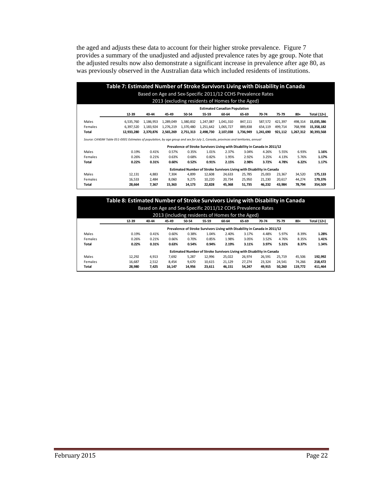the aged and adjusts these data to account for their higher stroke prevalence. Figure 7 provides a summary of the unadjusted and adjusted prevalence rates by age group. Note that the adjusted results now also demonstrate a significant increase in prevalence after age 80, as was previously observed in the Australian data which included residents of institutions.

|                                      | Table 7: Estimated Number of Stroke Survivors Living with Disability in Canada                                                    |           |           |           |           |           |                                                                            |           |         |           |                                               |  |  |  |
|--------------------------------------|-----------------------------------------------------------------------------------------------------------------------------------|-----------|-----------|-----------|-----------|-----------|----------------------------------------------------------------------------|-----------|---------|-----------|-----------------------------------------------|--|--|--|
|                                      | Based on Age and Sex-Specific 2011/12 CCHS Prevalence Rates<br>2013 (excluding residents of Homes for the Aged)                   |           |           |           |           |           |                                                                            |           |         |           |                                               |  |  |  |
| <b>Estimated Canadian Population</b> |                                                                                                                                   |           |           |           |           |           |                                                                            |           |         |           |                                               |  |  |  |
|                                      | 12-39                                                                                                                             | 40-44     | 45-49     | 50-54     | 55-59     | 60-64     | 65-69                                                                      | 70-74     | 75-79   | 80+       | Total (12+)                                   |  |  |  |
| Males                                | 6.535.760                                                                                                                         | 1.186.953 | 1.289.049 | 1,380,832 | 1.247.087 | 1,041,310 | 847.111                                                                    | 587.572   | 421.397 | 498.314   | 15,035,386                                    |  |  |  |
| Females                              | 6,397,520                                                                                                                         | 1,183,924 | 1,276,219 | 1,370,480 | 1,251,642 | 1,065,727 | 889,838                                                                    | 654,119   | 499,714 | 768,998   | 15,358,182                                    |  |  |  |
| Total                                | 12,933,280                                                                                                                        | 2,370,876 | 2,565,269 | 2,751,313 | 2,498,730 | 2,107,038 | 1,736,949                                                                  | 1,241,690 | 921,112 | 1,267,312 | 30,393,568                                    |  |  |  |
|                                      | Source: CANSIM Table 051-0001 Estimates of population, by age group and sex for July 1, Canada, provinces and territories, annual |           |           |           |           |           | Prevalence of Stroke Survivors Living with Disability in Canada in 2011/12 |           |         |           |                                               |  |  |  |
| Males                                | 0.19%                                                                                                                             | 0.41%     | 0.57%     | 0.35%     | 1.01%     | 2.37%     | 3.04%                                                                      | 4.26%     | 5.55%   | 6.93%     |                                               |  |  |  |
|                                      |                                                                                                                                   |           |           |           |           |           |                                                                            |           |         |           |                                               |  |  |  |
|                                      | 0.26%                                                                                                                             | 0.21%     | 0.63%     | 0.68%     | 0.82%     | 1.95%     | 2.92%                                                                      | 3.25%     | 4.13%   | 5.76%     |                                               |  |  |  |
|                                      | 0.22%                                                                                                                             | 0.31%     | 0.60%     | 0.52%     | 0.91%     | 2.15%     | 2.98%                                                                      | 3.72%     | 4.78%   | 6.22%     |                                               |  |  |  |
|                                      |                                                                                                                                   |           |           |           |           |           | Estimated Number of Stroke Survivors Living with Disability in Canada      |           |         |           |                                               |  |  |  |
| Total                                | 12.131                                                                                                                            | 4.883     | 7.304     | 4.899     | 12.608    | 24.633    | 25.785                                                                     | 25,003    | 23.367  | 34.520    |                                               |  |  |  |
| Females<br>Males<br>Females          | 16,533                                                                                                                            | 2,484     | 8,060     | 9,275     | 10,220    | 20,734    | 25,950                                                                     | 21,230    | 20.617  | 44,274    | 1.16%<br>1.17%<br>1.17%<br>175,133<br>179,376 |  |  |  |

#### **Table 8: Estimated Number of Stroke Survivors Living with Disability in Canada** Based on Age and Sex‐Specific 2011/12 CCHS Prevalence Rates

| 12-39 | 40-44 | 45-49 | 50-54 | 55-59 | 60-64 | 65-69 | 70-74 | 75-79                                            | $80 +$                                                                     | Total (12+) |
|-------|-------|-------|-------|-------|-------|-------|-------|--------------------------------------------------|----------------------------------------------------------------------------|-------------|
|       |       |       |       |       |       |       |       |                                                  |                                                                            |             |
| 0.19% | 0.41% | 0.60% | 0.38% | 1.04% | 2.40% | 3.17% | 4.48% | 5.97%                                            | 8.39%                                                                      | 1.28%       |
| 0.26% | 0.21% | 0.66% | 0.70% | 0.85% | 1.98% | 3.05% | 3.52% | 4.76%                                            | 8.35%                                                                      | 1.41%       |
| 0.22% | 0.31% | 0.63% | 0.54% | 0.94% | 2.19% | 3.11% | 3.97% | 5.31%                                            | 8.37%                                                                      | 1.34%       |
|       |       |       |       |       |       |       |       | 2013 (including residents of Homes for the Aged) | Prevalence of Stroke Survivors Living with Disability in Canada in 2011/12 |             |

Males 12,292 4,913 7,692 5,287 12,996 25,022 26,974 26,591 25,719 45,506  **192,992** Females 16,687 2,512 8,454 9,670 10,615 21,129 27,274 23,324 24,541 74,266  **218,472 Total 28,980 7,425 16,147 14,956 23,611 46,151 54,247 49,915 50,260 119,772 411,464**

**Estimated Number of Stroke Survivors Living with Disability in Canada**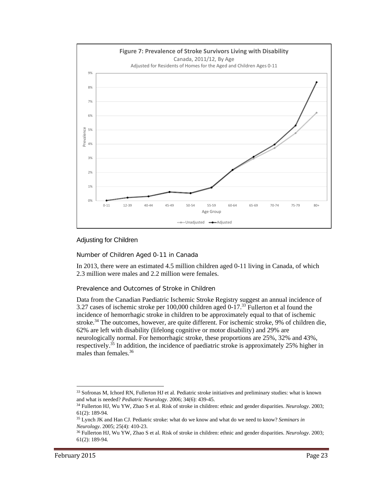

# Adjusting for Children

#### *Number of Children Aged 0-11 in Canada*

In 2013, there were an estimated 4.5 million children aged 0-11 living in Canada, of which 2.3 million were males and 2.2 million were females.

#### *Prevalence and Outcomes of Stroke in Children*

Data from the Canadian Paediatric Ischemic Stroke Registry suggest an annual incidence of 3.27 cases of ischemic stroke per 100,000 children aged 0-17.<sup>33</sup> Fullerton et al found the incidence of hemorrhagic stroke in children to be approximately equal to that of ischemic stroke.<sup>34</sup> The outcomes, however, are quite different. For ischemic stroke, 9% of children die, 62% are left with disability (lifelong cognitive or motor disability) and 29% are neurologically normal. For hemorrhagic stroke, these proportions are 25%, 32% and 43%, respectively.<sup>35</sup> In addition, the incidence of paediatric stroke is approximately 25% higher in males than females.<sup>36</sup>

l

<sup>33</sup> Sofronas M, Ichord RN, Fullerton HJ et al. Pediatric stroke initiatives and preliminary studies: what is known and what is needed? *Pediatric Neurology*. 2006; 34(6): 439-45. 34 Fullerton HJ, Wu YW, Zhao S et al. Risk of stroke in children: ethnic and gender disparities. *Neurology*. 2003;

<sup>61(2): 189-94.</sup> 

<sup>35</sup> Lynch JK and Han CJ. Pediatric stroke: what do we know and what do we need to know? *Seminars in* 

*Neurology*. 2005; 25(4): 410-23.<br><sup>36</sup> Fullerton HJ, Wu YW, Zhao S et al. Risk of stroke in children: ethnic and gender disparities. *Neurology*. 2003; 61(2): 189-94.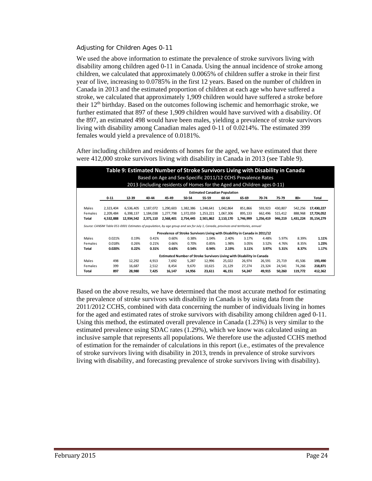#### *Adjusting for Children Ages 0-11*

We used the above information to estimate the prevalence of stroke survivors living with disability among children aged 0-11 in Canada. Using the annual incidence of stroke among children, we calculated that approximately 0.0065% of children suffer a stroke in their first year of live, increasing to 0.0785% in the first 12 years. Based on the number of children in Canada in 2013 and the estimated proportion of children at each age who have suffered a stroke, we calculated that approximately 1,909 children would have suffered a stroke before their  $12<sup>th</sup>$  birthday. Based on the outcomes following ischemic and hemorrhagic stroke, we further estimated that 897 of these 1,909 children would have survived with a disability. Of the 897, an estimated 498 would have been males, yielding a prevalence of stroke survivors living with disability among Canadian males aged 0-11 of 0.0214%. The estimated 399 females would yield a prevalence of 0.0181%.

After including children and residents of homes for the aged, we have estimated that there were 412,000 stroke survivors living with disability in Canada in 2013 (see Table 9).

|         | Table 9: Estimated Number of Stroke Survivors Living with Disability in Canada<br>Based on Age and Sex-Specific 2011/12 CCHS Prevalence Rates<br>2013 (including residents of Homes for the Aged and Children ages 0-11) |            |           |           |           |           |           |                                                                            |           |         |           |            |  |
|---------|--------------------------------------------------------------------------------------------------------------------------------------------------------------------------------------------------------------------------|------------|-----------|-----------|-----------|-----------|-----------|----------------------------------------------------------------------------|-----------|---------|-----------|------------|--|
|         | <b>Estimated Canadian Population</b>                                                                                                                                                                                     |            |           |           |           |           |           |                                                                            |           |         |           |            |  |
|         | $0 - 11$                                                                                                                                                                                                                 | 12-39      | 40-44     | 45-49     | 50-54     | 55-59     | 60-64     | 65-69                                                                      | 70-74     | 75-79   | $80 +$    | Total      |  |
| Males   | 2,323,404                                                                                                                                                                                                                | 6.536.405  | 1.187.072 | 1,290,603 | 1,382,386 | 1,248,641 | 1,042,864 | 851.866                                                                    | 593,923   | 430.807 | 542,256   | 17,430,227 |  |
| Females | 2.209.484                                                                                                                                                                                                                | 6.398.137  | 1.184.038 | 1.277.798 | 1,372,059 | 1,253,221 | 1.067.306 | 895.133                                                                    | 662.496   | 515.412 | 888.968   | 17,724,052 |  |
| Total   | 4,532,888                                                                                                                                                                                                                | 12,934,542 | 2,371,110 | 2,568,401 | 2,754,445 | 2,501,862 | 2,110,170 | 1,746,999                                                                  | 1,256,419 | 946,219 | 1,431,224 | 35,154,279 |  |
|         | Source: CANSIM Table 051-0001 Estimates of population, by age group and sex for July 1, Canada, provinces and territories, annual                                                                                        |            |           |           |           |           |           |                                                                            |           |         |           |            |  |
|         |                                                                                                                                                                                                                          |            |           |           |           |           |           | Prevalence of Stroke Survivors Living with Disability in Canada in 2011/12 |           |         |           |            |  |
| Males   | 0.021%                                                                                                                                                                                                                   | 0.19%      | 0.41%     | 0.60%     | 0.38%     | 1.04%     | 2.40%     | 3.17%                                                                      | 4.48%     | 5.97%   | 8.39%     | 1.11%      |  |
| Females | 0.018%                                                                                                                                                                                                                   | 0.26%      | 0.21%     | 0.66%     | 0.70%     | 0.85%     | 1.98%     | 3.05%                                                                      | 3.52%     | 4.76%   | 8.35%     | 1.23%      |  |
| Total   | 0.020%                                                                                                                                                                                                                   | 0.22%      | 0.31%     | 0.63%     | 0.54%     | 0.94%     | 2.19%     | 3.11%                                                                      | 3.97%     | 5.31%   | 8.37%     | 1.17%      |  |
|         | Estimated Number of Stroke Survivors Living with Disability in Canada                                                                                                                                                    |            |           |           |           |           |           |                                                                            |           |         |           |            |  |
| Males   | 498                                                                                                                                                                                                                      | 12.292     | 4,913     | 7.692     | 5.287     | 12.996    | 25,022    | 26.974                                                                     | 26,591    | 25.719  | 45,506    | 193,490    |  |
| Females | 399                                                                                                                                                                                                                      | 16.687     | 2,512     | 8.454     | 9.670     | 10.615    | 21.129    | 27.274                                                                     | 23,324    | 24.541  | 74.266    | 218,871    |  |
| Total   | 897                                                                                                                                                                                                                      | 28,980     | 7,425     | 16,147    | 14,956    | 23,611    | 46,151    | 54,247                                                                     | 49,915    | 50,260  | 119.772   | 412,362    |  |

Based on the above results, we have determined that the most accurate method for estimating the prevalence of stroke survivors with disability in Canada is by using data from the 2011/2012 CCHS, combined with data concerning the number of individuals living in homes for the aged and estimated rates of stroke survivors with disability among children aged 0-11. Using this method, the estimated overall prevalence in Canada (1.23%) is very similar to the estimated prevalence using SDAC rates (1.29%), which we know was calculated using an inclusive sample that represents all populations. We therefore use the adjusted CCHS method of estimation for the remainder of calculations in this report (i.e., estimates of the prevalence of stroke survivors living with disability in 2013, trends in prevalence of stroke survivors living with disability, and forecasting prevalence of stroke survivors living with disability).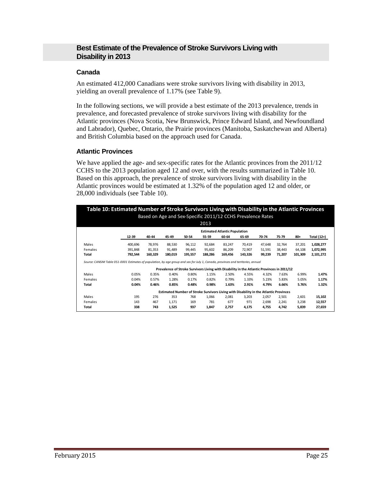# **Best Estimate of the Prevalence of Stroke Survivors Living with Disability in 2013**

#### **Canada**

An estimated 412,000 Canadians were stroke survivors living with disability in 2013, yielding an overall prevalence of 1.17% (see Table 9).

In the following sections, we will provide a best estimate of the 2013 prevalence, trends in prevalence, and forecasted prevalence of stroke survivors living with disability for the Atlantic provinces (Nova Scotia, New Brunswick, Prince Edward Island, and Newfoundland and Labrador), Quebec, Ontario, the Prairie provinces (Manitoba, Saskatchewan and Alberta) and British Columbia based on the approach used for Canada.

#### **Atlantic Provinces**

We have applied the age- and sex-specific rates for the Atlantic provinces from the 2011/12 CCHS to the 2013 population aged 12 and over, with the results summarized in Table 10. Based on this approach, the prevalence of stroke survivors living with disability in the Atlantic provinces would be estimated at 1.32% of the population aged 12 and older, or 28,000 individuals (see Table 10).

| Table 10: Estimated Number of Stroke Survivors Living with Disability in the Atlantic Provinces<br>Based on Age and Sex-Specific 2011/12 CCHS Prevalence Rates |                                                                                                                                   |         |                                                                                            |         |         |                                      |         |        |        |         |             |  |
|----------------------------------------------------------------------------------------------------------------------------------------------------------------|-----------------------------------------------------------------------------------------------------------------------------------|---------|--------------------------------------------------------------------------------------------|---------|---------|--------------------------------------|---------|--------|--------|---------|-------------|--|
|                                                                                                                                                                |                                                                                                                                   |         |                                                                                            |         | 2013    |                                      |         |        |        |         |             |  |
|                                                                                                                                                                |                                                                                                                                   |         |                                                                                            |         |         | <b>Estimated Atlantic Population</b> |         |        |        |         |             |  |
|                                                                                                                                                                | 12-39                                                                                                                             | 40-44   | 45-49                                                                                      | 50-54   | 55-59   | 60-64                                | 65-69   | 70-74  | 75-79  | 80+     | Total (12+) |  |
| Males                                                                                                                                                          | 400.696                                                                                                                           | 78.976  | 88.530                                                                                     | 96,112  | 92.684  | 83.247                               | 70.419  | 47.648 | 32.764 | 37,201  | 1,028,277   |  |
| Females                                                                                                                                                        | 391.848                                                                                                                           | 81.353  | 91.489                                                                                     | 99.445  | 95,602  | 86.209                               | 72.907  | 51,591 | 38,443 | 64,108  | 1,072,995   |  |
| Total                                                                                                                                                          | 792,544                                                                                                                           | 160.329 | 180,019                                                                                    | 195,557 | 188,286 | 169,456                              | 143,326 | 99,239 | 71,207 | 101,309 | 2,101,272   |  |
|                                                                                                                                                                | Source: CANSIM Table 051-0001 Estimates of population, by age group and sex for July 1, Canada, provinces and territories, annual |         |                                                                                            |         |         |                                      |         |        |        |         |             |  |
|                                                                                                                                                                |                                                                                                                                   |         | Prevalence of Stroke Survivors Living with Disability in the Atlantic Provinces in 2011/12 |         |         |                                      |         |        |        |         |             |  |
| Males                                                                                                                                                          | 0.05%                                                                                                                             | 0.35%   | 0.40%                                                                                      | 0.80%   | 1.15%   | 2.50%                                | 4.55%   | 4.32%  | 7.63%  | 6.99%   | 1.47%       |  |
| Females                                                                                                                                                        | 0.04%                                                                                                                             | 0.57%   | 1.28%                                                                                      | 0.17%   | 0.82%   | 0.79%                                | 1.33%   | 5.23%  | 5.83%  | 5.05%   | 1.17%       |  |
| Total                                                                                                                                                          | 0.04%                                                                                                                             | 0.46%   | 0.85%                                                                                      | 0.48%   | 0.98%   | 1.63%                                | 2.91%   | 4.79%  | 6.66%  | 5.76%   | 1.32%       |  |
|                                                                                                                                                                |                                                                                                                                   |         | Estimated Number of Stroke Survivors Living with Disability in the Atlantic Provinces      |         |         |                                      |         |        |        |         |             |  |
| Males                                                                                                                                                          | 195                                                                                                                               | 276     | 353                                                                                        | 768     | 1.066   | 2.081                                | 3.203   | 2.057  | 2.501  | 2.601   | 15,102      |  |
| Females                                                                                                                                                        | 143                                                                                                                               | 467     | 1,171                                                                                      | 169     | 781     | 677                                  | 971     | 2,698  | 2,241  | 3,238   | 12,557      |  |
| Total                                                                                                                                                          | 338                                                                                                                               | 743     | 1,525                                                                                      | 937     | 1,847   | 2,757                                | 4,175   | 4,755  | 4.742  | 5,839   | 27,659      |  |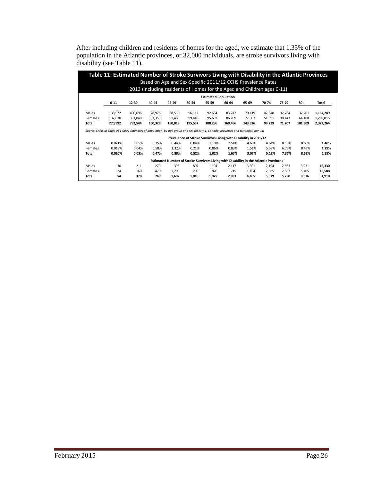After including children and residents of homes for the aged, we estimate that 1.35% of the population in the Atlantic provinces, or 32,000 individuals, are stroke survivors living with disability (see Table 11).

|         | Table 11: Estimated Number of Stroke Survivors Living with Disability in the Atlantic Provinces                                   |         |                                                                         |         |         |                             |         |                                                                                       |        |        |         |           |
|---------|-----------------------------------------------------------------------------------------------------------------------------------|---------|-------------------------------------------------------------------------|---------|---------|-----------------------------|---------|---------------------------------------------------------------------------------------|--------|--------|---------|-----------|
|         |                                                                                                                                   |         | Based on Age and Sex-Specific 2011/12 CCHS Prevalence Rates             |         |         |                             |         |                                                                                       |        |        |         |           |
|         |                                                                                                                                   |         | 2013 (including residents of Homes for the Aged and Children ages 0-11) |         |         |                             |         |                                                                                       |        |        |         |           |
|         |                                                                                                                                   |         |                                                                         |         |         | <b>Estimated Population</b> |         |                                                                                       |        |        |         |           |
|         | $0 - 11$                                                                                                                          | 12-39   | 40-44                                                                   | 45-49   | 50-54   | 55-59                       | 60-64   | 65-69                                                                                 | 70-74  | 75-79  | $80 +$  | Total     |
| Males   | 138,972                                                                                                                           | 400,696 | 78,976                                                                  | 88,530  | 96,112  | 92,684                      | 83,247  | 70,419                                                                                | 47,648 | 32.764 | 37,201  | 1,167,249 |
| Females | 132,020                                                                                                                           | 391,848 | 81,353                                                                  | 91.489  | 99,445  | 95,602                      | 86,209  | 72,907                                                                                | 51,591 | 38.443 | 64,108  | 1,205,015 |
| Total   | 270,992                                                                                                                           | 792,544 | 160,329                                                                 | 180,019 | 195,557 | 188,286                     | 169,456 | 143,326                                                                               | 99,239 | 71,207 | 101,309 | 2,372,264 |
|         | Source: CANSIM Table 051-0001 Estimates of population, by age group and sex for July 1, Canada, provinces and territories, annual |         |                                                                         |         |         |                             |         |                                                                                       |        |        |         |           |
|         |                                                                                                                                   |         |                                                                         |         |         |                             |         | Prevalence of Stroke Survivors Living with Disability in 2011/12                      |        |        |         |           |
| Males   | 0.021%                                                                                                                            | 0.05%   | 0.35%                                                                   | 0.44%   | 0.84%   | 1.19%                       | 2.54%   | 4.69%                                                                                 | 4.61%  | 8.13%  | 8.69%   | 1.40%     |
| Females | 0.018%                                                                                                                            | 0.04%   | 0.58%                                                                   | 1.32%   | 0.21%   | 0.86%                       | 0.83%   | 1.51%                                                                                 | 5.59%  | 6.73%  | 8.43%   | 1.29%     |
| Total   | 0.020%                                                                                                                            | 0.05%   | 0.47%                                                                   | 0.89%   | 0.52%   | 1.02%                       | 1.67%   | 3.07%                                                                                 | 5.12%  | 7.37%  | 8.52%   | 1.35%     |
|         |                                                                                                                                   |         |                                                                         |         |         |                             |         | Estimated Number of Stroke Survivors Living with Disability in the Atlantic Provinces |        |        |         |           |
| Males   | 30                                                                                                                                | 211     | 279                                                                     | 393     | 807     | 1,104                       | 2,117   | 3,301                                                                                 | 2,194  | 2,663  | 3,231   | 16,330    |
| Females | 24                                                                                                                                | 160     | 470                                                                     | 1,209   | 209     | 820                         | 715     | 1,104                                                                                 | 2,885  | 2,587  | 5,405   | 15,588    |
| Total   | 54                                                                                                                                | 370     | 749                                                                     | 1,602   | 1,016   | 1,925                       | 2,833   | 4,405                                                                                 | 5,079  | 5,250  | 8,636   | 31,918    |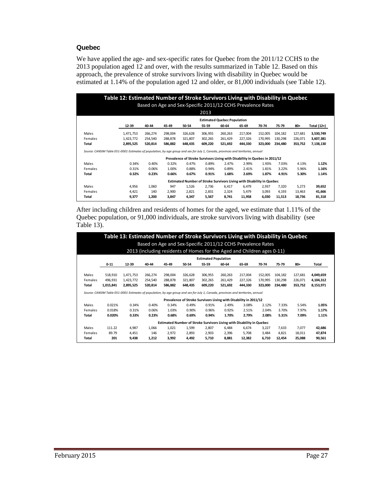#### **Quebec**

We have applied the age- and sex-specific rates for Quebec from the 2011/12 CCHS to the 2013 population aged 12 and over, with the results summarized in Table 12. Based on this approach, the prevalence of stroke survivors living with disability in Quebec would be estimated at 1.14% of the population aged 12 and older, or 81,000 individuals (see Table 12).

| Table 12: Estimated Number of Stroke Survivors Living with Disability in Quebec<br>Based on Age and Sex-Specific 2011/12 CCHS Prevalence Rates |                                    |         |         |         |         |         |                                                                            |         |         |         |             |  |  |
|------------------------------------------------------------------------------------------------------------------------------------------------|------------------------------------|---------|---------|---------|---------|---------|----------------------------------------------------------------------------|---------|---------|---------|-------------|--|--|
|                                                                                                                                                |                                    |         |         |         | 2013    |         |                                                                            |         |         |         |             |  |  |
|                                                                                                                                                | <b>Estimated Quebec Population</b> |         |         |         |         |         |                                                                            |         |         |         |             |  |  |
|                                                                                                                                                | 12-39                              | 40-44   | 45-49   | 50-54   | 55-59   | 60-64   | 65-69                                                                      | 70-74   | 75-79   | 80+     | Total (12+) |  |  |
| Males                                                                                                                                          | 1,471,753                          | 266,274 | 298,004 | 326,628 | 306,955 | 260,263 | 217,004                                                                    | 152,005 | 104.182 | 127,681 | 3,530,749   |  |  |
| Females                                                                                                                                        | 1,423,772                          | 254,540 | 288,878 | 321,807 | 302,265 | 261,429 | 227,326                                                                    | 170,995 | 130,298 | 226,071 | 3,607,381   |  |  |
| Total                                                                                                                                          | 2,895,525                          | 520,814 | 586,882 | 648,435 | 609,220 | 521,692 | 444,330                                                                    | 323,000 | 234,480 | 353,752 | 7,138,130   |  |  |
| Source: CANSIM Table 051-0001 Estimates of population, by age group and sex for July 1, Canada, provinces and territories, annual              |                                    |         |         |         |         |         |                                                                            |         |         |         |             |  |  |
|                                                                                                                                                |                                    |         |         |         |         |         | Prevalence of Stroke Survivors Living with Disability in Quebec in 2011/12 |         |         |         |             |  |  |
| Males                                                                                                                                          | 0.34%                              | 0.40%   | 0.32%   | 0.47%   | 0.89%   | 2.47%   | 2.99%                                                                      | 1.93%   | 7.03%   | 4.13%   | 1.12%       |  |  |
| Females                                                                                                                                        | 0.31%                              | 0.06%   | 1.00%   | 0.88%   | 0.94%   | 0.89%   | 2.41%                                                                      | 1.81%   | 3.22%   | 5.96%   | 1.16%       |  |  |
| Total                                                                                                                                          | 0.32%                              | 0.23%   | 0.66%   | 0.67%   | 0.91%   | 1.68%   | 2.69%                                                                      | 1.87%   | 4.91%   | 5.30%   | 1.14%       |  |  |
|                                                                                                                                                |                                    |         |         |         |         |         | Estimated Number of Stroke Survivors Living with Disability in Quebec      |         |         |         |             |  |  |
| Males                                                                                                                                          | 4,956                              | 1,060   | 947     | 1,526   | 2,736   | 6,417   | 6,479                                                                      | 2,937   | 7,320   | 5,273   | 39,652      |  |  |
| Females                                                                                                                                        | 4,421                              | 140     | 2,900   | 2,821   | 2,831   | 2,324   | 5,479                                                                      | 3,093   | 4.193   | 13,463  | 41,666      |  |  |
| Total                                                                                                                                          | 9,377                              | 1,200   | 3,847   | 4,347   | 5,567   | 8,741   | 11,958                                                                     | 6,030   | 11,513  | 18,736  | 81,318      |  |  |

After including children and residents of homes for the aged, we estimate that 1.11% of the Quebec population, or 91,000 individuals, are stroke survivors living with disability (see Table  $13$ ).

|                | Table 13: Estimated Number of Stroke Survivors Living with Disability in Quebec<br>Based on Age and Sex-Specific 2011/12 CCHS Prevalence Rates<br>2013 (including residents of Homes for the Aged and Children ages 0-11) |                                                                                                                                   |         |         |         |         |         |                                                                       |         |         |         |           |  |
|----------------|---------------------------------------------------------------------------------------------------------------------------------------------------------------------------------------------------------------------------|-----------------------------------------------------------------------------------------------------------------------------------|---------|---------|---------|---------|---------|-----------------------------------------------------------------------|---------|---------|---------|-----------|--|
|                | <b>Estimated Population</b>                                                                                                                                                                                               |                                                                                                                                   |         |         |         |         |         |                                                                       |         |         |         |           |  |
|                | $0 - 11$                                                                                                                                                                                                                  | 12-39                                                                                                                             | 40-44   | 45-49   | 50-54   | 55-59   | 60-64   | 65-69                                                                 | 70-74   | 75-79   | $80+$   | Total     |  |
| Males          | 518,910                                                                                                                                                                                                                   | 1,471,753                                                                                                                         | 266,274 | 298,004 | 326,628 | 306,955 | 260,263 | 217,004                                                               | 152,005 | 104,182 | 127,681 | 4,049,659 |  |
| Females        | 496.931                                                                                                                                                                                                                   | 1,423,772                                                                                                                         | 254,540 | 288.878 | 321,807 | 302,265 | 261.429 | 227,326                                                               | 170.995 | 130.298 | 226,071 | 4,104,312 |  |
| Total          | 1,015,841                                                                                                                                                                                                                 | 2,895,525                                                                                                                         | 520,814 | 586,882 | 648,435 | 609,220 | 521,692 | 444,330                                                               | 323,000 | 234.480 | 353,752 | 8,153,971 |  |
|                |                                                                                                                                                                                                                           | Source: CANSIM Table 051-0001 Estimates of population, by age group and sex for July 1, Canada, provinces and territories, annual |         |         |         |         |         |                                                                       |         |         |         |           |  |
|                |                                                                                                                                                                                                                           |                                                                                                                                   |         |         |         |         |         | Prevalence of Stroke Survivors Living with Disability in 2011/12      |         |         |         |           |  |
| Males          | 0.021%                                                                                                                                                                                                                    | 0.34%                                                                                                                             | 0.40%   | 0.34%   | 0.49%   | 0.91%   | 2.49%   | 3.08%                                                                 | 2.12%   | 7.33%   | 5.54%   | 1.05%     |  |
| <b>Females</b> | 0.018%                                                                                                                                                                                                                    | 0.31%                                                                                                                             | 0.06%   | 1.03%   | 0.90%   | 0.96%   | 0.92%   | 2.51%                                                                 | 2.04%   | 3.70%   | 7.97%   | 1.17%     |  |
| Total          | 0.020%                                                                                                                                                                                                                    | 0.33%                                                                                                                             | 0.23%   | 0.68%   | 0.69%   | 0.94%   | 1.70%   | 2.79%                                                                 | 2.08%   | 5.31%   | 7.09%   | 1.11%     |  |
|                |                                                                                                                                                                                                                           |                                                                                                                                   |         |         |         |         |         | Estimated Number of Stroke Survivors Living with Disability in Quebec |         |         |         |           |  |
| Males          | 111.22                                                                                                                                                                                                                    | 4,987                                                                                                                             | 1.066   | 1,021   | 1,599   | 2,807   | 6.484   | 6.674                                                                 | 3,227   | 7.633   | 7,077   | 42,686    |  |
| Females        | 89.79                                                                                                                                                                                                                     | 4.451                                                                                                                             | 146     | 2,972   | 2.893   | 2,903   | 2.396   | 5.708                                                                 | 3.484   | 4.821   | 18.011  | 47.874    |  |
| Total          | 201                                                                                                                                                                                                                       | 9,438                                                                                                                             | 1,212   | 3,992   | 4,492   | 5,710   | 8,881   | 12.382                                                                | 6.710   | 12.454  | 25.088  | 90,561    |  |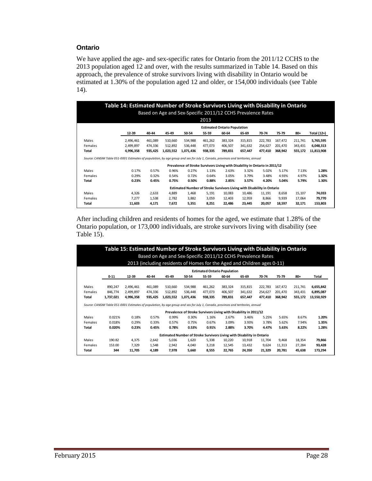#### **Ontario**

We have applied the age- and sex-specific rates for Ontario from the 2011/12 CCHS to the 2013 population aged 12 and over, with the results summarized in Table 14. Based on this approach, the prevalence of stroke survivors living with disability in Ontario would be estimated at 1.30% of the population aged 12 and older, or 154,000 individuals (see Table 14).

| Table 14: Estimated Number of Stroke Survivors Living with Disability in Ontario                                                  |           |         |           |                                                                             |         |                                     |         |         |         |         |             |
|-----------------------------------------------------------------------------------------------------------------------------------|-----------|---------|-----------|-----------------------------------------------------------------------------|---------|-------------------------------------|---------|---------|---------|---------|-------------|
|                                                                                                                                   |           |         |           | Based on Age and Sex-Specific 2011/12 CCHS Prevalence Rates                 |         |                                     |         |         |         |         |             |
|                                                                                                                                   |           |         |           |                                                                             | 2013    |                                     |         |         |         |         |             |
|                                                                                                                                   |           |         |           |                                                                             |         | <b>Estimated Ontario Population</b> |         |         |         |         |             |
|                                                                                                                                   | 12-39     | 40-44   | 45-49     | 50-54                                                                       | 55-59   | 60-64                               | 65-69   | 70-74   | 75-79   | 80+     | Total (12+) |
| Males                                                                                                                             | 2,496,461 | 461,089 | 510,660   | 534,988                                                                     | 461,262 | 383,324                             | 315,815 | 222,783 | 167,472 | 211,741 | 5,765,595   |
| Females                                                                                                                           | 2,499,897 | 474,336 | 512,892   | 536,448                                                                     | 477,073 | 406.507                             | 341,632 | 254,627 | 201.470 | 343,431 | 6,048,313   |
| Total                                                                                                                             | 4,996,358 | 935,425 | 1,023,552 | 1,071,436                                                                   | 938,335 | 789,831                             | 657,447 | 477,410 | 368,942 | 555,172 | 11,813,908  |
| Source: CANSIM Table 051-0001 Estimates of population, by age group and sex for July 1, Canada, provinces and territories, annual |           |         |           |                                                                             |         |                                     |         |         |         |         |             |
|                                                                                                                                   |           |         |           | Prevalence of Stroke Survivors Living with Disability in Ontario in 2011/12 |         |                                     |         |         |         |         |             |
| Males                                                                                                                             | 0.17%     | 0.57%   | 0.96%     | 0.27%                                                                       | 1.13%   | 2.63%                               | 3.32%   | 5.02%   | 5.17%   | 7.13%   | 1.28%       |
| Females                                                                                                                           | 0.29%     | 0.32%   | 0.54%     | 0.72%                                                                       | 0.64%   | 3.05%                               | 3.79%   | 3.48%   | 4.93%   | 4.97%   | 1.32%       |
| Total                                                                                                                             | 0.23%     | 0.45%   | 0.75%     | 0.50%                                                                       | 0.88%   | 2.85%                               | 3.57%   | 4.20%   | 5.04%   | 5.79%   | 1.30%       |
|                                                                                                                                   |           |         |           | Estimated Number of Stroke Survivors Living with Disability in Ontario      |         |                                     |         |         |         |         |             |
| Males                                                                                                                             | 4,326     | 2,633   | 4,889     | 1.468                                                                       | 5,191   | 10,083                              | 10,486  | 11,191  | 8,658   | 15,107  | 74,033      |
| Females                                                                                                                           | 7,277     | 1,538   | 2,782     | 3,882                                                                       | 3,059   | 12,403                              | 12,959  | 8,866   | 9,939   | 17,064  | 79,770      |
| Total                                                                                                                             | 11,603    | 4,171   | 7.672     | 5,351                                                                       | 8,251   | 22,486                              | 23,445  | 20,057  | 18,597  | 32,171  | 153,803     |

After including children and residents of homes for the aged, we estimate that 1.28% of the Ontario population, or 173,000 individuals, are stroke survivors living with disability (see Table 15).

|                                                                        |                                                                                                                                   | Table 15: Estimated Number of Stroke Survivors Living with Disability in Ontario |         |           | Based on Age and Sex-Specific 2011/12 CCHS Prevalence Rates<br>2013 (including residents of Homes for the Aged and Children ages 0-11) |                                     |         |         |         |         |         |            |
|------------------------------------------------------------------------|-----------------------------------------------------------------------------------------------------------------------------------|----------------------------------------------------------------------------------|---------|-----------|----------------------------------------------------------------------------------------------------------------------------------------|-------------------------------------|---------|---------|---------|---------|---------|------------|
|                                                                        |                                                                                                                                   |                                                                                  |         |           |                                                                                                                                        | <b>Estimated Ontario Population</b> |         |         |         |         |         |            |
|                                                                        | $0 - 11$                                                                                                                          | 12-39                                                                            | 40-44   | 45-49     | 50-54                                                                                                                                  | 55-59                               | 60-64   | 65-69   | 70-74   | 75-79   | $80 +$  | Total      |
| Males                                                                  | 890,247                                                                                                                           | 2,496,461                                                                        | 461,089 | 510.660   | 534,988                                                                                                                                | 461,262                             | 383,324 | 315,815 | 222,783 | 167,472 | 211,741 | 6,655,842  |
| Females                                                                | 846.774                                                                                                                           | 2,499,897                                                                        | 474,336 | 512.892   | 536.448                                                                                                                                | 477.073                             | 406.507 | 341.632 | 254.627 | 201.470 | 343,431 | 6,895,087  |
| Total                                                                  | 1,737,021                                                                                                                         | 4,996,358                                                                        | 935,425 | 1,023,552 | 1,071,436                                                                                                                              | 938,335                             | 789,831 | 657,447 | 477,410 | 368,942 | 555,172 | 13,550,929 |
|                                                                        | Source: CANSIM Table 051-0001 Estimates of population, by age group and sex for July 1, Canada, provinces and territories, annual |                                                                                  |         |           | Prevalence of Stroke Survivors Living with Disability in 2011/12                                                                       |                                     |         |         |         |         |         |            |
| Males                                                                  | 0.021%                                                                                                                            | 0.18%                                                                            | 0.57%   | 0.99%     | 0.30%                                                                                                                                  | 1.16%                               | 2.67%   | 3.46%   | 5.25%   | 5.65%   | 8.67%   | 1.20%      |
| Females                                                                | 0.018%                                                                                                                            | 0.29%                                                                            | 0.33%   | 0.57%     | 0.75%                                                                                                                                  | 0.67%                               | 3.09%   | 3.93%   | 3.78%   | 5.62%   | 7.94%   | 1.35%      |
| Total                                                                  | 0.020%                                                                                                                            | 0.23%                                                                            | 0.45%   | 0.78%     | 0.53%                                                                                                                                  | 0.91%                               | 2.88%   | 3.70%   | 4.47%   | 5.63%   | 8.22%   | 1.28%      |
| Estimated Number of Stroke Survivors Living with Disability in Ontario |                                                                                                                                   |                                                                                  |         |           |                                                                                                                                        |                                     |         |         |         |         |         |            |
| Males                                                                  | 190.82                                                                                                                            | 4.375                                                                            | 2,642   | 5.036     | 1.620                                                                                                                                  | 5.338                               | 10,220  | 10.918  | 11,704  | 9.468   | 18,354  | 79,866     |
| Females                                                                | 153.00                                                                                                                            | 7.329                                                                            | 1,548   | 2.942     | 4,040                                                                                                                                  | 3,218                               | 12,545  | 13.432  | 9,624   | 11.313  | 27.284  | 93,428     |
| Total                                                                  | 344                                                                                                                               | 11,705                                                                           | 4,189   | 7.978     | 5,660                                                                                                                                  | 8,555                               | 22,765  | 24,350  | 21,329  | 20,781  | 45,638  | 173,294    |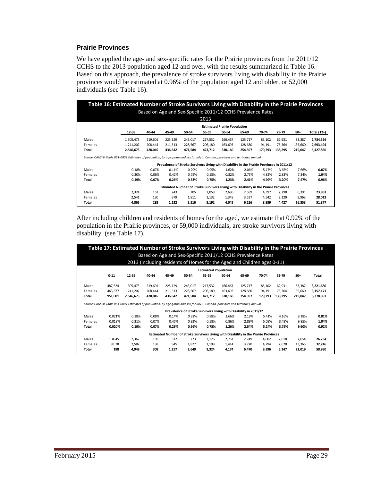#### **Prairie Provinces**

We have applied the age- and sex-specific rates for the Prairie provinces from the 2011/12 CCHS to the 2013 population aged 12 and over, with the results summarized in Table 16. Based on this approach, the prevalence of stroke survivors living with disability in the Prairie provinces would be estimated at 0.96% of the population aged 12 and older, or 52,000 individuals (see Table 16).

|         | Table 16: Estimated Number of Stroke Survivors Living with Disability in the Prairie Provinces                                    |         |                                                                                           |         |         |                                     |                                                                                      |         |         |         |             |
|---------|-----------------------------------------------------------------------------------------------------------------------------------|---------|-------------------------------------------------------------------------------------------|---------|---------|-------------------------------------|--------------------------------------------------------------------------------------|---------|---------|---------|-------------|
|         |                                                                                                                                   |         |                                                                                           |         |         |                                     | Based on Age and Sex-Specific 2011/12 CCHS Prevalence Rates                          |         |         |         |             |
|         |                                                                                                                                   |         |                                                                                           |         | 2013    |                                     |                                                                                      |         |         |         |             |
|         |                                                                                                                                   |         |                                                                                           |         |         | <b>Estimated Prairie Population</b> |                                                                                      |         |         |         |             |
|         | 12-39                                                                                                                             | 40-44   | 45-49                                                                                     | 50-54   | 55-59   | 60-64                               | 65-69                                                                                | 70-74   | 75-79   | 80+     | Total (12+) |
| Males   | 1,305,473                                                                                                                         | 219.601 | 225.129                                                                                   | 243,017 | 217.532 | 166.467                             | 125.717                                                                              | 85,102  | 62.931  | 83.387  | 2,734,356   |
| Females | 1,241,202                                                                                                                         | 208,444 | 211,513                                                                                   | 228,567 | 206,180 | 163,693                             | 128,680                                                                              | 94,191  | 75,364  | 135,660 | 2,693,494   |
| Total   | 2,546,675                                                                                                                         | 428,045 | 436,642                                                                                   | 471,584 | 423,712 | 330,160                             | 254,397                                                                              | 179,293 | 138,295 | 219,047 | 5,427,850   |
|         | Source: CANSIM Table 051-0001 Estimates of population, by age group and sex for July 1, Canada, provinces and territories, annual |         | Prevalence of Stroke Survivors Living with Disability in the Prairie Provinces in 2011/12 |         |         |                                     |                                                                                      |         |         |         |             |
|         |                                                                                                                                   |         |                                                                                           |         |         |                                     |                                                                                      |         |         |         |             |
| Males   | 0.18%                                                                                                                             | 0.07%   | 0.11%                                                                                     | 0.29%   | 0.95%   | 1.62%                               | 2.06%                                                                                | 5.17%   | 3.65%   | 7.66%   | 0.87%       |
| Females | 0.20%                                                                                                                             | 0.06%   | 0.42%                                                                                     | 0.79%   | 0.55%   | 0.82%                               | 2.75%                                                                                | 4.82%   | 2.83%   | 7.34%   | 1.04%       |
| Total   | 0.19%                                                                                                                             | 0.07%   | 0.26%                                                                                     | 0.53%   | 0.75%   | 1.23%                               | 2.41%                                                                                | 4.99%   | 3.20%   | 7.47%   | 0.96%       |
|         |                                                                                                                                   |         |                                                                                           |         |         |                                     | Estimated Number of Stroke Survivors Living with Disability in the Prairie Provinces |         |         |         |             |
| Males   | 2,324                                                                                                                             | 162     | 243                                                                                       | 705     | 2,059   | 2,696                               | 2,589                                                                                | 4.397   | 2,298   | 6,391   | 23,863      |
| Females | 2,541                                                                                                                             | 130     | 879                                                                                       | 1,811   | 1,132   | 1,348                               | 3,537                                                                                | 4,542   | 2,129   | 9,963   | 28,013      |

After including children and residents of homes for the aged, we estimate that 0.92% of the population in the Prairie provinces, or 59,000 individuals, are stroke survivors living with disability (see Table 17).

|         | Table 17: Estimated Number of Stroke Survivors Living with Disability in the Prairie Provinces |                                                                                                                                   |                                                                         |         |         |         |         |                                                                  |         |         |         |           |  |
|---------|------------------------------------------------------------------------------------------------|-----------------------------------------------------------------------------------------------------------------------------------|-------------------------------------------------------------------------|---------|---------|---------|---------|------------------------------------------------------------------|---------|---------|---------|-----------|--|
|         |                                                                                                |                                                                                                                                   | Based on Age and Sex-Specific 2011/12 CCHS Prevalence Rates             |         |         |         |         |                                                                  |         |         |         |           |  |
|         |                                                                                                |                                                                                                                                   | 2013 (including residents of Homes for the Aged and Children ages 0-11) |         |         |         |         |                                                                  |         |         |         |           |  |
|         | <b>Estimated Population</b>                                                                    |                                                                                                                                   |                                                                         |         |         |         |         |                                                                  |         |         |         |           |  |
|         | $0 - 11$                                                                                       | 12-39                                                                                                                             | 40-44                                                                   | 45-49   | 50-54   | 55-59   | 60-64   | 65-69                                                            | 70-74   | 75-79   | $80+$   | Total     |  |
| Males   | 487,324                                                                                        | 1,305,473                                                                                                                         | 219,601                                                                 | 225,129 | 243,017 | 217,532 | 166,467 | 125,717                                                          | 85,102  | 62,931  | 83,387  | 3,221,680 |  |
| Females | 463.677                                                                                        | 1,241,202                                                                                                                         | 208.444                                                                 | 211.513 | 228.567 | 206,180 | 163.693 | 128.680                                                          | 94,191  | 75.364  | 135.660 | 3,157,171 |  |
| Total   | 951,001                                                                                        | 2,546,675                                                                                                                         | 428,045                                                                 | 436,642 | 471,584 | 423,712 | 330,160 | 254,397                                                          | 179,293 | 138.295 | 219,047 | 6,378,851 |  |
|         |                                                                                                | Source: CANSIM Table 051-0001 Estimates of population, by age group and sex for July 1, Canada, provinces and territories, annual |                                                                         |         |         |         |         |                                                                  |         |         |         |           |  |
|         |                                                                                                |                                                                                                                                   |                                                                         |         |         |         |         |                                                                  |         |         |         |           |  |
|         |                                                                                                |                                                                                                                                   |                                                                         |         |         |         |         | Prevalence of Stroke Survivors Living with Disability in 2011/12 |         |         |         |           |  |
| Males   | 0.021%                                                                                         | 0.18%                                                                                                                             | 0.08%                                                                   | 0.14%   | 0.32%   | 0.98%   | 1.66%   | 2.19%                                                            | 5.41%   | 4.16%   | 9.18%   | 0.81%     |  |
| Females | 0.018%                                                                                         | 0.21%                                                                                                                             | 0.07%                                                                   | 0.45%   | 0.82%   | 0.58%   | 0.86%   | 2.89%                                                            | 5.09%   | 3.49%   | 9.85%   | 1.04%     |  |
| Total   | 0.020%                                                                                         | 0.19%                                                                                                                             | 0.07%                                                                   | 0.29%   | 0.56%   | 0.78%   | 1.26%   | 2.54%                                                            | 5.24%   | 3.79%   | 9.60%   | 0.92%     |  |
|         | Estimated Number of Stroke Survivors Living with Disability in the Prairie Provinces           |                                                                                                                                   |                                                                         |         |         |         |         |                                                                  |         |         |         |           |  |
| Males   | 104.45                                                                                         | 2.367                                                                                                                             | 169                                                                     | 312     | 773     | 2.126   | 2.761   | 2,749                                                            | 4.602   | 2.618   | 7.654   | 26,234    |  |
| Females | 83.78                                                                                          | 2,582                                                                                                                             | 138                                                                     | 945     | 1,877   | 1,198   | 1.414   | 3,720                                                            | 4,794   | 2,628   | 13,365  | 32,746    |  |
| Total   | 188                                                                                            | 4,949                                                                                                                             | 308                                                                     | 1,257   | 2,649   | 3,324   | 4.174   | 6,470                                                            | 9,396   | 5,247   | 21.019  | 58,980    |  |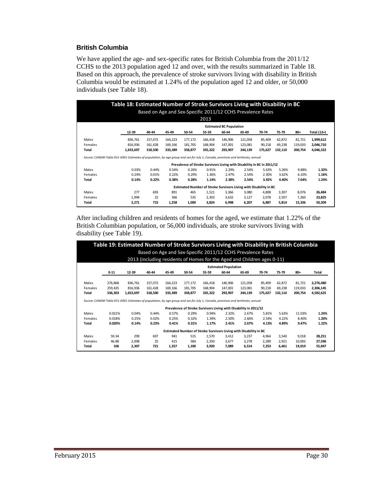#### **British Columbia**

We have applied the age- and sex-specific rates for British Columbia from the 2011/12 CCHS to the 2013 population aged 12 and over, with the results summarized in Table 18. Based on this approach, the prevalence of stroke survivors living with disability in British Columbia would be estimated at 1.24% of the population aged 12 and older, or 50,000 individuals (see Table 18).

| Table 18: Estimated Number of Stroke Survivors Living with Disability in BC<br>Based on Age and Sex-Specific 2011/12 CCHS Prevalence Rates<br>2013 |           |         |         |         |                                                                        |         |         |         |         |         |             |  |
|----------------------------------------------------------------------------------------------------------------------------------------------------|-----------|---------|---------|---------|------------------------------------------------------------------------|---------|---------|---------|---------|---------|-------------|--|
| <b>Estimated BC Population</b>                                                                                                                     |           |         |         |         |                                                                        |         |         |         |         |         |             |  |
|                                                                                                                                                    | 12-39     | 40-44   | 45-49   | 50-54   | 55-59                                                                  | 60-64   | 65-69   | 70-74   | 75-79   | 80+     | Total (12+) |  |
| Males                                                                                                                                              | 836,761   | 157,072 | 164,223 | 177,172 | 166,418                                                                | 146,906 | 121,058 | 85,409  | 62,872  | 81,721  | 1,999,612   |  |
| Females                                                                                                                                            | 816,936   | 161,428 | 169,166 | 181,705 | 168,904                                                                | 147,001 | 123,081 | 90,218  | 69,238  | 119,033 | 2,046,710   |  |
| Total                                                                                                                                              | 1,653,697 | 318,500 | 333,389 | 358,877 | 335,322                                                                | 293,907 | 244,139 | 175,627 | 132,110 | 200,754 | 4,046,322   |  |
| Source: CANSIM Table 051-0001 Estimates of population, by age group and sex for July 1, Canada, provinces and territories, annual                  |           |         |         |         |                                                                        |         |         |         |         |         |             |  |
|                                                                                                                                                    |           |         |         |         | Prevalence of Stroke Survivors Living with Disability in BC in 2011/12 |         |         |         |         |         |             |  |
| Males                                                                                                                                              | 0.03%     | 0.44%   | 0.54%   | 0.26%   | 0.91%                                                                  | 2.29%   | 2.54%   | 5.63%   | 5.26%   | 9.88%   | 1.32%       |  |
| Females                                                                                                                                            | 0.24%     | 0.01%   | 0.22%   | 0.29%   | 1.36%                                                                  | 2.47%   | 2.54%   | 2.30%   | 3.62%   | 6.10%   | 1.16%       |  |
| Total                                                                                                                                              | 0.14%     | 0.22%   | 0.38%   | 0.28%   | 1.14%                                                                  | 2.38%   | 2.54%   | 3.92%   | 4.40%   | 7.64%   | 1.24%       |  |
|                                                                                                                                                    |           |         |         |         | Estimated Number of Stroke Survivors Living with Disability in BC      |         |         |         |         |         |             |  |
| Males                                                                                                                                              | 277       | 693     | 891     | 465     | 1.521                                                                  | 3,366   | 3.080   | 4.808   | 3.307   | 8,076   | 26,484      |  |
| Females                                                                                                                                            | 1,994     | 22      | 366     | 535     | 2,303                                                                  | 3,632   | 3,127   | 2,078   | 2,507   | 7,260   | 23,825      |  |
| Total                                                                                                                                              | 2,271     | 715     | 1,258   | 1,000   | 3,824                                                                  | 6,998   | 6,207   | 6,887   | 5,814   | 15,336  | 50,309      |  |

After including children and residents of homes for the aged, we estimate that 1.22% of the British Columbian population, or 56,000 individuals, are stroke survivors living with disability (see Table 19).

|         | Table 19: Estimated Number of Stroke Survivors Living with Disability in British Columbia<br>Based on Age and Sex-Specific 2011/12 CCHS Prevalence Rates<br>2013 (including residents of Homes for the Aged and Children ages 0-11) |                                                                                                                                   |         |         |         |         |         |                                                                  |         |         |         |           |  |
|---------|-------------------------------------------------------------------------------------------------------------------------------------------------------------------------------------------------------------------------------------|-----------------------------------------------------------------------------------------------------------------------------------|---------|---------|---------|---------|---------|------------------------------------------------------------------|---------|---------|---------|-----------|--|
|         | <b>Estimated Population</b>                                                                                                                                                                                                         |                                                                                                                                   |         |         |         |         |         |                                                                  |         |         |         |           |  |
|         |                                                                                                                                                                                                                                     |                                                                                                                                   |         |         |         |         |         |                                                                  |         |         |         |           |  |
|         | $0 - 11$                                                                                                                                                                                                                            | 12-39                                                                                                                             | 40-44   | 45-49   | 50-54   | 55-59   | 60-64   | 65-69                                                            | 70-74   | 75-79   | $80+$   | Total     |  |
| Males   | 276,868                                                                                                                                                                                                                             | 836,761                                                                                                                           | 157,072 | 164,223 | 177,172 | 166,418 | 146,906 | 121,058                                                          | 85,409  | 62,872  | 81,721  | 2,276,480 |  |
| Females |                                                                                                                                                                                                                                     |                                                                                                                                   |         | 169.166 |         |         |         |                                                                  |         |         |         |           |  |
|         | 259,435                                                                                                                                                                                                                             | 816,936                                                                                                                           | 161,428 |         | 181,705 | 168,904 | 147,001 | 123,081                                                          | 90,218  | 69,238  | 119,033 | 2,306,145 |  |
| Total   | 536,303                                                                                                                                                                                                                             | 1,653,697                                                                                                                         | 318,500 | 333.389 | 358.877 | 335,322 | 293,907 | 244.139                                                          | 175,627 | 132,110 | 200,754 | 4,582,625 |  |
|         |                                                                                                                                                                                                                                     | Source: CANSIM Table 051-0001 Estimates of population, by age group and sex for July 1, Canada, provinces and territories, annual |         |         |         |         |         |                                                                  |         |         |         |           |  |
|         |                                                                                                                                                                                                                                     |                                                                                                                                   |         |         |         |         |         | Prevalence of Stroke Survivors Living with Disability in 2011/12 |         |         |         |           |  |
| Males   | 0.021%                                                                                                                                                                                                                              | 0.04%                                                                                                                             | 0.44%   | 0.57%   | 0.29%   | 0.94%   | 2.32%   | 2.67%                                                            | 5.81%   | 5.63%   | 11.03%  | 1.24%     |  |
| Females | 0.018%                                                                                                                                                                                                                              | 0.25%                                                                                                                             | 0.02%   | 0.25%   | 0.32%   | 1.39%   | 2.50%   | 2.66%                                                            | 2.54%   | 4.22%   | 8.40%   | 1.20%     |  |
| Total   | 0.020%                                                                                                                                                                                                                              | 0.14%                                                                                                                             | 0.23%   | 0.41%   | 0.31%   | 1.17%   | 2.41%   | 2.67%                                                            | 4.13%   | 4.89%   | 9.47%   | 1.22%     |  |
|         | Estimated Number of Stroke Survivors Living with Disability in BC                                                                                                                                                                   |                                                                                                                                   |         |         |         |         |         |                                                                  |         |         |         |           |  |
| Males   | 59.34                                                                                                                                                                                                                               | 299                                                                                                                               | 697     | 941     | 515     | 1.570   | 3.412   | 3.237                                                            | 4.964   | 3.540   | 9.018   | 28,251    |  |
| Females | 46.88                                                                                                                                                                                                                               | 2,008                                                                                                                             | 25      | 415     | 584     | 2,350   | 3.677   | 3,278                                                            | 2,289   | 2.921   | 10,002  | 27,596    |  |
| Total   | 106                                                                                                                                                                                                                                 | 2,307                                                                                                                             | 721     | 1.357   | 1.100   | 3.920   | 7.089   | 6.514                                                            | 7.253   | 6.461   | 19.019  | 55,847    |  |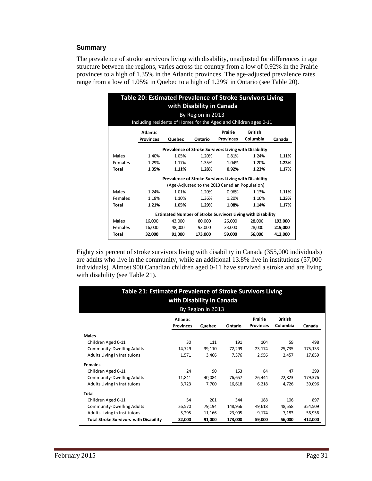#### **Summary**

The prevalence of stroke survivors living with disability, unadjusted for differences in age structure between the regions, varies across the country from a low of 0.92% in the Prairie provinces to a high of 1.35% in the Atlantic provinces. The age-adjusted prevalence rates range from a low of 1.05% in Quebec to a high of 1.29% in Ontario (see Table 20).

| Table 20: Estimated Prevalence of Stroke Survivors Living<br>with Disability in Canada |                  |        |                   |                                                       |                                                                    |         |  |  |  |  |  |  |  |
|----------------------------------------------------------------------------------------|------------------|--------|-------------------|-------------------------------------------------------|--------------------------------------------------------------------|---------|--|--|--|--|--|--|--|
|                                                                                        |                  |        | By Region in 2013 |                                                       |                                                                    |         |  |  |  |  |  |  |  |
| Including residents of Homes for the Aged and Children ages 0-11                       |                  |        |                   |                                                       |                                                                    |         |  |  |  |  |  |  |  |
| Prairie<br><b>British</b><br><b>Atlantic</b>                                           |                  |        |                   |                                                       |                                                                    |         |  |  |  |  |  |  |  |
|                                                                                        | <b>Provinces</b> | Quebec | Ontario           | <b>Provinces</b>                                      | Columbia                                                           | Canada  |  |  |  |  |  |  |  |
|                                                                                        |                  |        |                   | Prevalence of Stroke Survivors Living with Disability |                                                                    |         |  |  |  |  |  |  |  |
| Males                                                                                  | 1.40%            | 1.05%  | 1.20%             | 0.81%                                                 | 1.24%                                                              | 1.11%   |  |  |  |  |  |  |  |
| Females                                                                                | 1.29%            | 1.17%  | 1.35%             | 1.04%                                                 | 1.20%                                                              | 1.23%   |  |  |  |  |  |  |  |
| <b>Total</b>                                                                           | 1.35%            | 1.11%  | 1.28%             | 0.92%                                                 | 1.22%                                                              | 1.17%   |  |  |  |  |  |  |  |
|                                                                                        |                  |        |                   | Prevalence of Stroke Survivors Living with Disability |                                                                    |         |  |  |  |  |  |  |  |
|                                                                                        |                  |        |                   | (Age-Adjusted to the 2013 Canadian Population)        |                                                                    |         |  |  |  |  |  |  |  |
| Males                                                                                  | 1.24%            | 1.01%  | 1.20%             | 0.96%                                                 | 1.13%                                                              | 1.11%   |  |  |  |  |  |  |  |
| Females                                                                                | 1.18%            | 1.10%  | 1.36%             | 1.20%                                                 | 1.16%                                                              | 1.23%   |  |  |  |  |  |  |  |
| <b>Total</b>                                                                           | 1.21%            | 1.05%  | 1.29%             | 1.08%                                                 | 1.14%                                                              | 1.17%   |  |  |  |  |  |  |  |
|                                                                                        |                  |        |                   |                                                       | <b>Estimated Number of Stroke Survivors Living with Disability</b> |         |  |  |  |  |  |  |  |
| Males                                                                                  | 16,000           | 43.000 | 80.000            | 26,000                                                | 28.000                                                             | 193,000 |  |  |  |  |  |  |  |
| Females                                                                                | 16,000           | 48,000 | 93,000            | 33,000                                                | 28,000                                                             | 219,000 |  |  |  |  |  |  |  |
| Total                                                                                  | 32,000           | 91,000 | 173,000           | 59,000                                                | 56,000                                                             | 412,000 |  |  |  |  |  |  |  |

Eighty six percent of stroke survivors living with disability in Canada (355,000 individuals) are adults who live in the community, while an additional 13.8% live in institutions (57,000 individuals). Almost 900 Canadian children aged 0-11 have survived a stroke and are living with disability (see Table 21).

|                                               | Table 21: Estimated Prevalence of Stroke Survivors Living<br>with Disability in Canada<br>By Region in 2013 |        |         |                  |                |         |  |  |  |  |  |  |
|-----------------------------------------------|-------------------------------------------------------------------------------------------------------------|--------|---------|------------------|----------------|---------|--|--|--|--|--|--|
|                                               | <b>Atlantic</b>                                                                                             |        |         | Prairie          | <b>British</b> |         |  |  |  |  |  |  |
|                                               | <b>Provinces</b>                                                                                            | Quebec | Ontario | <b>Provinces</b> | Columbia       | Canada  |  |  |  |  |  |  |
| <b>Males</b>                                  |                                                                                                             |        |         |                  |                |         |  |  |  |  |  |  |
| Children Aged 0-11                            | 30                                                                                                          | 111    | 191     | 104              | 59             | 498     |  |  |  |  |  |  |
| <b>Community-Dwelling Adults</b>              | 14,729                                                                                                      | 39,110 | 72,299  | 23,174           | 25,735         | 175,133 |  |  |  |  |  |  |
| Adults Living in Instituions                  | 1,571                                                                                                       | 3,466  | 7,376   | 2,956            | 2,457          | 17,859  |  |  |  |  |  |  |
| <b>Females</b>                                |                                                                                                             |        |         |                  |                |         |  |  |  |  |  |  |
| Children Aged 0-11                            | 24                                                                                                          | 90     | 153     | 84               | 47             | 399     |  |  |  |  |  |  |
| <b>Community-Dwelling Adults</b>              | 11,841                                                                                                      | 40,084 | 76,657  | 26,444           | 22,823         | 179,376 |  |  |  |  |  |  |
| Adults Living in Instituions                  | 3,723                                                                                                       | 7,700  | 16,618  | 6,218            | 4,726          | 39,096  |  |  |  |  |  |  |
| Total                                         |                                                                                                             |        |         |                  |                |         |  |  |  |  |  |  |
| Children Aged 0-11                            | 54                                                                                                          | 201    | 344     | 188              | 106            | 897     |  |  |  |  |  |  |
| <b>Community-Dwelling Adults</b>              | 26,570                                                                                                      | 79,194 | 148,956 | 49,618           | 48,558         | 354,509 |  |  |  |  |  |  |
| Adults Living in Instituions                  | 5,295                                                                                                       | 11,166 | 23,995  | 9,174            | 7,183          | 56,956  |  |  |  |  |  |  |
| <b>Total Stroke Survivors with Disability</b> | 32,000                                                                                                      | 91,000 | 173,000 | 59,000           | 56,000         | 412,000 |  |  |  |  |  |  |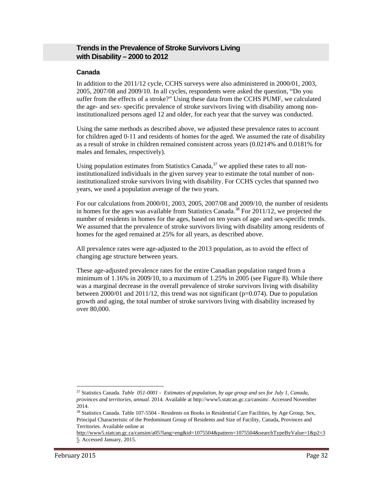# **Trends in the Prevalence of Stroke Survivors Living with Disability – 2000 to 2012**

#### **Canada**

In addition to the 2011/12 cycle, CCHS surveys were also administered in 2000/01, 2003, 2005, 2007/08 and 2009/10. In all cycles, respondents were asked the question, "Do you suffer from the effects of a stroke?" Using these data from the CCHS PUMF, we calculated the age- and sex- specific prevalence of stroke survivors living with disability among noninstitutionalized persons aged 12 and older, for each year that the survey was conducted.

Using the same methods as described above, we adjusted these prevalence rates to account for children aged 0-11 and residents of homes for the aged. We assumed the rate of disability as a result of stroke in children remained consistent across years (0.0214% and 0.0181% for males and females, respectively).

Using population estimates from Statistics Canada,  $37$  we applied these rates to all noninstitutionalized individuals in the given survey year to estimate the total number of noninstitutionalized stroke survivors living with disability. For CCHS cycles that spanned two years, we used a population average of the two years.

For our calculations from 2000/01, 2003, 2005, 2007/08 and 2009/10, the number of residents in homes for the ages was available from Statistics Canada.<sup>38</sup> For  $2011/12$ , we projected the number of residents in homes for the ages, based on ten years of age- and sex-specific trends. We assumed that the prevalence of stroke survivors living with disability among residents of homes for the aged remained at 25% for all years, as described above.

All prevalence rates were age-adjusted to the 2013 population, as to avoid the effect of changing age structure between years.

These age-adjusted prevalence rates for the entire Canadian population ranged from a minimum of  $1.16\%$  in 2009/10, to a maximum of  $1.25\%$  in 2005 (see Figure 8). While there was a marginal decrease in the overall prevalence of stroke survivors living with disability between 2000/01 and 2011/12, this trend was not significant ( $p=0.074$ ). Due to population growth and aging, the total number of stroke survivors living with disability increased by over 80,000.

1

<sup>37</sup> Statistics Canada. *Table 051-0001 - Estimates of population, by age group and sex for July 1, Canada, provinces and territories, annual*. 2014. Available at http://www5.statcan.gc.ca/cansim/. Accessed November 2014.

<sup>&</sup>lt;sup>38</sup> Statistics Canada. Table 107-5504 - Residents on Books in Residential Care Facilities, by Age Group, Sex, Principal Characteristic of the Predominant Group of Residents and Size of Facility, Canada, Provinces and Territories. Available online at

http://www5.statcan.gc.ca/cansim/a05?lang=eng&id=1075504&pattern=1075504&searchTypeByValue=1&p2=3 5. Accessed January, 2015.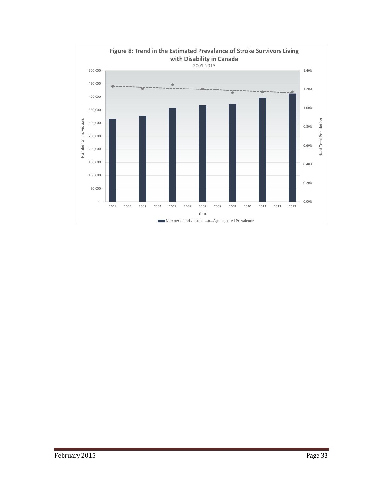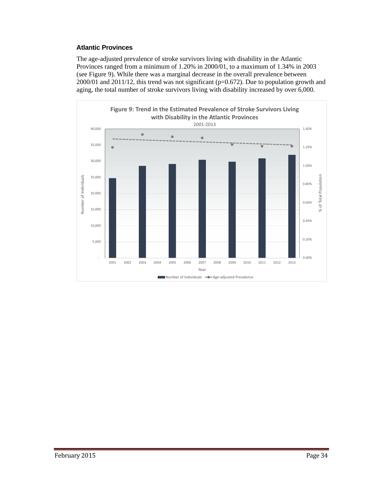# **Atlantic Provinces**

The age-adjusted prevalence of stroke survivors living with disability in the Atlantic Provinces ranged from a minimum of 1.20% in 2000/01, to a maximum of 1.34% in 2003 (see Figure 9). While there was a marginal decrease in the overall prevalence between 2000/01 and 2011/12, this trend was not significant (p=0.672). Due to population growth and aging, the total number of stroke survivors living with disability increased by over 6,000.

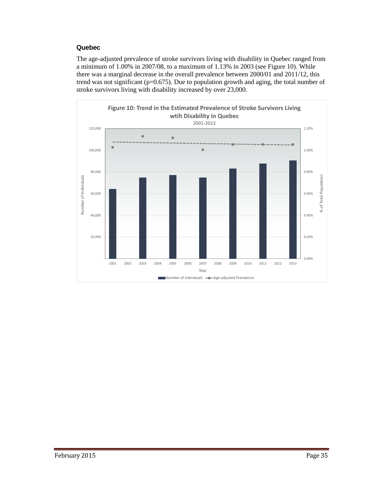# **Quebec**

The age-adjusted prevalence of stroke survivors living with disability in Quebec ranged from a minimum of 1.00% in 2007/08, to a maximum of 1.13% in 2003 (see Figure 10). While there was a marginal decrease in the overall prevalence between 2000/01 and 2011/12, this trend was not significant (p=0.675). Due to population growth and aging, the total number of stroke survivors living with disability increased by over 23,000.

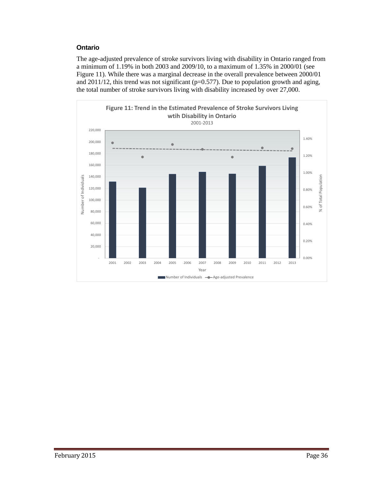# **Ontario**

The age-adjusted prevalence of stroke survivors living with disability in Ontario ranged from a minimum of 1.19% in both 2003 and 2009/10, to a maximum of 1.35% in 2000/01 (see Figure 11). While there was a marginal decrease in the overall prevalence between 2000/01 and 2011/12, this trend was not significant (p=0.577). Due to population growth and aging, the total number of stroke survivors living with disability increased by over 27,000.

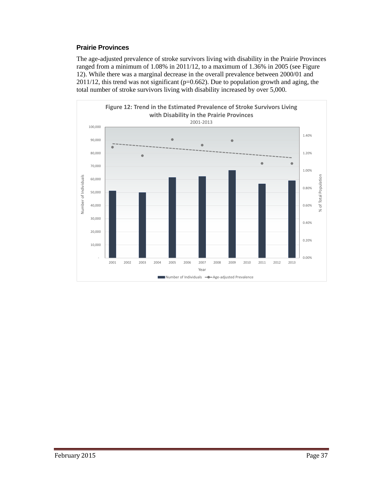# **Prairie Provinces**

The age-adjusted prevalence of stroke survivors living with disability in the Prairie Provinces ranged from a minimum of 1.08% in 2011/12, to a maximum of 1.36% in 2005 (see Figure 12). While there was a marginal decrease in the overall prevalence between 2000/01 and 2011/12, this trend was not significant (p=0.662). Due to population growth and aging, the total number of stroke survivors living with disability increased by over 5,000.

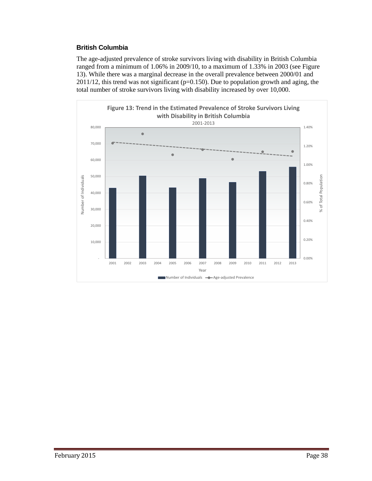# **British Columbia**

The age-adjusted prevalence of stroke survivors living with disability in British Columbia ranged from a minimum of 1.06% in 2009/10, to a maximum of 1.33% in 2003 (see Figure 13). While there was a marginal decrease in the overall prevalence between 2000/01 and 2011/12, this trend was not significant (p=0.150). Due to population growth and aging, the total number of stroke survivors living with disability increased by over 10,000.

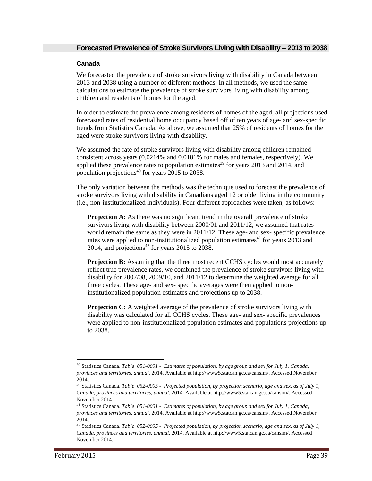# **Canada**

We forecasted the prevalence of stroke survivors living with disability in Canada between 2013 and 2038 using a number of different methods. In all methods, we used the same calculations to estimate the prevalence of stroke survivors living with disability among children and residents of homes for the aged.

In order to estimate the prevalence among residents of homes of the aged, all projections used forecasted rates of residential home occupancy based off of ten years of age- and sex-specific trends from Statistics Canada. As above, we assumed that 25% of residents of homes for the aged were stroke survivors living with disability.

We assumed the rate of stroke survivors living with disability among children remained consistent across years (0.0214% and 0.0181% for males and females, respectively). We applied these prevalence rates to population estimates<sup>39</sup> for years 2013 and 2014, and population projections<sup>40</sup> for years  $2015$  to 2038.

The only variation between the methods was the technique used to forecast the prevalence of stroke survivors living with disability in Canadians aged 12 or older living in the community (i.e., non-institutionalized individuals). Four different approaches were taken, as follows:

**Projection A:** As there was no significant trend in the overall prevalence of stroke survivors living with disability between 2000/01 and 2011/12, we assumed that rates would remain the same as they were in 2011/12. These age- and sex- specific prevalence rates were applied to non-institutionalized population estimates<sup>41</sup> for years 2013 and 2014, and projections<sup>42</sup> for years 2015 to  $2038$ .

**Projection B:** Assuming that the three most recent CCHS cycles would most accurately reflect true prevalence rates, we combined the prevalence of stroke survivors living with disability for 2007/08, 2009/10, and 2011/12 to determine the weighted average for all three cycles. These age- and sex- specific averages were then applied to noninstitutionalized population estimates and projections up to 2038.

**Projection C:** A weighted average of the prevalence of stroke survivors living with disability was calculated for all CCHS cycles. These age- and sex- specific prevalences were applied to non-institutionalized population estimates and populations projections up to 2038.

 $\overline{a}$ 

<sup>39</sup> Statistics Canada. *Table 051-0001 - Estimates of population, by age group and sex for July 1, Canada, provinces and territories, annual*. 2014. Available at http://www5.statcan.gc.ca/cansim/. Accessed November 2014.

<sup>40</sup> Statistics Canada. *Table 052-0005 - Projected population, by projection scenario, age and sex, as of July 1, Canada, provinces and territories, annual*. 2014. Available at http://www5.statcan.gc.ca/cansim/. Accessed November 2014.

<sup>41</sup> Statistics Canada. *Table 051-0001 - Estimates of population, by age group and sex for July 1, Canada, provinces and territories, annual*. 2014. Available at http://www5.statcan.gc.ca/cansim/. Accessed November 2014.

<sup>42</sup> Statistics Canada. *Table 052-0005 - Projected population, by projection scenario, age and sex, as of July 1, Canada, provinces and territories, annual*. 2014. Available at http://www5.statcan.gc.ca/cansim/. Accessed November 2014.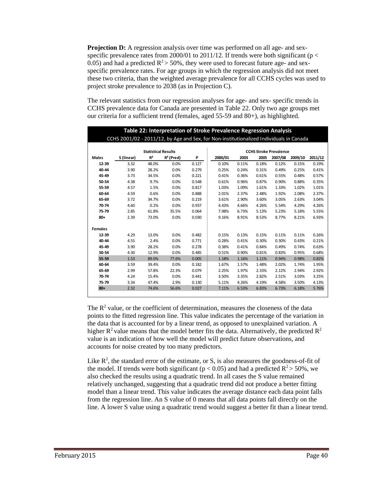**Projection D:** A regression analysis over time was performed on all age- and sexspecific prevalence rates from 2000/01 to 2011/12. If trends were both significant ( $p <$ 0.05) and had a predicted  $\mathbb{R}^2$  > 50%, they were used to forecast future age- and sexspecific prevalence rates. For age groups in which the regression analysis did not meet these two criteria, than the weighted average prevalence for all CCHS cycles was used to project stroke prevalence to 2038 (as in Projection C).

The relevant statistics from our regression analyses for age- and sex- specific trends in CCHS prevalence data for Canada are presented in Table 22. Only two age groups met our criteria for a sufficient trend (females, aged 55-59 and 80+), as highlighted.

|                |                                                                                         |                            |              |       | Table 22: Interpretation of Stroke Prevalence Regression Analysis |       |       |         |         |         |  |  |
|----------------|-----------------------------------------------------------------------------------------|----------------------------|--------------|-------|-------------------------------------------------------------------|-------|-------|---------|---------|---------|--|--|
|                | CCHS 2001/02 - 2011/12, by Age and Sex, for Non-institutionalized Individuals in Canada |                            |              |       |                                                                   |       |       |         |         |         |  |  |
|                |                                                                                         |                            |              |       |                                                                   |       |       |         |         |         |  |  |
|                |                                                                                         | <b>Statistical Results</b> |              |       | <b>CCHS Stroke Prevalence</b>                                     |       |       |         |         |         |  |  |
| <b>Males</b>   | S (linear)                                                                              | R <sup>2</sup>             | $R^2$ (Pred) | P     | 2000/01                                                           | 2003  | 2005  | 2007/08 | 2009/10 | 2011/12 |  |  |
| 12-39          | 3.32                                                                                    | 48.0%                      | 0.0%         | 0.127 | 0.10%                                                             | 0.11% | 0.18% | 0.12%   | 0.15%   | 0.19%   |  |  |
| 40-44          | 3.90                                                                                    | 28.2%                      | 0.0%         | 0.279 | 0.25%                                                             | 0.24% | 0.31% | 0.49%   | 0.25%   | 0.41%   |  |  |
| 45-49          | 3.73                                                                                    | 34.5%                      | 0.0%         | 0.221 | 0.41%                                                             | 0.36% | 0.61% | 0.55%   | 0.48%   | 0.57%   |  |  |
| 50-54          | 4.38                                                                                    | 9.7%                       | 0.0%         | 0.548 | 0.61%                                                             | 0.96% | 0.87% | 0.90%   | 0.88%   | 0.35%   |  |  |
| 55-59          | 4.57                                                                                    | 1.5%                       | 0.0%         | 0.817 | 1.03%                                                             | 1.09% | 1.61% | 1.33%   | 1.02%   | 1.01%   |  |  |
| 60-64          | 4.59                                                                                    | 0.6%                       | 0.0%         | 0.888 | 2.01%                                                             | 2.37% | 2.48% | 1.92%   | 2.08%   | 2.37%   |  |  |
| 65-69          | 3.72                                                                                    | 34.7%                      | 0.0%         | 0.219 | 3.61%                                                             | 2.90% | 3.60% | 3.05%   | 2.63%   | 3.04%   |  |  |
| 70-74          | 4.60                                                                                    | 0.2%                       | 0.0%         | 0.937 | 4.43%                                                             | 4.66% | 4.26% | 5.54%   | 4.29%   | 4.26%   |  |  |
| 75-79          | 2.85                                                                                    | 61.8%                      | 35.5%        | 0.064 | 7.98%                                                             | 6.73% | 5.13% | 5.23%   | 5.18%   | 5.55%   |  |  |
| $80 +$         | 2.39                                                                                    | 73.0%                      | 0.0%         | 0.030 | 9.16%                                                             | 8.91% | 8.53% | 8.77%   | 8.21%   | 6.93%   |  |  |
| <b>Females</b> |                                                                                         |                            |              |       |                                                                   |       |       |         |         |         |  |  |
| 12-39          | 4.29                                                                                    | 13.0%                      | 0.0%         | 0.482 | 0.15%                                                             | 0.13% | 0.15% | 0.11%   | 0.11%   | 0.26%   |  |  |
| 40-44          | 4.55                                                                                    | 2.4%                       | 0.0%         | 0.771 | 0.28%                                                             | 0.41% | 0.30% | 0.30%   | 0.43%   | 0.21%   |  |  |
| 45-49          | 3.90                                                                                    | 28.2%                      | 0.0%         | 0.278 | 0.38%                                                             | 0.41% | 0.84% | 0.49%   | 0.74%   | 0.63%   |  |  |
| 50-54          | 4.30                                                                                    | 12.9%                      | 0.0%         | 0.485 | 0.51%                                                             | 0.90% | 0.81% | 0.83%   | 0.95%   | 0.68%   |  |  |
| 55-59          | 1.53                                                                                    | 89.0%                      | 77.6%        | 0.005 | 1.18%                                                             | 1.16% | 1.11% | 0.94%   | 0.98%   | 0.82%   |  |  |
| 60-64          | 3.59                                                                                    | 39.4%                      | 0.0%         | 0.182 | 1.67%                                                             | 1.57% | 1.48% | 2.02%   | 1.74%   | 1.95%   |  |  |
| 65-69          | 2.99                                                                                    | 57.8%                      | 22.3%        | 0.079 | 2.25%                                                             | 1.97% | 2.33% | 2.12%   | 2.94%   | 2.92%   |  |  |
| 70-74          | 4.24                                                                                    | 15.4%                      | 0.0%         | 0.441 | 3.50%                                                             | 3.35% | 2.82% | 2.51%   | 3.03%   | 3.25%   |  |  |
| 75-79          | 3.34                                                                                    | 47.4%                      | 2.9%         | 0.130 | 5.11%                                                             | 4.26% | 4.19% | 4.58%   | 3.50%   | 4.13%   |  |  |
| $80 +$         | 2.32                                                                                    | 74.6%                      | 56.6%        | 0.027 | 7.11%                                                             | 6.53% | 6.83% | 6.73%   | 6.18%   | 5.76%   |  |  |
|                |                                                                                         |                            |              |       |                                                                   |       |       |         |         |         |  |  |

The  $R<sup>2</sup>$  value, or the coefficient of determination, measures the closeness of the data points to the fitted regression line. This value indicates the percentage of the variation in the data that is accounted for by a linear trend, as opposed to unexplained variation. A higher  $R^2$  value means that the model better fits the data. Alternatively, the predicted  $R^2$ value is an indication of how well the model will predict future observations, and accounts for noise created by too many predictors.

Like  $\mathbb{R}^2$ , the standard error of the estimate, or S, is also measures the goodness-of-fit of the model. If trends were both significant ( $p < 0.05$ ) and had a predicted  $R^2 > 50\%$ , we also checked the results using a quadratic trend. In all cases the S value remained relatively unchanged, suggesting that a quadratic trend did not produce a better fitting model than a linear trend. This value indicates the average distance each data point falls from the regression line. An S value of 0 means that all data points fall directly on the line. A lower S value using a quadratic trend would suggest a better fit than a linear trend.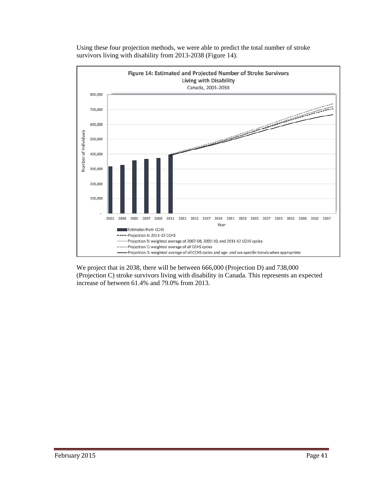

Using these four projection methods, we were able to predict the total number of stroke survivors living with disability from 2013-2038 (Figure 14).

We project that in 2038, there will be between 666,000 (Projection D) and 738,000 (Projection C) stroke survivors living with disability in Canada. This represents an expected increase of between 61.4% and 79.0% from 2013.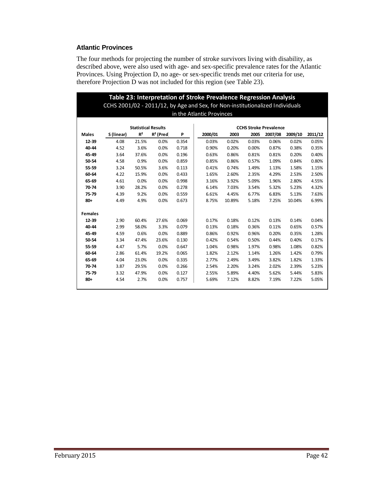# **Atlantic Provinces**

The four methods for projecting the number of stroke survivors living with disability, as described above, were also used with age- and sex-specific prevalence rates for the Atlantic Provinces. Using Projection D, no age- or sex-specific trends met our criteria for use, therefore Projection D was not included for this region (see Table 23).

|                | Table 23: Interpretation of Stroke Prevalence Regression Analysis<br>CCHS 2001/02 - 2011/12, by Age and Sex, for Non-institutionalized Individuals |                            |              |       |                               |        |       |         |         |         |  |  |  |
|----------------|----------------------------------------------------------------------------------------------------------------------------------------------------|----------------------------|--------------|-------|-------------------------------|--------|-------|---------|---------|---------|--|--|--|
|                |                                                                                                                                                    |                            |              |       |                               |        |       |         |         |         |  |  |  |
|                |                                                                                                                                                    |                            |              |       | in the Atlantic Provinces     |        |       |         |         |         |  |  |  |
|                |                                                                                                                                                    | <b>Statistical Results</b> |              |       | <b>CCHS Stroke Prevalence</b> |        |       |         |         |         |  |  |  |
| <b>Males</b>   | S (linear)                                                                                                                                         | R <sup>2</sup>             | $R^2$ (Pred) | P     | 2000/01                       | 2003   | 2005  | 2007/08 | 2009/10 | 2011/12 |  |  |  |
| 12-39          | 4.08                                                                                                                                               | 21.5%                      | 0.0%         | 0.354 | 0.03%                         | 0.02%  | 0.03% | 0.06%   | 0.02%   | 0.05%   |  |  |  |
| 40-44          | 4.52                                                                                                                                               | 3.6%                       | 0.0%         | 0.718 | 0.90%                         | 0.20%  | 0.00% | 0.87%   | 0.38%   | 0.35%   |  |  |  |
| 45-49          | 3.64                                                                                                                                               | 37.6%                      | 0.0%         | 0.196 | 0.63%                         | 0.86%  | 0.81% | 0.81%   | 0.20%   | 0.40%   |  |  |  |
| 50-54          | 4.58                                                                                                                                               | 0.9%                       | 0.0%         | 0.859 | 0.85%                         | 0.86%  | 0.57% | 1.09%   | 0.84%   | 0.80%   |  |  |  |
| 55-59          | 3.24                                                                                                                                               | 50.5%                      | 3.6%         | 0.113 | 0.41%                         | 0.74%  | 1.49% | 1.13%   | 1.58%   | 1.15%   |  |  |  |
| 60-64          | 4.22                                                                                                                                               | 15.9%                      | 0.0%         | 0.433 | 1.65%                         | 2.60%  | 2.35% | 4.29%   | 2.53%   | 2.50%   |  |  |  |
| 65-69          | 4.61                                                                                                                                               | 0.0%                       | 0.0%         | 0.998 | 3.16%                         | 3.92%  | 5.09% | 1.96%   | 2.80%   | 4.55%   |  |  |  |
| 70-74          | 3.90                                                                                                                                               | 28.2%                      | 0.0%         | 0.278 | 6.14%                         | 7.03%  | 3.54% | 5.32%   | 5.23%   | 4.32%   |  |  |  |
| 75-79          | 4.39                                                                                                                                               | 9.2%                       | 0.0%         | 0.559 | 6.61%                         | 4.45%  | 6.77% | 6.83%   | 5.13%   | 7.63%   |  |  |  |
| $80+$          | 4.49                                                                                                                                               | 4.9%                       | 0.0%         | 0.673 | 8.75%                         | 10.89% | 5.18% | 7.25%   | 10.04%  | 6.99%   |  |  |  |
| <b>Females</b> |                                                                                                                                                    |                            |              |       |                               |        |       |         |         |         |  |  |  |
| 12-39          | 2.90                                                                                                                                               | 60.4%                      | 27.6%        | 0.069 | 0.17%                         | 0.18%  | 0.12% | 0.13%   | 0.14%   | 0.04%   |  |  |  |
| 40-44          | 2.99                                                                                                                                               | 58.0%                      | 3.3%         | 0.079 | 0.13%                         | 0.18%  | 0.36% | 0.11%   | 0.65%   | 0.57%   |  |  |  |
| 45-49          | 4.59                                                                                                                                               | 0.6%                       | 0.0%         | 0.889 | 0.86%                         | 0.92%  | 0.96% | 0.20%   | 0.35%   | 1.28%   |  |  |  |
| 50-54          | 3.34                                                                                                                                               | 47.4%                      | 23.6%        | 0.130 | 0.42%                         | 0.54%  | 0.50% | 0.44%   | 0.40%   | 0.17%   |  |  |  |
| 55-59          | 4.47                                                                                                                                               | 5.7%                       | 0.0%         | 0.647 | 1.04%                         | 0.98%  | 1.97% | 0.98%   | 1.08%   | 0.82%   |  |  |  |
| 60-64          | 2.86                                                                                                                                               | 61.4%                      | 19.2%        | 0.065 | 1.82%                         | 2.12%  | 1.14% | 1.26%   | 1.42%   | 0.79%   |  |  |  |
| 65-69          | 4.04                                                                                                                                               | 23.0%                      | 0.0%         | 0.335 | 2.77%                         | 2.49%  | 3.49% | 3.82%   | 1.82%   | 1.33%   |  |  |  |
| 70-74          | 3.87                                                                                                                                               | 29.5%                      | 0.0%         | 0.266 | 2.54%                         | 2.20%  | 3.24% | 2.02%   | 2.39%   | 5.23%   |  |  |  |
| 75-79          | 3.32                                                                                                                                               | 47.9%                      | 0.0%         | 0.127 | 2.55%                         | 5.89%  | 4.40% | 5.62%   | 5.44%   | 5.83%   |  |  |  |
| $80+$          | 4.54                                                                                                                                               | 2.7%                       | 0.0%         | 0.757 | 5.69%                         | 7.12%  | 8.82% | 7.19%   | 7.22%   | 5.05%   |  |  |  |
|                |                                                                                                                                                    |                            |              |       |                               |        |       |         |         |         |  |  |  |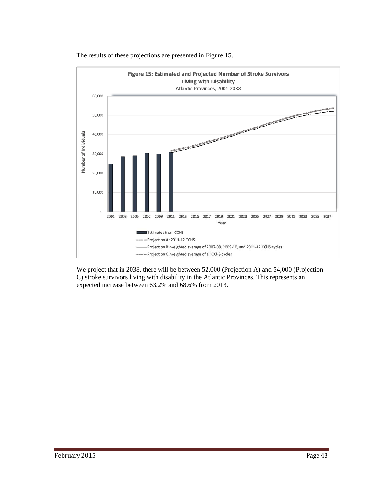

The results of these projections are presented in Figure 15.

We project that in 2038, there will be between 52,000 (Projection A) and 54,000 (Projection C) stroke survivors living with disability in the Atlantic Provinces. This represents an expected increase between 63.2% and 68.6% from 2013.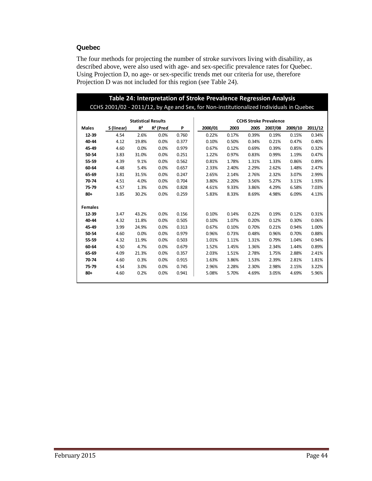# **Quebec**

The four methods for projecting the number of stroke survivors living with disability, as described above, were also used with age- and sex-specific prevalence rates for Quebec. Using Projection D, no age- or sex-specific trends met our criteria for use, therefore Projection D was not included for this region (see Table 24).

|                |            |                            |              |       | Table 24: Interpretation of Stroke Prevalence Regression Analysis                       |       |       |         |         |         |  |  |
|----------------|------------|----------------------------|--------------|-------|-----------------------------------------------------------------------------------------|-------|-------|---------|---------|---------|--|--|
|                |            |                            |              |       | CCHS 2001/02 - 2011/12, by Age and Sex, for Non-institutionalized Individuals in Quebec |       |       |         |         |         |  |  |
|                |            | <b>Statistical Results</b> |              |       | <b>CCHS Stroke Prevalence</b>                                                           |       |       |         |         |         |  |  |
| <b>Males</b>   | S (linear) | $R^2$                      | $R^2$ (Pred) | P     | 2000/01                                                                                 | 2003  | 2005  | 2007/08 | 2009/10 | 2011/12 |  |  |
| 12-39          | 4.54       | 2.6%                       | 0.0%         | 0.760 | 0.22%                                                                                   | 0.17% | 0.39% | 0.19%   | 0.15%   | 0.34%   |  |  |
| 40-44          | 4.12       | 19.8%                      | 0.0%         | 0.377 | 0.10%                                                                                   | 0.50% | 0.34% | 0.21%   | 0.47%   | 0.40%   |  |  |
| 45-49          | 4.60       | 0.0%                       | 0.0%         | 0.979 | 0.67%                                                                                   | 0.12% | 0.69% | 0.39%   | 0.85%   | 0.32%   |  |  |
| 50-54          | 3.83       | 31.0%                      | 0.0%         | 0.251 | 1.22%                                                                                   | 0.97% | 0.83% | 0.99%   | 1.19%   | 0.47%   |  |  |
| 55-59          | 4.39       | 9.1%                       | 0.0%         | 0.562 | 0.81%                                                                                   | 1.78% | 1.31% | 1.33%   | 0.86%   | 0.89%   |  |  |
| 60-64          | 4.48       | 5.4%                       | 0.0%         | 0.657 | 2.33%                                                                                   | 2.40% | 2.29% | 2.62%   | 1.48%   | 2.47%   |  |  |
| 65-69          | 3.81       | 31.5%                      | 0.0%         | 0.247 | 2.65%                                                                                   | 2.14% | 2.76% | 2.32%   | 3.07%   | 2.99%   |  |  |
| 70-74          | 4.51       | 4.0%                       | 0.0%         | 0.704 | 3.80%                                                                                   | 2.20% | 3.56% | 5.27%   | 3.11%   | 1.93%   |  |  |
| 75-79          | 4.57       | 1.3%                       | 0.0%         | 0.828 | 4.61%                                                                                   | 9.33% | 3.86% | 4.29%   | 6.58%   | 7.03%   |  |  |
| $80+$          | 3.85       | 30.2%                      | 0.0%         | 0.259 | 5.83%                                                                                   | 8.33% | 8.69% | 4.98%   | 6.09%   | 4.13%   |  |  |
| <b>Females</b> |            |                            |              |       |                                                                                         |       |       |         |         |         |  |  |
| 12-39          | 3.47       | 43.2%                      | 0.0%         | 0.156 | 0.10%                                                                                   | 0.14% | 0.22% | 0.19%   | 0.12%   | 0.31%   |  |  |
| 40-44          | 4.32       | 11.8%                      | 0.0%         | 0.505 | 0.10%                                                                                   | 1.07% | 0.20% | 0.12%   | 0.30%   | 0.06%   |  |  |
| 45-49          | 3.99       | 24.9%                      | 0.0%         | 0.313 | 0.67%                                                                                   | 0.10% | 0.70% | 0.21%   | 0.94%   | 1.00%   |  |  |
| 50-54          | 4.60       | 0.0%                       | 0.0%         | 0.979 | 0.96%                                                                                   | 0.73% | 0.48% | 0.96%   | 0.70%   | 0.88%   |  |  |
| 55-59          | 4.32       | 11.9%                      | 0.0%         | 0.503 | 1.01%                                                                                   | 1.11% | 1.31% | 0.79%   | 1.04%   | 0.94%   |  |  |
| 60-64          | 4.50       | 4.7%                       | 0.0%         | 0.679 | 1.52%                                                                                   | 1.45% | 1.36% | 2.34%   | 1.44%   | 0.89%   |  |  |
| 65-69          | 4.09       | 21.3%                      | 0.0%         | 0.357 | 2.03%                                                                                   | 1.51% | 2.78% | 1.75%   | 2.88%   | 2.41%   |  |  |
| 70-74          | 4.60       | 0.3%                       | 0.0%         | 0.915 | 1.63%                                                                                   | 3.86% | 1.53% | 2.39%   | 2.81%   | 1.81%   |  |  |
| 75-79          | 4.54       | 3.0%                       | 0.0%         | 0.745 | 2.96%                                                                                   | 2.28% | 2.30% | 2.98%   | 2.15%   | 3.22%   |  |  |
| $80 +$         | 4.60       | 0.2%                       | 0.0%         | 0.941 | 5.08%                                                                                   | 5.70% | 4.69% | 3.05%   | 4.69%   | 5.96%   |  |  |
|                |            |                            |              |       |                                                                                         |       |       |         |         |         |  |  |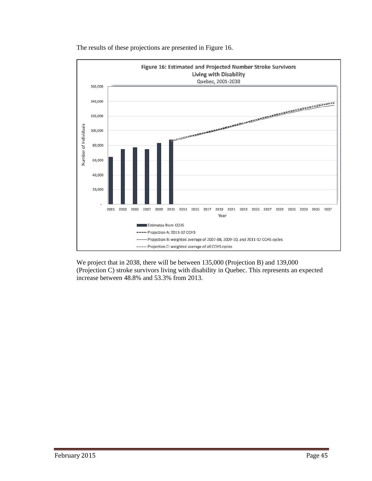

The results of these projections are presented in Figure 16.

We project that in 2038, there will be between 135,000 (Projection B) and 139,000 (Projection C) stroke survivors living with disability in Quebec. This represents an expected increase between 48.8% and 53.3% from 2013.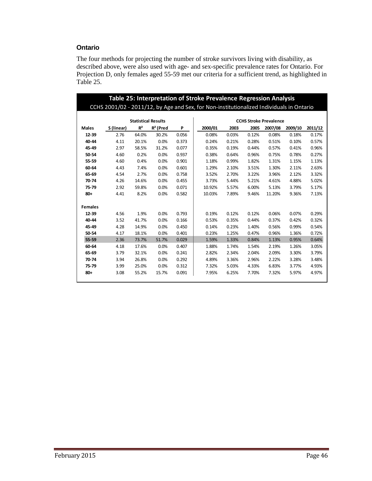# **Ontario**

The four methods for projecting the number of stroke survivors living with disability, as described above, were also used with age- and sex-specific prevalence rates for Ontario. For Projection D, only females aged 55-59 met our criteria for a sufficient trend, as highlighted in Table 25.

|                | Table 25: Interpretation of Stroke Prevalence Regression Analysis<br>CCHS 2001/02 - 2011/12, by Age and Sex, for Non-institutionalized Individuals in Ontario |                            |              |       |                               |       |       |         |         |         |  |  |  |
|----------------|---------------------------------------------------------------------------------------------------------------------------------------------------------------|----------------------------|--------------|-------|-------------------------------|-------|-------|---------|---------|---------|--|--|--|
|                |                                                                                                                                                               |                            |              |       |                               |       |       |         |         |         |  |  |  |
|                |                                                                                                                                                               | <b>Statistical Results</b> |              |       | <b>CCHS Stroke Prevalence</b> |       |       |         |         |         |  |  |  |
| <b>Males</b>   | S (linear)                                                                                                                                                    | R <sup>2</sup>             | $R^2$ (Pred) | P     | 2000/01                       | 2003  | 2005  | 2007/08 | 2009/10 | 2011/12 |  |  |  |
| 12-39          | 2.76                                                                                                                                                          | 64.0%                      | 30.2%        | 0.056 | 0.08%                         | 0.03% | 0.12% | 0.08%   | 0.18%   | 0.17%   |  |  |  |
| 40-44          | 4.11                                                                                                                                                          | 20.1%                      | 0.0%         | 0.373 | 0.24%                         | 0.21% | 0.28% | 0.51%   | 0.10%   | 0.57%   |  |  |  |
| 45-49          | 2.97                                                                                                                                                          | 58.5%                      | 31.2%        | 0.077 | 0.35%                         | 0.19% | 0.44% | 0.57%   | 0.41%   | 0.96%   |  |  |  |
| 50-54          | 4.60                                                                                                                                                          | 0.2%                       | 0.0%         | 0.937 | 0.38%                         | 0.64% | 0.96% | 0.75%   | 0.78%   | 0.27%   |  |  |  |
| 55-59          | 4.60                                                                                                                                                          | 0.4%                       | 0.0%         | 0.901 | 1.18%                         | 0.99% | 1.82% | 1.31%   | 1.15%   | 1.13%   |  |  |  |
| 60-64          | 4.43                                                                                                                                                          | 7.4%                       | 0.0%         | 0.601 | 1.29%                         | 2.10% | 3.51% | 1.30%   | 2.11%   | 2.63%   |  |  |  |
| 65-69          | 4.54                                                                                                                                                          | 2.7%                       | 0.0%         | 0.758 | 3.52%                         | 2.70% | 3.22% | 3.96%   | 2.12%   | 3.32%   |  |  |  |
| 70-74          | 4.26                                                                                                                                                          | 14.6%                      | 0.0%         | 0.455 | 3.73%                         | 5.44% | 5.21% | 4.61%   | 4.88%   | 5.02%   |  |  |  |
| 75-79          | 2.92                                                                                                                                                          | 59.8%                      | 0.0%         | 0.071 | 10.92%                        | 5.57% | 6.00% | 5.13%   | 3.79%   | 5.17%   |  |  |  |
| $80 +$         | 4.41                                                                                                                                                          | 8.2%                       | 0.0%         | 0.582 | 10.03%                        | 7.89% | 9.46% | 11.20%  | 9.36%   | 7.13%   |  |  |  |
| <b>Females</b> |                                                                                                                                                               |                            |              |       |                               |       |       |         |         |         |  |  |  |
| 12-39          | 4.56                                                                                                                                                          | 1.9%                       | 0.0%         | 0.793 | 0.19%                         | 0.12% | 0.12% | 0.06%   | 0.07%   | 0.29%   |  |  |  |
| 40-44          | 3.52                                                                                                                                                          | 41.7%                      | 0.0%         | 0.166 | 0.53%                         | 0.35% | 0.44% | 0.37%   | 0.42%   | 0.32%   |  |  |  |
| 45-49          | 4.28                                                                                                                                                          | 14.9%                      | 0.0%         | 0.450 | 0.14%                         | 0.23% | 1.40% | 0.56%   | 0.99%   | 0.54%   |  |  |  |
| 50-54          | 4.17                                                                                                                                                          | 18.1%                      | 0.0%         | 0.401 | 0.23%                         | 1.25% | 0.47% | 0.96%   | 1.36%   | 0.72%   |  |  |  |
| 55-59          | 2.36                                                                                                                                                          | 73.7%                      | 51.7%        | 0.029 | 1.59%                         | 1.33% | 0.84% | 1.13%   | 0.95%   | 0.64%   |  |  |  |
| 60-64          | 4.18                                                                                                                                                          | 17.6%                      | 0.0%         | 0.407 | 1.88%                         | 1.74% | 1.54% | 2.19%   | 1.26%   | 3.05%   |  |  |  |
| 65-69          | 3.79                                                                                                                                                          | 32.1%                      | 0.0%         | 0.241 | 2.82%                         | 2.34% | 2.04% | 2.09%   | 3.30%   | 3.79%   |  |  |  |
| 70-74          | 3.94                                                                                                                                                          | 26.8%                      | 0.0%         | 0.292 | 4.89%                         | 3.36% | 2.96% | 2.22%   | 3.28%   | 3.48%   |  |  |  |
| 75-79          | 3.99                                                                                                                                                          | 25.0%                      | 0.0%         | 0.312 | 7.32%                         | 5.03% | 4.33% | 6.83%   | 3.77%   | 4.93%   |  |  |  |
| $80 +$         | 3.08                                                                                                                                                          | 55.2%                      | 15.7%        | 0.091 | 7.95%                         | 6.25% | 7.70% | 7.32%   | 5.97%   | 4.97%   |  |  |  |
|                |                                                                                                                                                               |                            |              |       |                               |       |       |         |         |         |  |  |  |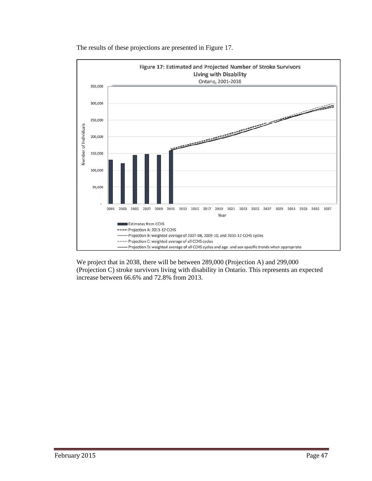

The results of these projections are presented in Figure 17.

We project that in 2038, there will be between 289,000 (Projection A) and 299,000 (Projection C) stroke survivors living with disability in Ontario. This represents an expected increase between 66.6% and 72.8% from 2013.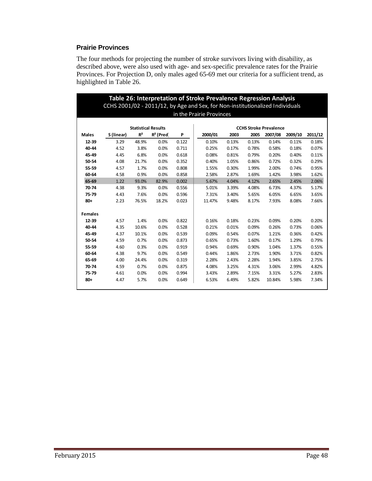# **Prairie Provinces**

The four methods for projecting the number of stroke survivors living with disability, as described above, were also used with age- and sex-specific prevalence rates for the Prairie Provinces. For Projection D, only males aged 65-69 met our criteria for a sufficient trend, as highlighted in Table 26.

|                |            |                            |              |       | Table 26: Interpretation of Stroke Prevalence Regression Analysis<br>CCHS 2001/02 - 2011/12, by Age and Sex, for Non-institutionalized Individuals |       |       |                               |         |         |
|----------------|------------|----------------------------|--------------|-------|----------------------------------------------------------------------------------------------------------------------------------------------------|-------|-------|-------------------------------|---------|---------|
|                |            |                            |              |       | in the Prairie Provinces                                                                                                                           |       |       |                               |         |         |
|                |            |                            |              |       |                                                                                                                                                    |       |       |                               |         |         |
|                |            | <b>Statistical Results</b> |              |       |                                                                                                                                                    |       |       | <b>CCHS Stroke Prevalence</b> |         |         |
| <b>Males</b>   | S (linear) | R <sup>2</sup>             | $R^2$ (Pred) | P     | 2000/01                                                                                                                                            | 2003  | 2005  | 2007/08                       | 2009/10 | 2011/12 |
| 12-39          | 3.29       | 48.9%                      | 0.0%         | 0.122 | 0.10%                                                                                                                                              | 0.13% | 0.13% | 0.14%                         | 0.11%   | 0.18%   |
| 40-44          | 4.52       | 3.8%                       | 0.0%         | 0.711 | 0.25%                                                                                                                                              | 0.17% | 0.78% | 0.58%                         | 0.18%   | 0.07%   |
| 45-49          | 4.45       | 6.8%                       | 0.0%         | 0.618 | 0.08%                                                                                                                                              | 0.81% | 0.79% | 0.20%                         | 0.40%   | 0.11%   |
| 50-54          | 4.08       | 21.7%                      | 0.0%         | 0.352 | 0.40%                                                                                                                                              | 1.05% | 0.86% | 0.72%                         | 0.32%   | 0.29%   |
| 55-59          | 4.57       | 1.7%                       | 0.0%         | 0.808 | 1.55%                                                                                                                                              | 0.30% | 1.99% | 2.00%                         | 0.74%   | 0.95%   |
| 60-64          | 4.58       | 0.9%                       | 0.0%         | 0.858 | 2.58%                                                                                                                                              | 2.87% | 1.69% | 1.42%                         | 3.98%   | 1.62%   |
| 65-69          | 1.22       | 93.0%                      | 82.9%        | 0.002 | 5.67%                                                                                                                                              | 4.04% | 4.12% | 2.65%                         | 2.45%   | 2.06%   |
| 70-74          | 4.38       | 9.3%                       | 0.0%         | 0.556 | 5.01%                                                                                                                                              | 3.39% | 4.08% | 6.73%                         | 4.37%   | 5.17%   |
| 75-79          | 4.43       | 7.6%                       | 0.0%         | 0.596 | 7.31%                                                                                                                                              | 3.40% | 5.65% | 6.05%                         | 6.65%   | 3.65%   |
| $80+$          | 2.23       | 76.5%                      | 18.2%        | 0.023 | 11.47%                                                                                                                                             | 9.48% | 8.17% | 7.93%                         | 8.08%   | 7.66%   |
| <b>Females</b> |            |                            |              |       |                                                                                                                                                    |       |       |                               |         |         |
| 12-39          | 4.57       | 1.4%                       | 0.0%         | 0.822 | 0.16%                                                                                                                                              | 0.18% | 0.23% | 0.09%                         | 0.20%   | 0.20%   |
| 40-44          | 4.35       | 10.6%                      | 0.0%         | 0.528 | 0.21%                                                                                                                                              | 0.01% | 0.09% | 0.26%                         | 0.73%   | 0.06%   |
| 45-49          | 4.37       | 10.1%                      | 0.0%         | 0.539 | 0.09%                                                                                                                                              | 0.54% | 0.07% | 1.21%                         | 0.36%   | 0.42%   |
| 50-54          | 4.59       | 0.7%                       | 0.0%         | 0.873 | 0.65%                                                                                                                                              | 0.73% | 1.60% | 0.17%                         | 1.29%   | 0.79%   |
| 55-59          | 4.60       | 0.3%                       | 0.0%         | 0.919 | 0.94%                                                                                                                                              | 0.69% | 0.90% | 1.04%                         | 1.37%   | 0.55%   |
| 60-64          | 4.38       | 9.7%                       | 0.0%         | 0.549 | 0.44%                                                                                                                                              | 1.86% | 2.73% | 1.90%                         | 3.71%   | 0.82%   |
| 65-69          | 4.00       | 24.4%                      | 0.0%         | 0.319 | 2.28%                                                                                                                                              | 2.43% | 2.28% | 1.94%                         | 3.85%   | 2.75%   |
| 70-74          | 4.59       | 0.7%                       | 0.0%         | 0.875 | 4.08%                                                                                                                                              | 3.25% | 4.31% | 3.06%                         | 2.99%   | 4.82%   |
| 75-79          | 4.61       | 0.0%                       | 0.0%         | 0.994 | 3.43%                                                                                                                                              | 2.89% | 7.15% | 3.31%                         | 5.27%   | 2.83%   |
| $80 +$         | 4.47       | 5.7%                       | 0.0%         | 0.649 | 6.53%                                                                                                                                              | 6.49% | 5.82% | 10.84%                        | 5.98%   | 7.34%   |
|                |            |                            |              |       |                                                                                                                                                    |       |       |                               |         |         |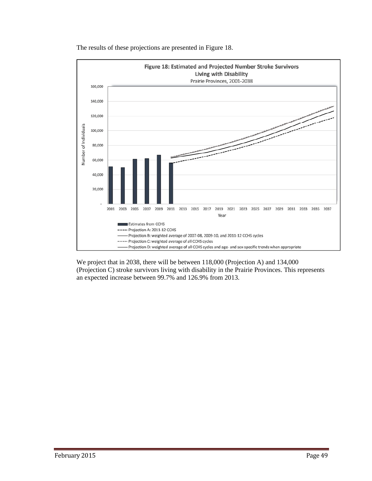

The results of these projections are presented in Figure 18.

We project that in 2038, there will be between 118,000 (Projection A) and 134,000 (Projection C) stroke survivors living with disability in the Prairie Provinces. This represents an expected increase between 99.7% and 126.9% from 2013.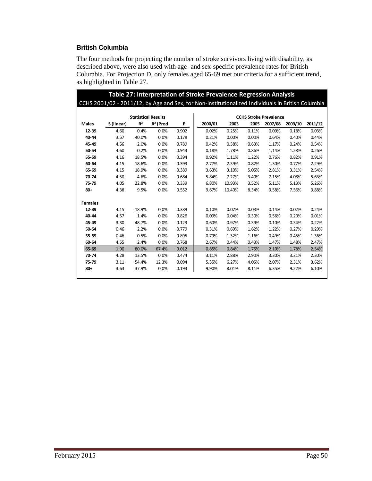# **British Columbia**

The four methods for projecting the number of stroke survivors living with disability, as described above, were also used with age- and sex-specific prevalence rates for British Columbia. For Projection D, only females aged 65-69 met our criteria for a sufficient trend, as highlighted in Table 27.

|                |            |                            |              |       | Table 27: Interpretation of Stroke Prevalence Regression Analysis                                 |        |       |         |         |         |  |  |
|----------------|------------|----------------------------|--------------|-------|---------------------------------------------------------------------------------------------------|--------|-------|---------|---------|---------|--|--|
|                |            |                            |              |       | CCHS 2001/02 - 2011/12, by Age and Sex, for Non-institutionalized Individuals in British Columbia |        |       |         |         |         |  |  |
|                |            |                            |              |       |                                                                                                   |        |       |         |         |         |  |  |
|                |            | <b>Statistical Results</b> |              |       | <b>CCHS Stroke Prevalence</b>                                                                     |        |       |         |         |         |  |  |
| <b>Males</b>   | S (linear) | R <sup>2</sup>             | $R^2$ (Pred) | P     | 2000/01                                                                                           | 2003   | 2005  | 2007/08 | 2009/10 | 2011/12 |  |  |
| 12-39          | 4.60       | 0.4%                       | 0.0%         | 0.902 | 0.02%                                                                                             | 0.25%  | 0.11% | 0.09%   | 0.18%   | 0.03%   |  |  |
| 40-44          | 3.57       | 40.0%                      | 0.0%         | 0.178 | 0.21%                                                                                             | 0.00%  | 0.00% | 0.64%   | 0.40%   | 0.44%   |  |  |
| 45-49          | 4.56       | 2.0%                       | 0.0%         | 0.789 | 0.42%                                                                                             | 0.38%  | 0.63% | 1.17%   | 0.24%   | 0.54%   |  |  |
| 50-54          | 4.60       | 0.2%                       | 0.0%         | 0.943 | 0.18%                                                                                             | 1.78%  | 0.86% | 1.14%   | 1.28%   | 0.26%   |  |  |
| 55-59          | 4.16       | 18.5%                      | 0.0%         | 0.394 | 0.92%                                                                                             | 1.11%  | 1.22% | 0.76%   | 0.82%   | 0.91%   |  |  |
| 60-64          | 4.15       | 18.6%                      | 0.0%         | 0.393 | 2.77%                                                                                             | 2.39%  | 0.82% | 1.30%   | 0.77%   | 2.29%   |  |  |
| 65-69          | 4.15       | 18.9%                      | 0.0%         | 0.389 | 3.63%                                                                                             | 3.10%  | 5.05% | 2.81%   | 3.31%   | 2.54%   |  |  |
| 70-74          | 4.50       | 4.6%                       | 0.0%         | 0.684 | 5.84%                                                                                             | 7.27%  | 3.40% | 7.15%   | 4.08%   | 5.63%   |  |  |
| 75-79          | 4.05       | 22.8%                      | 0.0%         | 0.339 | 6.80%                                                                                             | 10.93% | 3.52% | 5.11%   | 5.13%   | 5.26%   |  |  |
| $80+$          | 4.38       | 9.5%                       | 0.0%         | 0.552 | 9.67%                                                                                             | 10.40% | 8.34% | 9.58%   | 7.56%   | 9.88%   |  |  |
|                |            |                            |              |       |                                                                                                   |        |       |         |         |         |  |  |
| <b>Females</b> |            |                            |              |       |                                                                                                   |        |       |         |         |         |  |  |
| 12-39          | 4.15       | 18.9%                      | 0.0%         | 0.389 | 0.10%                                                                                             | 0.07%  | 0.03% | 0.14%   | 0.02%   | 0.24%   |  |  |
| 40-44          | 4.57       | 1.4%                       | 0.0%         | 0.826 | 0.09%                                                                                             | 0.04%  | 0.30% | 0.56%   | 0.20%   | 0.01%   |  |  |
| 45-49          | 3.30       | 48.7%                      | 0.0%         | 0.123 | 0.60%                                                                                             | 0.97%  | 0.39% | 0.10%   | 0.34%   | 0.22%   |  |  |
| 50-54          | 0.46       | 2.2%                       | 0.0%         | 0.779 | 0.31%                                                                                             | 0.69%  | 1.62% | 1.22%   | 0.27%   | 0.29%   |  |  |
| 55-59          | 0.46       | 0.5%                       | 0.0%         | 0.895 | 0.79%                                                                                             | 1.32%  | 1.16% | 0.49%   | 0.45%   | 1.36%   |  |  |
| 60-64          | 4.55       | 2.4%                       | 0.0%         | 0.768 | 2.67%                                                                                             | 0.44%  | 0.43% | 1.47%   | 1.48%   | 2.47%   |  |  |
| 65-69          | 1.90       | 80.0%                      | 67.4%        | 0.012 | 0.85%                                                                                             | 0.84%  | 1.75% | 2.10%   | 1.78%   | 2.54%   |  |  |
| 70-74          | 4.28       | 13.5%                      | 0.0%         | 0.474 | 3.11%                                                                                             | 2.88%  | 2.90% | 3.30%   | 3.21%   | 2.30%   |  |  |
| 75-79          | 3.11       | 54.4%                      | 12.3%        | 0.094 | 5.35%                                                                                             | 6.27%  | 4.05% | 2.07%   | 2.31%   | 3.62%   |  |  |
| $80 +$         | 3.63       | 37.9%                      | 0.0%         | 0.193 | 9.90%                                                                                             | 8.01%  | 8.11% | 6.35%   | 9.22%   | 6.10%   |  |  |
|                |            |                            |              |       |                                                                                                   |        |       |         |         |         |  |  |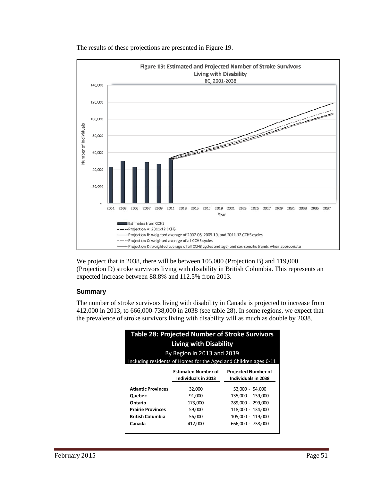

The results of these projections are presented in Figure 19.

We project that in 2038, there will be between 105,000 (Projection B) and 119,000 (Projection D) stroke survivors living with disability in British Columbia. This represents an expected increase between 88.8% and 112.5% from 2013.

# **Summary**

The number of stroke survivors living with disability in Canada is projected to increase from 412,000 in 2013, to 666,000-738,000 in 2038 (see table 28). In some regions, we expect that the prevalence of stroke survivors living with disability will as much as double by 2038.

|                                                                  | Table 28: Projected Number of Stroke Survivors |                            |  |  |  |  |  |  |  |  |  |  |
|------------------------------------------------------------------|------------------------------------------------|----------------------------|--|--|--|--|--|--|--|--|--|--|
| <b>Living with Disability</b>                                    |                                                |                            |  |  |  |  |  |  |  |  |  |  |
| By Region in 2013 and 2039                                       |                                                |                            |  |  |  |  |  |  |  |  |  |  |
| Including residents of Homes for the Aged and Children ages 0-11 |                                                |                            |  |  |  |  |  |  |  |  |  |  |
|                                                                  | <b>Estimated Number of</b>                     | <b>Projected Number of</b> |  |  |  |  |  |  |  |  |  |  |
|                                                                  | Individuals in 2038<br>Individuals in 2013     |                            |  |  |  |  |  |  |  |  |  |  |
| <b>Atlantic Provinces</b>                                        | 32.000                                         | 52.000 - 54.000            |  |  |  |  |  |  |  |  |  |  |
| Quebec                                                           | 91,000                                         | 135,000 - 139,000          |  |  |  |  |  |  |  |  |  |  |
| Ontario                                                          | 173,000                                        | 289.000 - 299.000          |  |  |  |  |  |  |  |  |  |  |
| <b>Prairie Provinces</b>                                         | 59,000                                         | 118,000 - 134,000          |  |  |  |  |  |  |  |  |  |  |
| <b>British Columbia</b>                                          | 56.000                                         | 105.000 - 119.000          |  |  |  |  |  |  |  |  |  |  |
| Canada                                                           | 412,000                                        | 666.000 - 738.000          |  |  |  |  |  |  |  |  |  |  |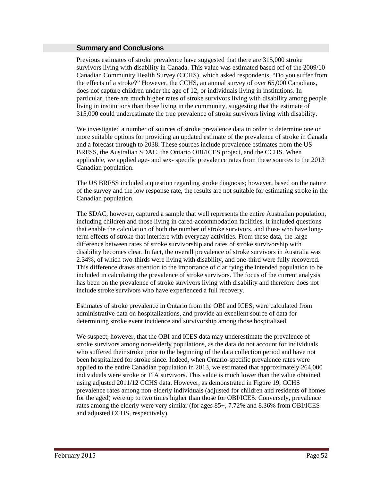#### **Summary and Conclusions**

Previous estimates of stroke prevalence have suggested that there are 315,000 stroke survivors living with disability in Canada. This value was estimated based off of the 2009/10 Canadian Community Health Survey (CCHS), which asked respondents, "Do you suffer from the effects of a stroke?" However, the CCHS, an annual survey of over 65,000 Canadians, does not capture children under the age of 12, or individuals living in institutions. In particular, there are much higher rates of stroke survivors living with disability among people living in institutions than those living in the community, suggesting that the estimate of 315,000 could underestimate the true prevalence of stroke survivors living with disability.

We investigated a number of sources of stroke prevalence data in order to determine one or more suitable options for providing an updated estimate of the prevalence of stroke in Canada and a forecast through to 2038. These sources include prevalence estimates from the US BRFSS, the Australian SDAC, the Ontario OBI/ICES project, and the CCHS. When applicable, we applied age- and sex- specific prevalence rates from these sources to the 2013 Canadian population.

The US BRFSS included a question regarding stroke diagnosis; however, based on the nature of the survey and the low response rate, the results are not suitable for estimating stroke in the Canadian population.

The SDAC, however, captured a sample that well represents the entire Australian population, including children and those living in cared-accommodation facilities. It included questions that enable the calculation of both the number of stroke survivors, and those who have longterm effects of stroke that interfere with everyday activities. From these data, the large difference between rates of stroke survivorship and rates of stroke survivorship with disability becomes clear. In fact, the overall prevalence of stroke survivors in Australia was 2.34%, of which two-thirds were living with disability, and one-third were fully recovered. This difference draws attention to the importance of clarifying the intended population to be included in calculating the prevalence of stroke survivors. The focus of the current analysis has been on the prevalence of stroke survivors living with disability and therefore does not include stroke survivors who have experienced a full recovery.

Estimates of stroke prevalence in Ontario from the OBI and ICES, were calculated from administrative data on hospitalizations, and provide an excellent source of data for determining stroke event incidence and survivorship among those hospitalized.

We suspect, however, that the OBI and ICES data may underestimate the prevalence of stroke survivors among non-elderly populations, as the data do not account for individuals who suffered their stroke prior to the beginning of the data collection period and have not been hospitalized for stroke since. Indeed, when Ontario-specific prevalence rates were applied to the entire Canadian population in 2013, we estimated that approximately 264,000 individuals were stroke or TIA survivors. This value is much lower than the value obtained using adjusted 2011/12 CCHS data. However, as demonstrated in Figure 19, CCHS prevalence rates among non-elderly individuals (adjusted for children and residents of homes for the aged) were up to two times higher than those for OBI/ICES. Conversely, prevalence rates among the elderly were very similar (for ages 85+, 7.72% and 8.36% from OBI/ICES and adjusted CCHS, respectively).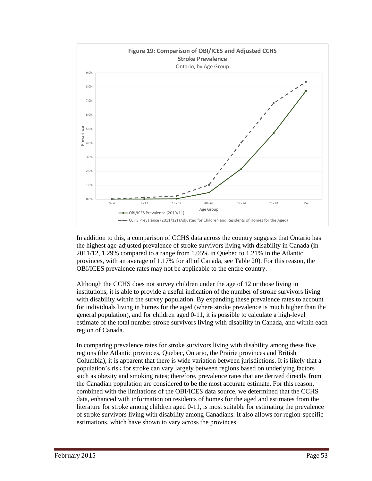

In addition to this, a comparison of CCHS data across the country suggests that Ontario has the highest age-adjusted prevalence of stroke survivors living with disability in Canada (in 2011/12, 1.29% compared to a range from 1.05% in Quebec to 1.21% in the Atlantic provinces, with an average of 1.17% for all of Canada, see Table 20). For this reason, the OBI/ICES prevalence rates may not be applicable to the entire country.

Although the CCHS does not survey children under the age of 12 or those living in institutions, it is able to provide a useful indication of the number of stroke survivors living with disability within the survey population. By expanding these prevalence rates to account for individuals living in homes for the aged (where stroke prevalence is much higher than the general population), and for children aged 0-11, it is possible to calculate a high-level estimate of the total number stroke survivors living with disability in Canada, and within each region of Canada.

In comparing prevalence rates for stroke survivors living with disability among these five regions (the Atlantic provinces, Quebec, Ontario, the Prairie provinces and British Columbia), it is apparent that there is wide variation between jurisdictions. It is likely that a population's risk for stroke can vary largely between regions based on underlying factors such as obesity and smoking rates; therefore, prevalence rates that are derived directly from the Canadian population are considered to be the most accurate estimate. For this reason, combined with the limitations of the OBI/ICES data source, we determined that the CCHS data, enhanced with information on residents of homes for the aged and estimates from the literature for stroke among children aged 0-11, is most suitable for estimating the prevalence of stroke survivors living with disability among Canadians. It also allows for region-specific estimations, which have shown to vary across the provinces.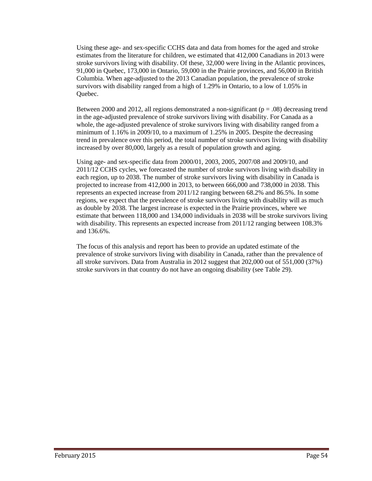Using these age- and sex-specific CCHS data and data from homes for the aged and stroke estimates from the literature for children, we estimated that 412,000 Canadians in 2013 were stroke survivors living with disability. Of these, 32,000 were living in the Atlantic provinces, 91,000 in Quebec, 173,000 in Ontario, 59,000 in the Prairie provinces, and 56,000 in British Columbia. When age-adjusted to the 2013 Canadian population, the prevalence of stroke survivors with disability ranged from a high of 1.29% in Ontario, to a low of 1.05% in Quebec.

Between 2000 and 2012, all regions demonstrated a non-significant ( $p = .08$ ) decreasing trend in the age-adjusted prevalence of stroke survivors living with disability. For Canada as a whole, the age-adjusted prevalence of stroke survivors living with disability ranged from a minimum of 1.16% in 2009/10, to a maximum of 1.25% in 2005. Despite the decreasing trend in prevalence over this period, the total number of stroke survivors living with disability increased by over 80,000, largely as a result of population growth and aging.

Using age- and sex-specific data from 2000/01, 2003, 2005, 2007/08 and 2009/10, and 2011/12 CCHS cycles, we forecasted the number of stroke survivors living with disability in each region, up to 2038. The number of stroke survivors living with disability in Canada is projected to increase from 412,000 in 2013, to between 666,000 and 738,000 in 2038. This represents an expected increase from 2011/12 ranging between 68.2% and 86.5%. In some regions, we expect that the prevalence of stroke survivors living with disability will as much as double by 2038. The largest increase is expected in the Prairie provinces, where we estimate that between 118,000 and 134,000 individuals in 2038 will be stroke survivors living with disability. This represents an expected increase from 2011/12 ranging between 108.3% and 136.6%.

The focus of this analysis and report has been to provide an updated estimate of the prevalence of stroke survivors living with disability in Canada, rather than the prevalence of all stroke survivors. Data from Australia in 2012 suggest that 202,000 out of 551,000 (37%) stroke survivors in that country do not have an ongoing disability (see Table 29).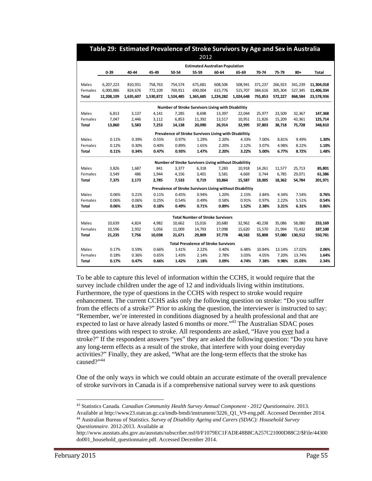| <b>Estimated Australian Population</b><br>$0 - 39$<br>40-44<br>45-49<br>50-54<br>55-59<br>60-64<br>65-69<br>70-74<br>75-79<br>Males<br>810,931<br>758,763<br>675,681<br>608,506<br>508,941<br>371,237<br>266,923<br>6,207,223<br>754,574<br>Females<br>6,000,886<br>824,676<br>772,109<br>769,911<br>690,004<br>615,776<br>515,707<br>384,616<br>305,304<br>12,208,109<br>1,530,872<br>1,524,485<br>1,365,685<br>1,224,282<br>1,024,648<br>755,853<br>Total<br>1,635,607<br>572,227<br>Number of Stroke Survivors Living with Disabilitiy<br>6,813<br>3,137<br>25,977<br>Males<br>4,141<br>7,285<br>8,698<br>13,397<br>22,044<br>23,509<br>6,853<br>Females<br>7,047<br>2,446<br>3,112<br>11,392<br>13,517<br>10,951<br>11,826<br>15,209<br>37,803<br>Total<br>13,860<br>5,583<br>7,253<br>14,138<br>20,090<br>26,914<br>32,995<br>38,718<br>Prevalence of Stroke Survivors Living with Disabilitiy<br>0.11%<br>0.39%<br>0.55%<br>0.97%<br>1.29%<br>2.20%<br>4.33%<br>7.00%<br>8.81%<br>Males<br>Females<br>0.12%<br>0.30%<br>0.40%<br>0.89%<br>1.65%<br>2.20%<br>2.12%<br>3.07%<br>4.98%<br>0.11%<br>0.34%<br>0.47%<br>0.93%<br>1.47%<br>2.20%<br>3.22%<br>5.00%<br>6.77%<br>Total<br>Number of Stroke Survivors Living without Disabilitiy<br>3,826<br>841<br>Males<br>1,687<br>3,377<br>6,318<br>7,283<br>10,918<br>14,261<br>11,577<br>486<br>3,581<br>6,785<br>Females<br>3,549<br>1,944<br>4,156<br>3,401<br>4,669<br>3,744<br>18,005<br>Total<br>7,375<br>2,173<br>2,785<br>7,533<br>9,719<br>10,864<br>15,587<br>18,362<br>Prevalence of Stroke Survivors Living without Disabilitiy<br><b>Males</b><br>0.06%<br>0.21%<br>0.11%<br>0.45%<br>0.94%<br>3.84%<br>4.34%<br>1.20%<br>2.15%<br>0.06%<br>0.06%<br>0.25%<br>0.54%<br>0.49%<br>0.58%<br>0.91%<br>0.97%<br>2.22%<br>Females<br>0.06%<br>0.18%<br>0.49%<br>0.89%<br>1.52%<br>2.38%<br>3.21%<br>0.13%<br>0.71%<br>Total<br><b>Total Number of Stroke Survivors</b><br><b>Males</b><br>10,639<br>4,824<br>4,982<br>10,662<br>15,016<br>20,680<br>32,962<br>40,238<br>35,086<br>5,056<br>15,570<br>Females<br>10,596<br>2,932<br>11,009<br>14,793<br>17,098<br>15,620<br>21,994<br>55,808<br>21,235<br>7,756<br>10,038<br>21,671<br>29,809<br>37,778<br>48,582<br>57,080<br>Total<br><b>Total Prevalence of Stroke Survivors</b><br>0.66%<br>6.48%<br>Males<br>0.17%<br>0.59%<br>1.41%<br>2.22%<br>3.40%<br>10.84%<br>13.14% |         |       |       |       |       | 2012  |       |       |       |       |                  |                |
|----------------------------------------------------------------------------------------------------------------------------------------------------------------------------------------------------------------------------------------------------------------------------------------------------------------------------------------------------------------------------------------------------------------------------------------------------------------------------------------------------------------------------------------------------------------------------------------------------------------------------------------------------------------------------------------------------------------------------------------------------------------------------------------------------------------------------------------------------------------------------------------------------------------------------------------------------------------------------------------------------------------------------------------------------------------------------------------------------------------------------------------------------------------------------------------------------------------------------------------------------------------------------------------------------------------------------------------------------------------------------------------------------------------------------------------------------------------------------------------------------------------------------------------------------------------------------------------------------------------------------------------------------------------------------------------------------------------------------------------------------------------------------------------------------------------------------------------------------------------------------------------------------------------------------------------------------------------------------------------------------------------------------------------------------------------------------------------------------------------------------------------------------------------------------------------------------------------------------------------------------------------------------------------------------------------------------------------------------------------------------------------|---------|-------|-------|-------|-------|-------|-------|-------|-------|-------|------------------|----------------|
|                                                                                                                                                                                                                                                                                                                                                                                                                                                                                                                                                                                                                                                                                                                                                                                                                                                                                                                                                                                                                                                                                                                                                                                                                                                                                                                                                                                                                                                                                                                                                                                                                                                                                                                                                                                                                                                                                                                                                                                                                                                                                                                                                                                                                                                                                                                                                                                        |         |       |       |       |       |       |       |       |       |       |                  |                |
|                                                                                                                                                                                                                                                                                                                                                                                                                                                                                                                                                                                                                                                                                                                                                                                                                                                                                                                                                                                                                                                                                                                                                                                                                                                                                                                                                                                                                                                                                                                                                                                                                                                                                                                                                                                                                                                                                                                                                                                                                                                                                                                                                                                                                                                                                                                                                                                        |         |       |       |       |       |       |       |       |       |       | $80 +$           | Total          |
|                                                                                                                                                                                                                                                                                                                                                                                                                                                                                                                                                                                                                                                                                                                                                                                                                                                                                                                                                                                                                                                                                                                                                                                                                                                                                                                                                                                                                                                                                                                                                                                                                                                                                                                                                                                                                                                                                                                                                                                                                                                                                                                                                                                                                                                                                                                                                                                        |         |       |       |       |       |       |       |       |       |       | 341,239          | 11,304,018     |
|                                                                                                                                                                                                                                                                                                                                                                                                                                                                                                                                                                                                                                                                                                                                                                                                                                                                                                                                                                                                                                                                                                                                                                                                                                                                                                                                                                                                                                                                                                                                                                                                                                                                                                                                                                                                                                                                                                                                                                                                                                                                                                                                                                                                                                                                                                                                                                                        |         |       |       |       |       |       |       |       |       |       | 527,345          | 11,406,334     |
|                                                                                                                                                                                                                                                                                                                                                                                                                                                                                                                                                                                                                                                                                                                                                                                                                                                                                                                                                                                                                                                                                                                                                                                                                                                                                                                                                                                                                                                                                                                                                                                                                                                                                                                                                                                                                                                                                                                                                                                                                                                                                                                                                                                                                                                                                                                                                                                        |         |       |       |       |       |       |       |       |       |       | 868,584          | 23,578,936     |
|                                                                                                                                                                                                                                                                                                                                                                                                                                                                                                                                                                                                                                                                                                                                                                                                                                                                                                                                                                                                                                                                                                                                                                                                                                                                                                                                                                                                                                                                                                                                                                                                                                                                                                                                                                                                                                                                                                                                                                                                                                                                                                                                                                                                                                                                                                                                                                                        |         |       |       |       |       |       |       |       |       |       |                  |                |
|                                                                                                                                                                                                                                                                                                                                                                                                                                                                                                                                                                                                                                                                                                                                                                                                                                                                                                                                                                                                                                                                                                                                                                                                                                                                                                                                                                                                                                                                                                                                                                                                                                                                                                                                                                                                                                                                                                                                                                                                                                                                                                                                                                                                                                                                                                                                                                                        |         |       |       |       |       |       |       |       |       |       | 32,367           | 147,368        |
|                                                                                                                                                                                                                                                                                                                                                                                                                                                                                                                                                                                                                                                                                                                                                                                                                                                                                                                                                                                                                                                                                                                                                                                                                                                                                                                                                                                                                                                                                                                                                                                                                                                                                                                                                                                                                                                                                                                                                                                                                                                                                                                                                                                                                                                                                                                                                                                        |         |       |       |       |       |       |       |       |       |       | 43,361           | 125,714        |
|                                                                                                                                                                                                                                                                                                                                                                                                                                                                                                                                                                                                                                                                                                                                                                                                                                                                                                                                                                                                                                                                                                                                                                                                                                                                                                                                                                                                                                                                                                                                                                                                                                                                                                                                                                                                                                                                                                                                                                                                                                                                                                                                                                                                                                                                                                                                                                                        |         |       |       |       |       |       |       |       |       |       | 75,728           | 348,810        |
|                                                                                                                                                                                                                                                                                                                                                                                                                                                                                                                                                                                                                                                                                                                                                                                                                                                                                                                                                                                                                                                                                                                                                                                                                                                                                                                                                                                                                                                                                                                                                                                                                                                                                                                                                                                                                                                                                                                                                                                                                                                                                                                                                                                                                                                                                                                                                                                        |         |       |       |       |       |       |       |       |       |       |                  |                |
|                                                                                                                                                                                                                                                                                                                                                                                                                                                                                                                                                                                                                                                                                                                                                                                                                                                                                                                                                                                                                                                                                                                                                                                                                                                                                                                                                                                                                                                                                                                                                                                                                                                                                                                                                                                                                                                                                                                                                                                                                                                                                                                                                                                                                                                                                                                                                                                        |         |       |       |       |       |       |       |       |       |       | 9.49%            | 1.30%          |
|                                                                                                                                                                                                                                                                                                                                                                                                                                                                                                                                                                                                                                                                                                                                                                                                                                                                                                                                                                                                                                                                                                                                                                                                                                                                                                                                                                                                                                                                                                                                                                                                                                                                                                                                                                                                                                                                                                                                                                                                                                                                                                                                                                                                                                                                                                                                                                                        |         |       |       |       |       |       |       |       |       |       | 8.22%            | 1.10%          |
|                                                                                                                                                                                                                                                                                                                                                                                                                                                                                                                                                                                                                                                                                                                                                                                                                                                                                                                                                                                                                                                                                                                                                                                                                                                                                                                                                                                                                                                                                                                                                                                                                                                                                                                                                                                                                                                                                                                                                                                                                                                                                                                                                                                                                                                                                                                                                                                        |         |       |       |       |       |       |       |       |       |       | 8.72%            | 1.48%          |
|                                                                                                                                                                                                                                                                                                                                                                                                                                                                                                                                                                                                                                                                                                                                                                                                                                                                                                                                                                                                                                                                                                                                                                                                                                                                                                                                                                                                                                                                                                                                                                                                                                                                                                                                                                                                                                                                                                                                                                                                                                                                                                                                                                                                                                                                                                                                                                                        |         |       |       |       |       |       |       |       |       |       |                  |                |
|                                                                                                                                                                                                                                                                                                                                                                                                                                                                                                                                                                                                                                                                                                                                                                                                                                                                                                                                                                                                                                                                                                                                                                                                                                                                                                                                                                                                                                                                                                                                                                                                                                                                                                                                                                                                                                                                                                                                                                                                                                                                                                                                                                                                                                                                                                                                                                                        |         |       |       |       |       |       |       |       |       |       | 25,713           | 85,801         |
|                                                                                                                                                                                                                                                                                                                                                                                                                                                                                                                                                                                                                                                                                                                                                                                                                                                                                                                                                                                                                                                                                                                                                                                                                                                                                                                                                                                                                                                                                                                                                                                                                                                                                                                                                                                                                                                                                                                                                                                                                                                                                                                                                                                                                                                                                                                                                                                        |         |       |       |       |       |       |       |       |       |       | 29,071           | 61,386         |
|                                                                                                                                                                                                                                                                                                                                                                                                                                                                                                                                                                                                                                                                                                                                                                                                                                                                                                                                                                                                                                                                                                                                                                                                                                                                                                                                                                                                                                                                                                                                                                                                                                                                                                                                                                                                                                                                                                                                                                                                                                                                                                                                                                                                                                                                                                                                                                                        |         |       |       |       |       |       |       |       |       |       | 54,784           | 201,971        |
|                                                                                                                                                                                                                                                                                                                                                                                                                                                                                                                                                                                                                                                                                                                                                                                                                                                                                                                                                                                                                                                                                                                                                                                                                                                                                                                                                                                                                                                                                                                                                                                                                                                                                                                                                                                                                                                                                                                                                                                                                                                                                                                                                                                                                                                                                                                                                                                        |         |       |       |       |       |       |       |       |       |       |                  |                |
|                                                                                                                                                                                                                                                                                                                                                                                                                                                                                                                                                                                                                                                                                                                                                                                                                                                                                                                                                                                                                                                                                                                                                                                                                                                                                                                                                                                                                                                                                                                                                                                                                                                                                                                                                                                                                                                                                                                                                                                                                                                                                                                                                                                                                                                                                                                                                                                        |         |       |       |       |       |       |       |       |       |       | 7.54%            | 0.76%          |
|                                                                                                                                                                                                                                                                                                                                                                                                                                                                                                                                                                                                                                                                                                                                                                                                                                                                                                                                                                                                                                                                                                                                                                                                                                                                                                                                                                                                                                                                                                                                                                                                                                                                                                                                                                                                                                                                                                                                                                                                                                                                                                                                                                                                                                                                                                                                                                                        |         |       |       |       |       |       |       |       |       |       | 5.51%            | 0.54%          |
|                                                                                                                                                                                                                                                                                                                                                                                                                                                                                                                                                                                                                                                                                                                                                                                                                                                                                                                                                                                                                                                                                                                                                                                                                                                                                                                                                                                                                                                                                                                                                                                                                                                                                                                                                                                                                                                                                                                                                                                                                                                                                                                                                                                                                                                                                                                                                                                        |         |       |       |       |       |       |       |       |       |       | 6.31%            | 0.86%          |
|                                                                                                                                                                                                                                                                                                                                                                                                                                                                                                                                                                                                                                                                                                                                                                                                                                                                                                                                                                                                                                                                                                                                                                                                                                                                                                                                                                                                                                                                                                                                                                                                                                                                                                                                                                                                                                                                                                                                                                                                                                                                                                                                                                                                                                                                                                                                                                                        |         |       |       |       |       |       |       |       |       |       |                  |                |
|                                                                                                                                                                                                                                                                                                                                                                                                                                                                                                                                                                                                                                                                                                                                                                                                                                                                                                                                                                                                                                                                                                                                                                                                                                                                                                                                                                                                                                                                                                                                                                                                                                                                                                                                                                                                                                                                                                                                                                                                                                                                                                                                                                                                                                                                                                                                                                                        |         |       |       |       |       |       |       |       |       |       | 58,080           | 233,169        |
|                                                                                                                                                                                                                                                                                                                                                                                                                                                                                                                                                                                                                                                                                                                                                                                                                                                                                                                                                                                                                                                                                                                                                                                                                                                                                                                                                                                                                                                                                                                                                                                                                                                                                                                                                                                                                                                                                                                                                                                                                                                                                                                                                                                                                                                                                                                                                                                        |         |       |       |       |       |       |       |       |       |       | 72,432           | 187,100        |
|                                                                                                                                                                                                                                                                                                                                                                                                                                                                                                                                                                                                                                                                                                                                                                                                                                                                                                                                                                                                                                                                                                                                                                                                                                                                                                                                                                                                                                                                                                                                                                                                                                                                                                                                                                                                                                                                                                                                                                                                                                                                                                                                                                                                                                                                                                                                                                                        |         |       |       |       |       |       |       |       |       |       | 130,512          | 550,781        |
|                                                                                                                                                                                                                                                                                                                                                                                                                                                                                                                                                                                                                                                                                                                                                                                                                                                                                                                                                                                                                                                                                                                                                                                                                                                                                                                                                                                                                                                                                                                                                                                                                                                                                                                                                                                                                                                                                                                                                                                                                                                                                                                                                                                                                                                                                                                                                                                        |         |       |       |       |       |       |       |       |       |       |                  |                |
|                                                                                                                                                                                                                                                                                                                                                                                                                                                                                                                                                                                                                                                                                                                                                                                                                                                                                                                                                                                                                                                                                                                                                                                                                                                                                                                                                                                                                                                                                                                                                                                                                                                                                                                                                                                                                                                                                                                                                                                                                                                                                                                                                                                                                                                                                                                                                                                        |         |       |       |       |       |       |       |       |       |       | 17.02%           | 2.06%          |
| 0.66%<br>9.98%<br>Total<br>0.17%<br>0.47%<br>1.42%<br>2.18%<br>3.09%<br>4.74%<br>7.38%                                                                                                                                                                                                                                                                                                                                                                                                                                                                                                                                                                                                                                                                                                                                                                                                                                                                                                                                                                                                                                                                                                                                                                                                                                                                                                                                                                                                                                                                                                                                                                                                                                                                                                                                                                                                                                                                                                                                                                                                                                                                                                                                                                                                                                                                                                 | Females | 0.18% | 0.36% | 0.65% | 1.43% | 2.14% | 2.78% | 3.03% | 4.05% | 7.20% | 13.74%<br>15.03% | 1.64%<br>2.34% |

To be able to capture this level of information within the CCHS, it would require that the survey include children under the age of 12 and individuals living within institutions. Furthermore, the type of questions in the CCHS with respect to stroke would require enhancement. The current CCHS asks only the following question on stroke: "Do you suffer from the effects of a stroke?" Prior to asking the question, the interviewer is instructed to say: "Remember, we're interested in conditions diagnosed by a health professional and that are expected to last or have already lasted 6 months or more."<sup>43</sup> The Australian SDAC poses three questions with respect to stroke. All respondents are asked, "Have you ever had a stroke?" If the respondent answers "yes" they are asked the following question: "Do you have any long-term effects as a result of the stroke, that interfere with your doing everyday activities?" Finally, they are asked, "What are the long-term effects that the stroke has caused?"<sup>44</sup>

One of the only ways in which we could obtain an accurate estimate of the overall prevalence of stroke survivors in Canada is if a comprehensive national survey were to ask questions

Available at http://www23.statcan.gc.ca/imdb-bmdi/instrument/3226\_Q1\_V9-eng.pdf. Accessed December 2014. 44 Australian Bureau of Statistics. *Survey of Disability Ageing and Carers (SDAC): Household Survey Questionnaire*. 2012-2013. Available at

-

<sup>43</sup> Statistics Canada. *Canadian Community Health Survey Annual Component - 2012 Questionnaire*. 2013.

http://www.ausstats.abs.gov.au/ausstats/subscriber.nsf/0/F1079EC1FADE48B8CA257C21000D88C2/\$File/44300 do001\_household\_questionnaire.pdf. Accessed December 2014.